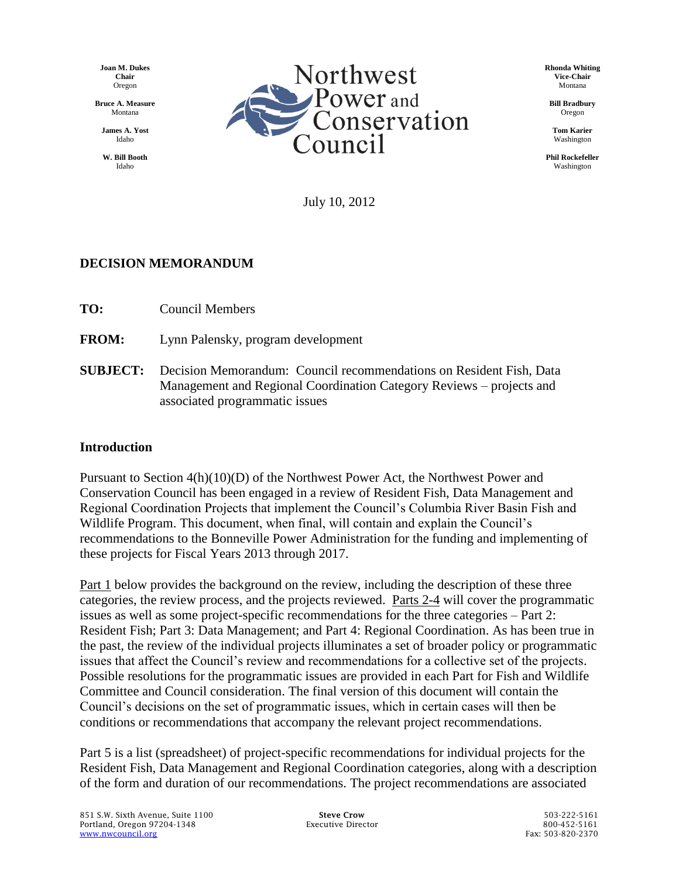**Joan M. Dukes Chair** Oregon

**Bruce A. Measure** Montana

**James A. Yost** Idaho

**W. Bill Booth** Idaho



**Rhonda Whiting Vice-Chair** Montana

**Bill Bradbury** Oregon

**Tom Karier** Washington

**Phil Rockefeller** Washington

July 10, 2012

### **DECISION MEMORANDUM**

**TO:** Council Members

**FROM:** Lynn Palensky, program development

**SUBJECT:** Decision Memorandum: Council recommendations on Resident Fish, Data Management and Regional Coordination Category Reviews – projects and associated programmatic issues

### **Introduction**

Pursuant to Section 4(h)(10)(D) of the Northwest Power Act, the Northwest Power and Conservation Council has been engaged in a review of Resident Fish, Data Management and Regional Coordination Projects that implement the Council's Columbia River Basin Fish and Wildlife Program. This document, when final, will contain and explain the Council's recommendations to the Bonneville Power Administration for the funding and implementing of these projects for Fiscal Years 2013 through 2017.

Part 1 below provides the background on the review, including the description of these three categories, the review process, and the projects reviewed. Parts 2-4 will cover the programmatic issues as well as some project-specific recommendations for the three categories – Part 2: Resident Fish; Part 3: Data Management; and Part 4: Regional Coordination. As has been true in the past, the review of the individual projects illuminates a set of broader policy or programmatic issues that affect the Council's review and recommendations for a collective set of the projects. Possible resolutions for the programmatic issues are provided in each Part for Fish and Wildlife Committee and Council consideration. The final version of this document will contain the Council's decisions on the set of programmatic issues, which in certain cases will then be conditions or recommendations that accompany the relevant project recommendations.

Part 5 is a list (spreadsheet) of project-specific recommendations for individual projects for the Resident Fish, Data Management and Regional Coordination categories, along with a description of the form and duration of our recommendations. The project recommendations are associated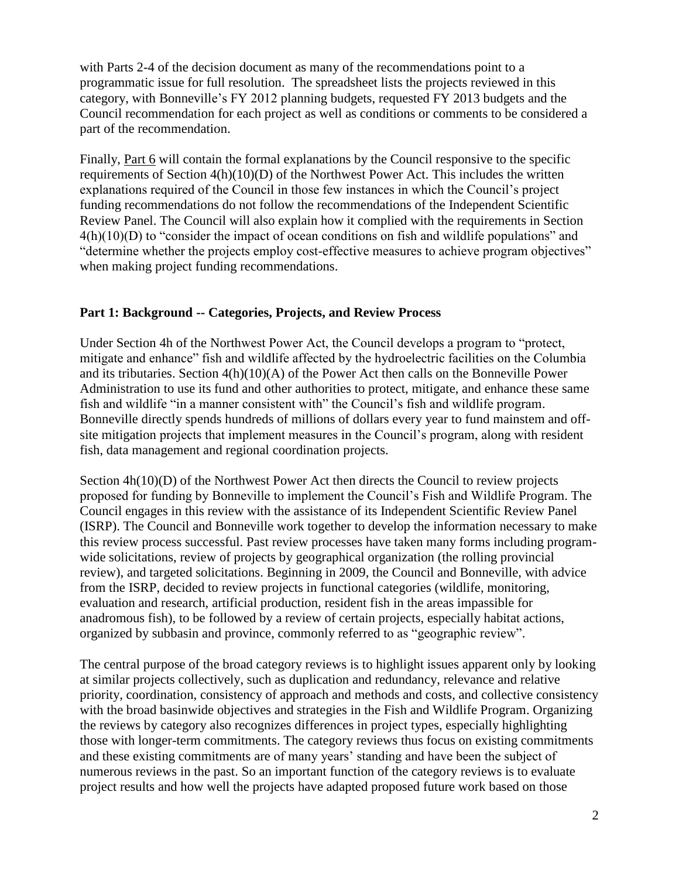with Parts 2-4 of the decision document as many of the recommendations point to a programmatic issue for full resolution. The spreadsheet lists the projects reviewed in this category, with Bonneville's FY 2012 planning budgets, requested FY 2013 budgets and the Council recommendation for each project as well as conditions or comments to be considered a part of the recommendation.

Finally, Part 6 will contain the formal explanations by the Council responsive to the specific requirements of Section  $4(h)(10)(D)$  of the Northwest Power Act. This includes the written explanations required of the Council in those few instances in which the Council's project funding recommendations do not follow the recommendations of the Independent Scientific Review Panel. The Council will also explain how it complied with the requirements in Section 4(h)(10)(D) to "consider the impact of ocean conditions on fish and wildlife populations" and "determine whether the projects employ cost-effective measures to achieve program objectives" when making project funding recommendations.

### **Part 1: Background -- Categories, Projects, and Review Process**

Under Section 4h of the Northwest Power Act, the Council develops a program to "protect, mitigate and enhance" fish and wildlife affected by the hydroelectric facilities on the Columbia and its tributaries. Section 4(h)(10)(A) of the Power Act then calls on the Bonneville Power Administration to use its fund and other authorities to protect, mitigate, and enhance these same fish and wildlife "in a manner consistent with" the Council's fish and wildlife program. Bonneville directly spends hundreds of millions of dollars every year to fund mainstem and offsite mitigation projects that implement measures in the Council's program, along with resident fish, data management and regional coordination projects.

Section 4h(10)(D) of the Northwest Power Act then directs the Council to review projects proposed for funding by Bonneville to implement the Council's Fish and Wildlife Program. The Council engages in this review with the assistance of its Independent Scientific Review Panel (ISRP). The Council and Bonneville work together to develop the information necessary to make this review process successful. Past review processes have taken many forms including programwide solicitations, review of projects by geographical organization (the rolling provincial review), and targeted solicitations. Beginning in 2009, the Council and Bonneville, with advice from the ISRP, decided to review projects in functional categories (wildlife, monitoring, evaluation and research, artificial production, resident fish in the areas impassible for anadromous fish), to be followed by a review of certain projects, especially habitat actions, organized by subbasin and province, commonly referred to as "geographic review".

The central purpose of the broad category reviews is to highlight issues apparent only by looking at similar projects collectively, such as duplication and redundancy, relevance and relative priority, coordination, consistency of approach and methods and costs, and collective consistency with the broad basinwide objectives and strategies in the Fish and Wildlife Program. Organizing the reviews by category also recognizes differences in project types, especially highlighting those with longer-term commitments. The category reviews thus focus on existing commitments and these existing commitments are of many years' standing and have been the subject of numerous reviews in the past. So an important function of the category reviews is to evaluate project results and how well the projects have adapted proposed future work based on those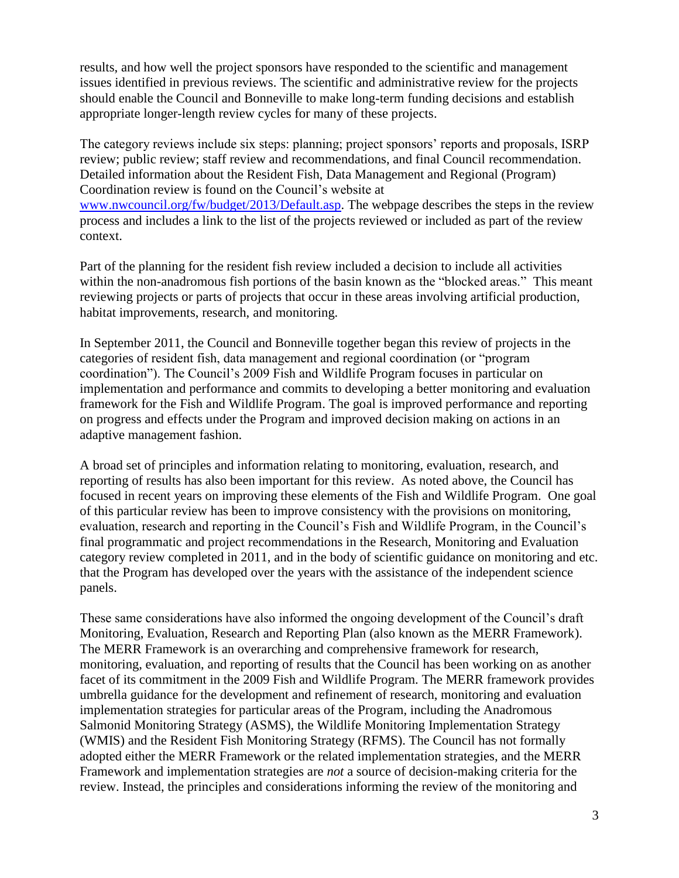results, and how well the project sponsors have responded to the scientific and management issues identified in previous reviews. The scientific and administrative review for the projects should enable the Council and Bonneville to make long-term funding decisions and establish appropriate longer-length review cycles for many of these projects.

The category reviews include six steps: planning; project sponsors' reports and proposals, ISRP review; public review; staff review and recommendations, and final Council recommendation. Detailed information about the Resident Fish, Data Management and Regional (Program) Coordination review is found on the Council's website at [www.nwcouncil.org/fw/budget/2013/Default.asp.](http://www.nwcouncil.org/fw/budget/2013/Default.asp) The webpage describes the steps in the review process and includes a link to the list of the projects reviewed or included as part of the review context.

Part of the planning for the resident fish review included a decision to include all activities within the non-anadromous fish portions of the basin known as the "blocked areas." This meant reviewing projects or parts of projects that occur in these areas involving artificial production, habitat improvements, research, and monitoring.

In September 2011, the Council and Bonneville together began this review of projects in the categories of resident fish, data management and regional coordination (or "program coordination"). The Council's 2009 Fish and Wildlife Program focuses in particular on implementation and performance and commits to developing a better monitoring and evaluation framework for the Fish and Wildlife Program. The goal is improved performance and reporting on progress and effects under the Program and improved decision making on actions in an adaptive management fashion.

A broad set of principles and information relating to monitoring, evaluation, research, and reporting of results has also been important for this review. As noted above, the Council has focused in recent years on improving these elements of the Fish and Wildlife Program. One goal of this particular review has been to improve consistency with the provisions on monitoring, evaluation, research and reporting in the Council's Fish and Wildlife Program, in the Council's final programmatic and project recommendations in the Research, Monitoring and Evaluation category review completed in 2011, and in the body of scientific guidance on monitoring and etc. that the Program has developed over the years with the assistance of the independent science panels.

These same considerations have also informed the ongoing development of the Council's draft Monitoring, Evaluation, Research and Reporting Plan (also known as the [MERR Framework\)](http://www.nwcouncil.org/fw/merr/Default.asp). The MERR Framework is an overarching and comprehensive framework for research, monitoring, evaluation, and reporting of results that the Council has been working on as another facet of its commitment in the 2009 Fish and Wildlife Program. The MERR framework provides umbrella guidance for the development and refinement of research, monitoring and evaluation [implementation strategies](http://www.nwcouncil.org/fw/merr/Default.asp) for particular areas of the Program, including the Anadromous Salmonid Monitoring Strategy (ASMS), the Wildlife Monitoring Implementation Strategy (WMIS) and the Resident Fish Monitoring Strategy (RFMS). The Council has not formally adopted either the MERR Framework or the related implementation strategies, and the MERR Framework and implementation strategies are *not* a source of decision-making criteria for the review. Instead, the principles and considerations informing the review of the monitoring and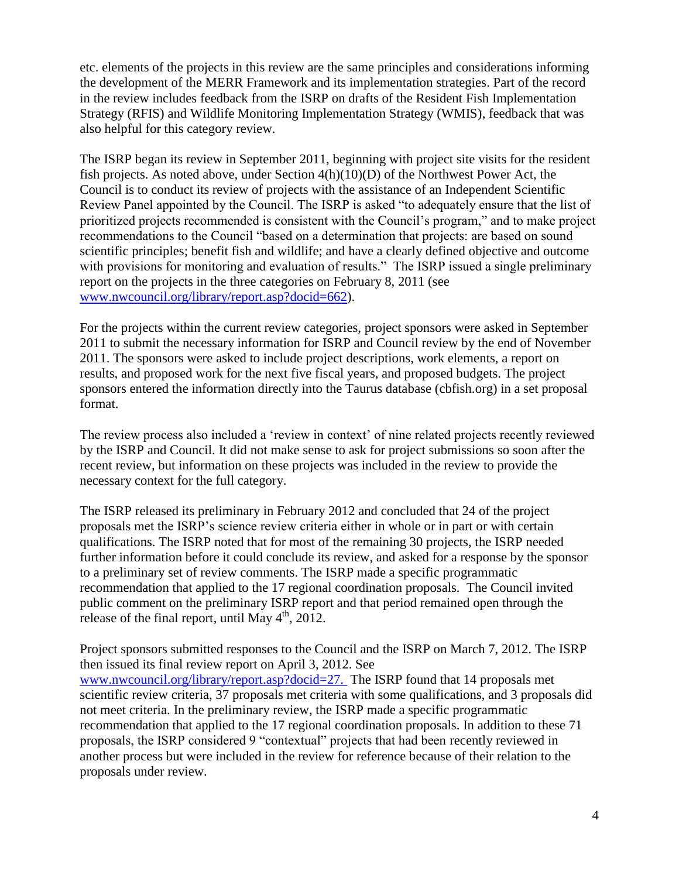etc. elements of the projects in this review are the same principles and considerations informing the development of the MERR Framework and its implementation strategies. Part of the record in the review includes feedback from the ISRP on drafts of the Resident Fish Implementation Strategy (RFIS) and Wildlife Monitoring Implementation Strategy (WMIS), feedback that was also helpful for this category review.

The ISRP began its review in September 2011, beginning with project site visits for the resident fish projects. As noted above, under Section 4(h)(10)(D) of the Northwest Power Act, the Council is to conduct its review of projects with the assistance of an Independent Scientific Review Panel appointed by the Council. The ISRP is asked "to adequately ensure that the list of prioritized projects recommended is consistent with the Council's program," and to make project recommendations to the Council "based on a determination that projects: are based on sound scientific principles; benefit fish and wildlife; and have a clearly defined objective and outcome with provisions for monitoring and evaluation of results." The ISRP issued a single preliminary report on the projects in the three categories on February 8, 2011 (see [www.nwcouncil.org/library/report.asp?docid=662\)](http://www.nwcouncil.org/library/report.asp?docid=662).

For the projects within the current review categories, project sponsors were asked in September 2011 to submit the necessary information for ISRP and Council review by the end of November 2011. The sponsors were asked to include project descriptions, work elements, a report on results, and proposed work for the next five fiscal years, and proposed budgets. The project sponsors entered the information directly into the Taurus database (cbfish.org) in a set proposal format.

The review process also included a 'review in context' of nine related projects recently reviewed by the ISRP and Council. It did not make sense to ask for project submissions so soon after the recent review, but information on these projects was included in the review to provide the necessary context for the full category.

The ISRP released its preliminary in February 2012 and concluded that 24 of the project proposals met the ISRP's science review criteria either in whole or in part or with certain qualifications. The ISRP noted that for most of the remaining 30 projects, the ISRP needed further information before it could conclude its review, and asked for a response by the sponsor to a preliminary set of review comments. The ISRP made a specific programmatic recommendation that applied to the 17 regional coordination proposals. The Council invited public comment on the preliminary ISRP report and that period remained open through the release of the final report, until May  $4^{\text{th}}$ , 2012.

Project sponsors submitted responses to the Council and the ISRP on March 7, 2012. The ISRP then issued its final review report on April 3, 2012. See [www.nwcouncil.org/library/report.asp?docid=27.](http://www.nwcouncil.org/library/report.asp?docid=27.%20) The ISRP found that 14 proposals met scientific review criteria, 37 proposals met criteria with some qualifications, and 3 proposals did not meet criteria. In the preliminary review, the ISRP made a specific programmatic recommendation that applied to the 17 regional coordination proposals. In addition to these 71 proposals, the ISRP considered 9 "contextual" projects that had been recently reviewed in another process but were included in the review for reference because of their relation to the proposals under review.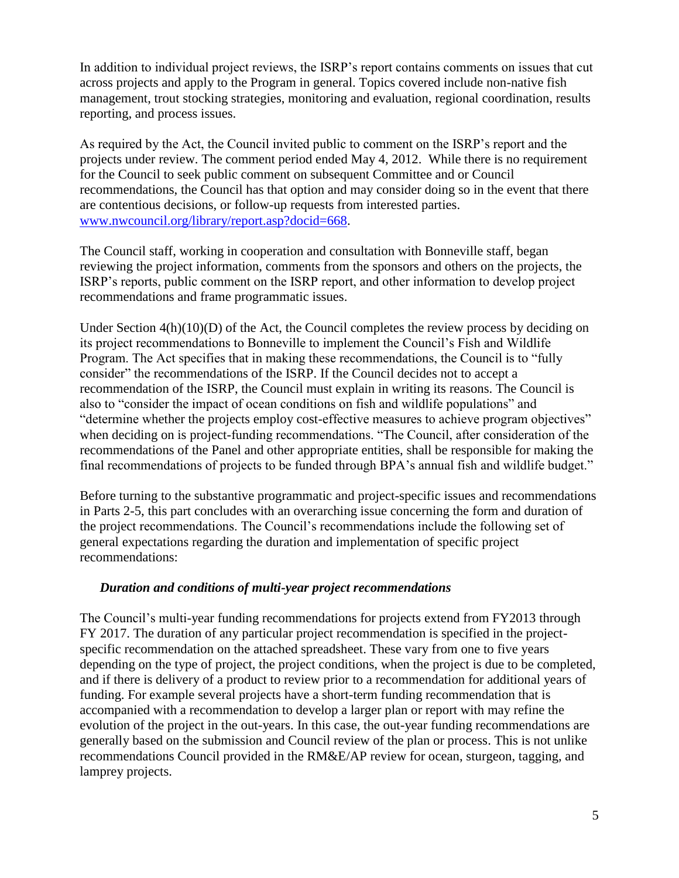In addition to individual project reviews, the ISRP's report contains comments on issues that cut across projects and apply to the Program in general. Topics covered include non-native fish management, trout stocking strategies, monitoring and evaluation, regional coordination, results reporting, and process issues.

As required by the Act, the Council invited public to comment on the ISRP's report and the projects under review. The comment period ended May 4, 2012. While there is no requirement for the Council to seek public comment on subsequent Committee and or Council recommendations, the Council has that option and may consider doing so in the event that there are contentious decisions, or follow-up requests from interested parties. [www.nwcouncil.org/library/report.asp?docid=668.](http://www.nwcouncil.org/library/report.asp?docid=668)

The Council staff, working in cooperation and consultation with Bonneville staff, began reviewing the project information, comments from the sponsors and others on the projects, the ISRP's reports, public comment on the ISRP report, and other information to develop project recommendations and frame programmatic issues.

Under Section  $4(h)(10)(D)$  of the Act, the Council completes the review process by deciding on its project recommendations to Bonneville to implement the Council's Fish and Wildlife Program. The Act specifies that in making these recommendations, the Council is to "fully consider" the recommendations of the ISRP. If the Council decides not to accept a recommendation of the ISRP, the Council must explain in writing its reasons. The Council is also to "consider the impact of ocean conditions on fish and wildlife populations" and "determine whether the projects employ cost-effective measures to achieve program objectives" when deciding on is project-funding recommendations. "The Council, after consideration of the recommendations of the Panel and other appropriate entities, shall be responsible for making the final recommendations of projects to be funded through BPA's annual fish and wildlife budget."

Before turning to the substantive programmatic and project-specific issues and recommendations in Parts 2-5, this part concludes with an overarching issue concerning the form and duration of the project recommendations. The Council's recommendations include the following set of general expectations regarding the duration and implementation of specific project recommendations:

### *Duration and conditions of multi-year project recommendations*

The Council's multi-year funding recommendations for projects extend from FY2013 through FY 2017. The duration of any particular project recommendation is specified in the projectspecific recommendation on the attached spreadsheet. These vary from one to five years depending on the type of project, the project conditions, when the project is due to be completed, and if there is delivery of a product to review prior to a recommendation for additional years of funding. For example several projects have a short-term funding recommendation that is accompanied with a recommendation to develop a larger plan or report with may refine the evolution of the project in the out-years. In this case, the out-year funding recommendations are generally based on the submission and Council review of the plan or process. This is not unlike recommendations Council provided in the RM&E/AP review for ocean, sturgeon, tagging, and lamprey projects.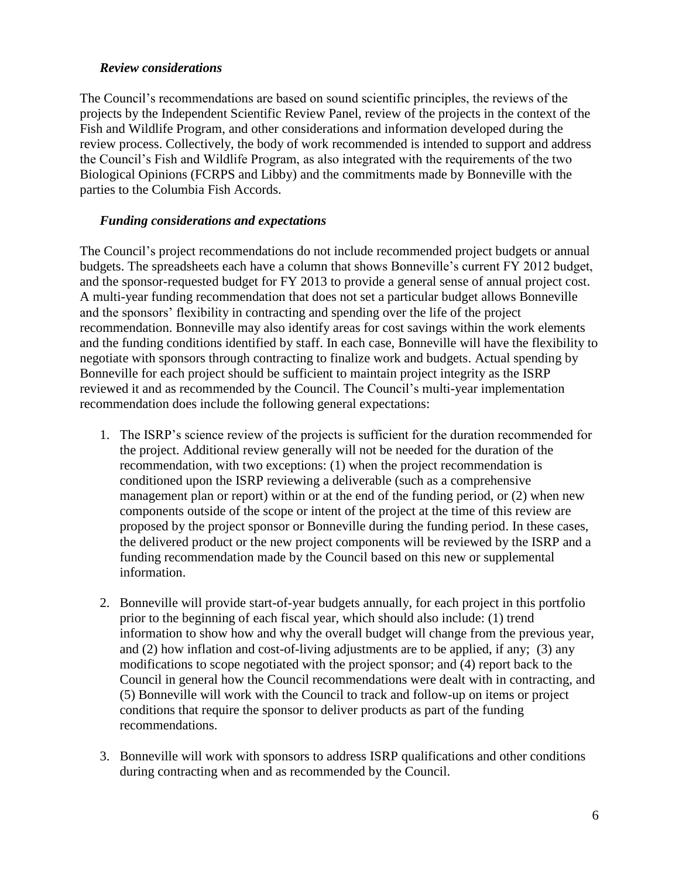### *Review considerations*

The Council's recommendations are based on sound scientific principles, the reviews of the projects by the Independent Scientific Review Panel, review of the projects in the context of the Fish and Wildlife Program, and other considerations and information developed during the review process. Collectively, the body of work recommended is intended to support and address the Council's Fish and Wildlife Program, as also integrated with the requirements of the two Biological Opinions (FCRPS and Libby) and the commitments made by Bonneville with the parties to the Columbia Fish Accords.

### *Funding considerations and expectations*

The Council's project recommendations do not include recommended project budgets or annual budgets. The spreadsheets each have a column that shows Bonneville's current FY 2012 budget, and the sponsor-requested budget for FY 2013 to provide a general sense of annual project cost. A multi-year funding recommendation that does not set a particular budget allows Bonneville and the sponsors' flexibility in contracting and spending over the life of the project recommendation. Bonneville may also identify areas for cost savings within the work elements and the funding conditions identified by staff. In each case, Bonneville will have the flexibility to negotiate with sponsors through contracting to finalize work and budgets. Actual spending by Bonneville for each project should be sufficient to maintain project integrity as the ISRP reviewed it and as recommended by the Council. The Council's multi-year implementation recommendation does include the following general expectations:

- 1. The ISRP's science review of the projects is sufficient for the duration recommended for the project. Additional review generally will not be needed for the duration of the recommendation, with two exceptions: (1) when the project recommendation is conditioned upon the ISRP reviewing a deliverable (such as a comprehensive management plan or report) within or at the end of the funding period, or (2) when new components outside of the scope or intent of the project at the time of this review are proposed by the project sponsor or Bonneville during the funding period. In these cases, the delivered product or the new project components will be reviewed by the ISRP and a funding recommendation made by the Council based on this new or supplemental information.
- 2. Bonneville will provide start-of-year budgets annually, for each project in this portfolio prior to the beginning of each fiscal year, which should also include: (1) trend information to show how and why the overall budget will change from the previous year, and (2) how inflation and cost-of-living adjustments are to be applied, if any; (3) any modifications to scope negotiated with the project sponsor; and (4) report back to the Council in general how the Council recommendations were dealt with in contracting, and (5) Bonneville will work with the Council to track and follow-up on items or project conditions that require the sponsor to deliver products as part of the funding recommendations.
- 3. Bonneville will work with sponsors to address ISRP qualifications and other conditions during contracting when and as recommended by the Council.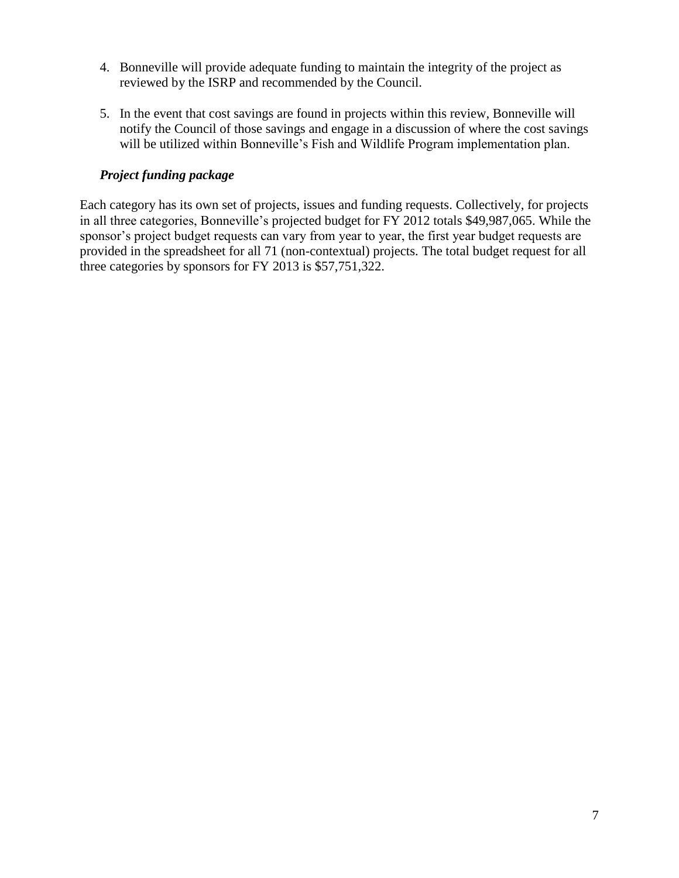- 4. Bonneville will provide adequate funding to maintain the integrity of the project as reviewed by the ISRP and recommended by the Council.
- 5. In the event that cost savings are found in projects within this review, Bonneville will notify the Council of those savings and engage in a discussion of where the cost savings will be utilized within Bonneville's Fish and Wildlife Program implementation plan.

### *Project funding package*

Each category has its own set of projects, issues and funding requests. Collectively, for projects in all three categories, Bonneville's projected budget for FY 2012 totals \$49,987,065. While the sponsor's project budget requests can vary from year to year, the first year budget requests are provided in the spreadsheet for all 71 (non-contextual) projects. The total budget request for all three categories by sponsors for FY 2013 is \$57,751,322.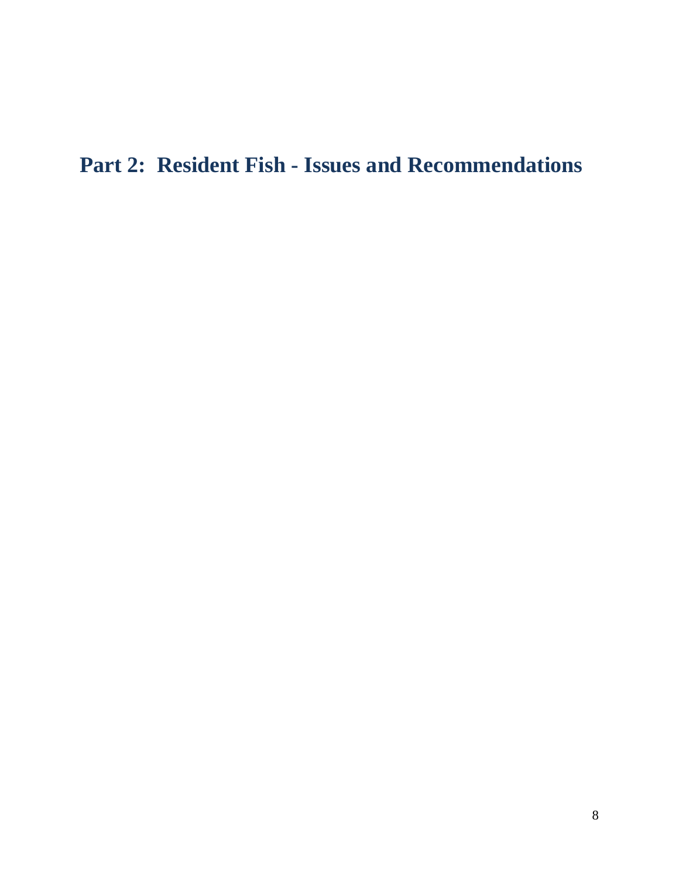# **Part 2: Resident Fish - Issues and Recommendations**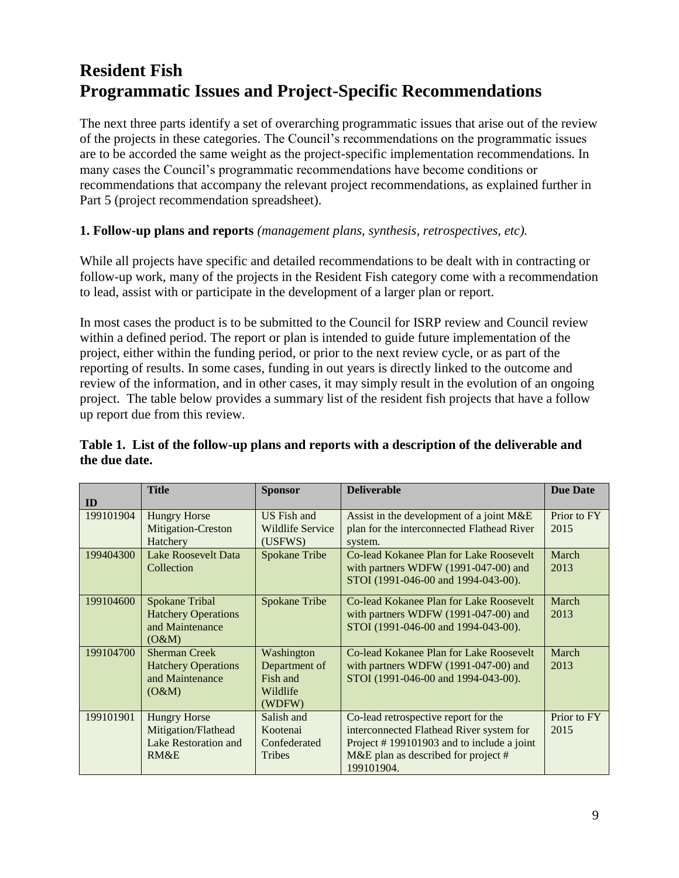# **Resident Fish Programmatic Issues and Project-Specific Recommendations**

The next three parts identify a set of overarching programmatic issues that arise out of the review of the projects in these categories. The Council's recommendations on the programmatic issues are to be accorded the same weight as the project-specific implementation recommendations. In many cases the Council's programmatic recommendations have become conditions or recommendations that accompany the relevant project recommendations, as explained further in Part 5 (project recommendation spreadsheet).

## **1. Follow-up plans and reports** *(management plans, synthesis, retrospectives, etc).*

While all projects have specific and detailed recommendations to be dealt with in contracting or follow-up work, many of the projects in the Resident Fish category come with a recommendation to lead, assist with or participate in the development of a larger plan or report.

In most cases the product is to be submitted to the Council for ISRP review and Council review within a defined period. The report or plan is intended to guide future implementation of the project, either within the funding period, or prior to the next review cycle, or as part of the reporting of results. In some cases, funding in out years is directly linked to the outcome and review of the information, and in other cases, it may simply result in the evolution of an ongoing project. The table below provides a summary list of the resident fish projects that have a follow up report due from this review.

|           | <b>Title</b>                | <b>Sponsor</b>       | <b>Deliverable</b>                         | <b>Due Date</b> |
|-----------|-----------------------------|----------------------|--------------------------------------------|-----------------|
| ID        |                             |                      |                                            |                 |
| 199101904 | <b>Hungry Horse</b>         | <b>US</b> Fish and   | Assist in the development of a joint M&E   | Prior to FY     |
|           | Mitigation-Creston          | Wildlife Service     | plan for the interconnected Flathead River | 2015            |
|           | Hatchery                    | (USFWS)              | system.                                    |                 |
| 199404300 | Lake Roosevelt Data         | <b>Spokane Tribe</b> | Co-lead Kokanee Plan for Lake Roosevelt    | March           |
|           | Collection                  |                      | with partners WDFW (1991-047-00) and       | 2013            |
|           |                             |                      | STOI (1991-046-00 and 1994-043-00).        |                 |
| 199104600 | Spokane Tribal              | Spokane Tribe        | Co-lead Kokanee Plan for Lake Roosevelt    | March           |
|           | <b>Hatchery Operations</b>  |                      | with partners WDFW (1991-047-00) and       | 2013            |
|           | and Maintenance             |                      | STOI (1991-046-00 and 1994-043-00).        |                 |
|           | (O&M)                       |                      |                                            |                 |
| 199104700 | <b>Sherman Creek</b>        | Washington           | Co-lead Kokanee Plan for Lake Roosevelt    | March           |
|           | <b>Hatchery Operations</b>  | Department of        | with partners WDFW (1991-047-00) and       | 2013            |
|           | and Maintenance             | Fish and             | STOI (1991-046-00 and 1994-043-00).        |                 |
|           | (O&M)                       | Wildlife             |                                            |                 |
|           |                             | (WDFW)               |                                            |                 |
| 199101901 | <b>Hungry Horse</b>         | Salish and           | Co-lead retrospective report for the       | Prior to FY     |
|           | Mitigation/Flathead         | Kootenai             | interconnected Flathead River system for   | 2015            |
|           | <b>Lake Restoration and</b> | Confederated         | Project #199101903 and to include a joint  |                 |
|           | RM&E                        | <b>Tribes</b>        | M&E plan as described for project $#$      |                 |
|           |                             |                      | 199101904.                                 |                 |

### **Table 1. List of the follow-up plans and reports with a description of the deliverable and the due date.**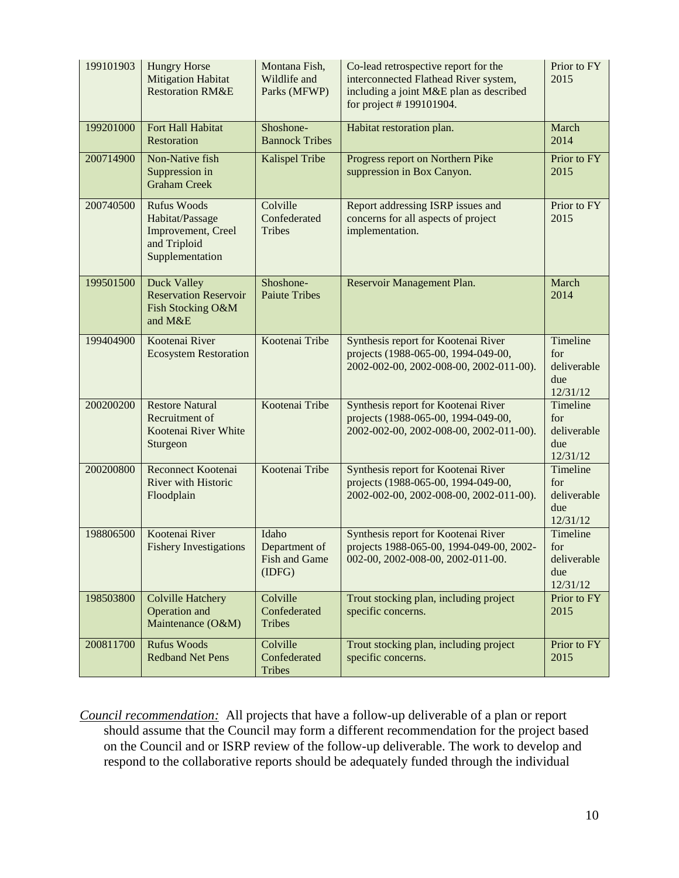| 199101903 | <b>Hungry Horse</b><br><b>Mitigation Habitat</b><br><b>Restoration RM&amp;E</b>                | Montana Fish,<br>Wildlife and<br>Parks (MFWP)            | Co-lead retrospective report for the<br>interconnected Flathead River system,<br>including a joint M&E plan as described<br>for project #199101904. | Prior to FY<br>2015                               |
|-----------|------------------------------------------------------------------------------------------------|----------------------------------------------------------|-----------------------------------------------------------------------------------------------------------------------------------------------------|---------------------------------------------------|
| 199201000 | Fort Hall Habitat<br>Restoration                                                               | Shoshone-<br><b>Bannock Tribes</b>                       | Habitat restoration plan.                                                                                                                           | March<br>2014                                     |
| 200714900 | Non-Native fish<br>Suppression in<br><b>Graham Creek</b>                                       | Kalispel Tribe                                           | Progress report on Northern Pike<br>suppression in Box Canyon.                                                                                      | Prior to FY<br>2015                               |
| 200740500 | <b>Rufus Woods</b><br>Habitat/Passage<br>Improvement, Creel<br>and Triploid<br>Supplementation | Colville<br>Confederated<br><b>Tribes</b>                | Report addressing ISRP issues and<br>concerns for all aspects of project<br>implementation.                                                         | Prior to FY<br>2015                               |
| 199501500 | Duck Valley<br><b>Reservation Reservoir</b><br>Fish Stocking O&M<br>and M&E                    | Shoshone-<br><b>Paiute Tribes</b>                        | Reservoir Management Plan.                                                                                                                          | March<br>2014                                     |
| 199404900 | Kootenai River<br><b>Ecosystem Restoration</b>                                                 | Kootenai Tribe                                           | Synthesis report for Kootenai River<br>projects (1988-065-00, 1994-049-00,<br>2002-002-00, 2002-008-00, 2002-011-00).                               | Timeline<br>for<br>deliverable<br>due<br>12/31/12 |
| 200200200 | <b>Restore Natural</b><br>Recruitment of<br>Kootenai River White<br>Sturgeon                   | Kootenai Tribe                                           | Synthesis report for Kootenai River<br>projects (1988-065-00, 1994-049-00,<br>2002-002-00, 2002-008-00, 2002-011-00).                               | Timeline<br>for<br>deliverable<br>due<br>12/31/12 |
| 200200800 | Reconnect Kootenai<br>River with Historic<br>Floodplain                                        | Kootenai Tribe                                           | Synthesis report for Kootenai River<br>projects (1988-065-00, 1994-049-00,<br>2002-002-00, 2002-008-00, 2002-011-00).                               | Timeline<br>for<br>deliverable<br>due<br>12/31/12 |
| 198806500 | Kootenai River<br><b>Fishery Investigations</b>                                                | Idaho<br>Department of<br><b>Fish and Game</b><br>(IDFG) | Synthesis report for Kootenai River<br>projects 1988-065-00, 1994-049-00, 2002-<br>002-00, 2002-008-00, 2002-011-00.                                | Timeline<br>for<br>deliverable<br>due<br>12/31/12 |
| 198503800 | <b>Colville Hatchery</b><br>Operation and<br>Maintenance (O&M)                                 | Colville<br>Confederated<br><b>Tribes</b>                | Trout stocking plan, including project<br>specific concerns.                                                                                        | Prior to FY<br>2015                               |
| 200811700 | <b>Rufus Woods</b><br><b>Redband Net Pens</b>                                                  | Colville<br>Confederated<br>Tribes                       | Trout stocking plan, including project<br>specific concerns.                                                                                        | Prior to FY<br>2015                               |

*Council recommendation:* All projects that have a follow-up deliverable of a plan or report should assume that the Council may form a different recommendation for the project based on the Council and or ISRP review of the follow-up deliverable. The work to develop and respond to the collaborative reports should be adequately funded through the individual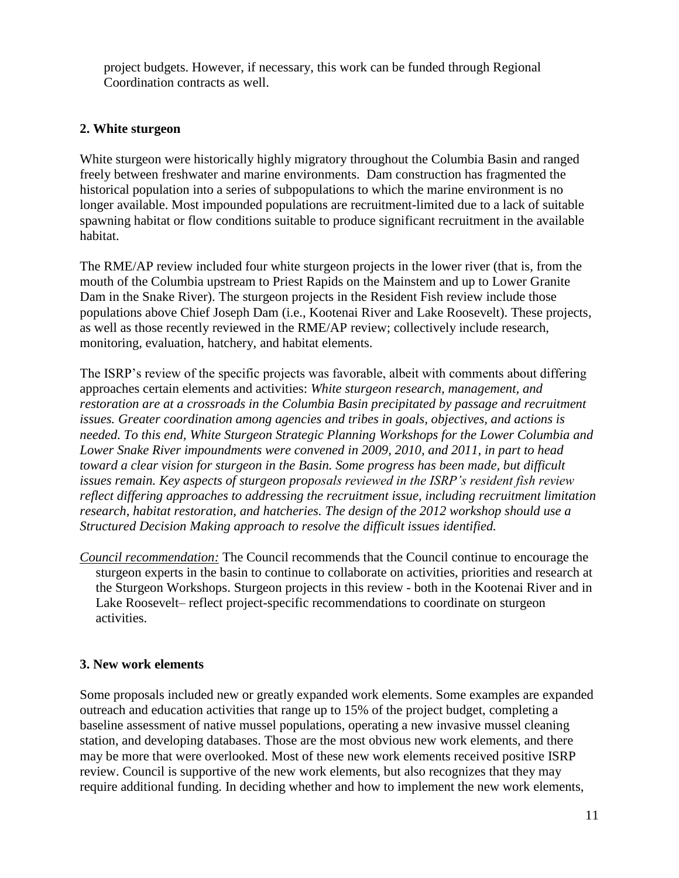project budgets. However, if necessary, this work can be funded through Regional Coordination contracts as well.

## **2. White sturgeon**

White sturgeon were historically highly migratory throughout the Columbia Basin and ranged freely between freshwater and marine environments. Dam construction has fragmented the historical population into a series of subpopulations to which the marine environment is no longer available. Most impounded populations are recruitment-limited due to a lack of suitable spawning habitat or flow conditions suitable to produce significant recruitment in the available habitat.

The RME/AP review included four white sturgeon projects in the lower river (that is, from the mouth of the Columbia upstream to Priest Rapids on the Mainstem and up to Lower Granite Dam in the Snake River). The sturgeon projects in the Resident Fish review include those populations above Chief Joseph Dam (i.e., Kootenai River and Lake Roosevelt). These projects, as well as those recently reviewed in the RME/AP review; collectively include research, monitoring, evaluation, hatchery, and habitat elements.

The ISRP's review of the specific projects was favorable, albeit with comments about differing approaches certain elements and activities: *White sturgeon research, management, and restoration are at a crossroads in the Columbia Basin precipitated by passage and recruitment issues. Greater coordination among agencies and tribes in goals, objectives, and actions is needed. To this end, White Sturgeon Strategic Planning Workshops for the Lower Columbia and Lower Snake River impoundments were convened in 2009, 2010, and 2011, in part to head toward a clear vision for sturgeon in the Basin. Some progress has been made, but difficult issues remain. Key aspects of sturgeon proposals reviewed in the ISRP's resident fish review reflect differing approaches to addressing the recruitment issue, including recruitment limitation research, habitat restoration, and hatcheries. The design of the 2012 workshop should use a Structured Decision Making approach to resolve the difficult issues identified.*

*Council recommendation:* The Council recommends that the Council continue to encourage the sturgeon experts in the basin to continue to collaborate on activities, priorities and research at the Sturgeon Workshops. Sturgeon projects in this review - both in the Kootenai River and in Lake Roosevelt– reflect project-specific recommendations to coordinate on sturgeon activities.

### **3. New work elements**

Some proposals included new or greatly expanded work elements. Some examples are expanded outreach and education activities that range up to 15% of the project budget, completing a baseline assessment of native mussel populations, operating a new invasive mussel cleaning station, and developing databases. Those are the most obvious new work elements, and there may be more that were overlooked. Most of these new work elements received positive ISRP review. Council is supportive of the new work elements, but also recognizes that they may require additional funding. In deciding whether and how to implement the new work elements,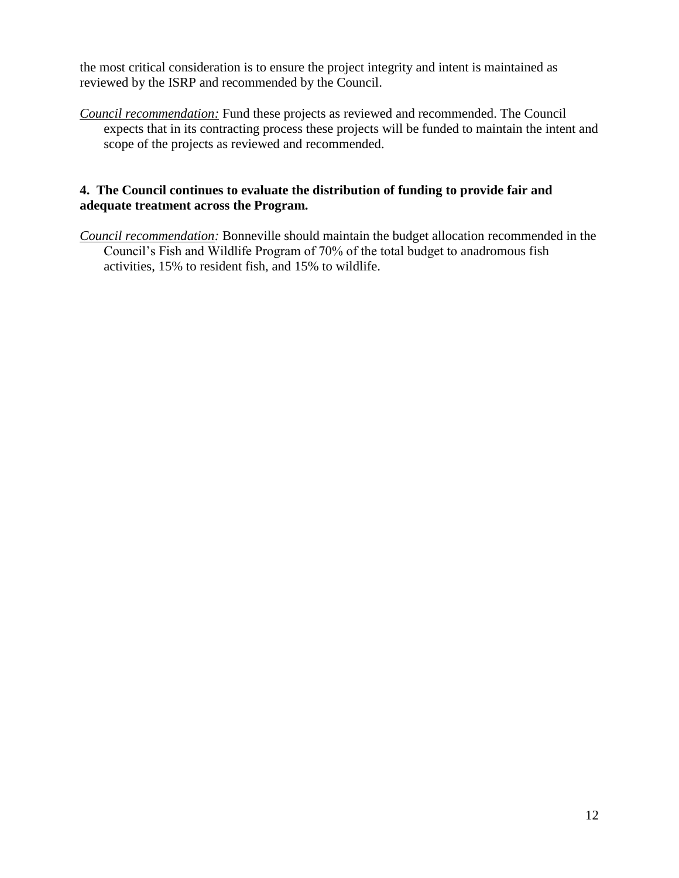the most critical consideration is to ensure the project integrity and intent is maintained as reviewed by the ISRP and recommended by the Council.

*Council recommendation:* Fund these projects as reviewed and recommended. The Council expects that in its contracting process these projects will be funded to maintain the intent and scope of the projects as reviewed and recommended.

### **4. The Council continues to evaluate the distribution of funding to provide fair and adequate treatment across the Program.**

*Council recommendation:* Bonneville should maintain the budget allocation recommended in the Council's Fish and Wildlife Program of 70% of the total budget to anadromous fish activities, 15% to resident fish, and 15% to wildlife.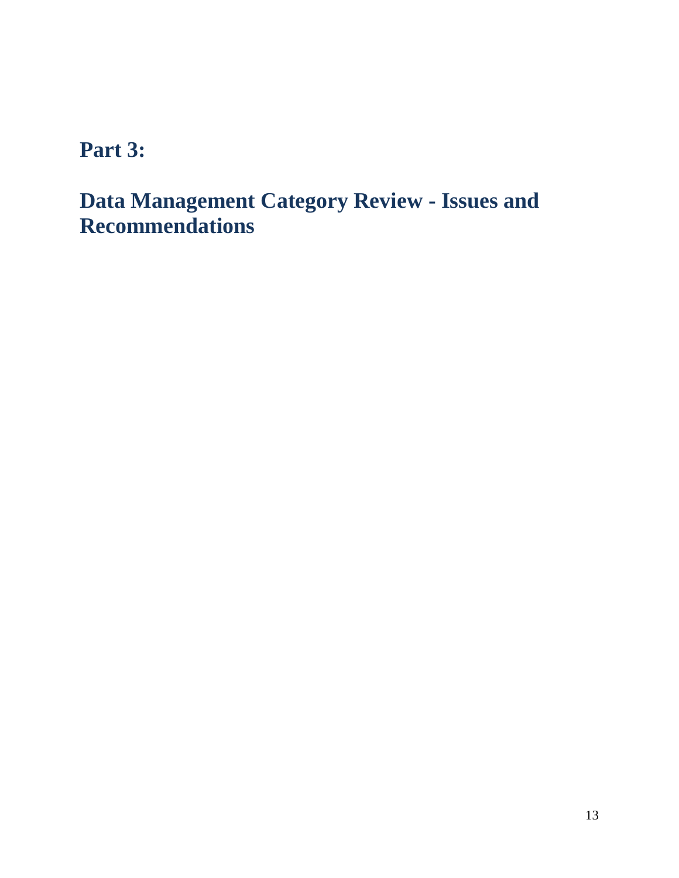# **Part 3:**

# **Data Management Category Review - Issues and Recommendations**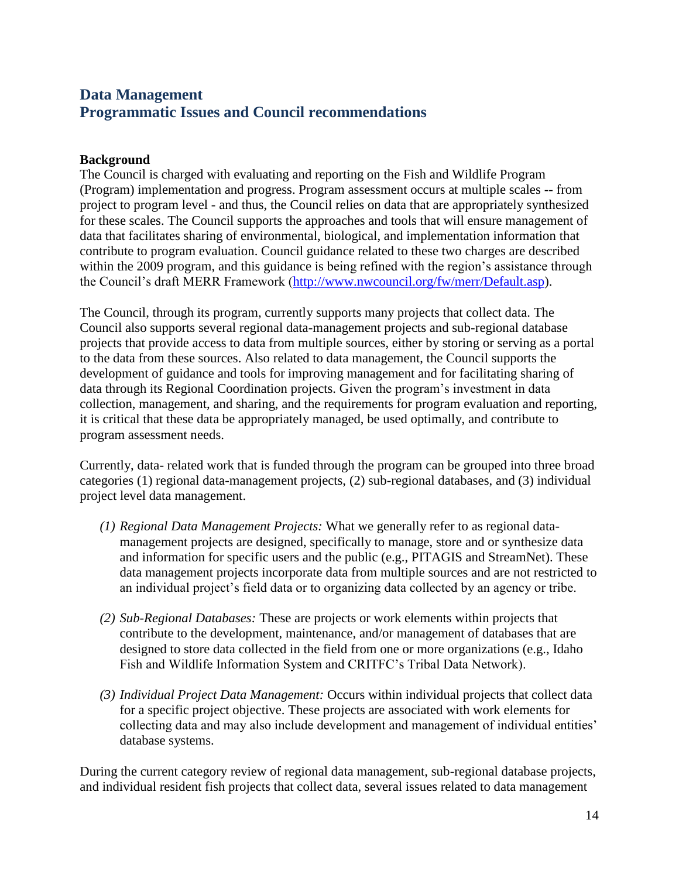# **Data Management Programmatic Issues and Council recommendations**

### **Background**

The Council is charged with evaluating and reporting on the Fish and Wildlife Program (Program) implementation and progress. Program assessment occurs at multiple scales -- from project to program level - and thus, the Council relies on data that are appropriately synthesized for these scales. The Council supports the approaches and tools that will ensure management of data that facilitates sharing of environmental, biological, and implementation information that contribute to program evaluation. Council guidance related to these two charges are described within the 2009 program, and this guidance is being refined with the region's assistance through the Council's draft MERR Framework [\(http://www.nwcouncil.org/fw/merr/Default.asp\)](http://www.nwcouncil.org/fw/merr/Default.asp).

The Council, through its program, currently supports many projects that collect data. The Council also supports several regional data-management projects and sub-regional database projects that provide access to data from multiple sources, either by storing or serving as a portal to the data from these sources. Also related to data management, the Council supports the development of guidance and tools for improving management and for facilitating sharing of data through its Regional Coordination projects. Given the program's investment in data collection, management, and sharing, and the requirements for program evaluation and reporting, it is critical that these data be appropriately managed, be used optimally, and contribute to program assessment needs.

Currently, data- related work that is funded through the program can be grouped into three broad categories (1) regional data-management projects, (2) sub-regional databases, and (3) individual project level data management.

- *(1) Regional Data Management Projects:* What we generally refer to as regional datamanagement projects are designed, specifically to manage, store and or synthesize data and information for specific users and the public (e.g., PITAGIS and StreamNet). These data management projects incorporate data from multiple sources and are not restricted to an individual project's field data or to organizing data collected by an agency or tribe.
- *(2) Sub-Regional Databases:* These are projects or work elements within projects that contribute to the development, maintenance, and/or management of databases that are designed to store data collected in the field from one or more organizations (e.g., Idaho Fish and Wildlife Information System and CRITFC's Tribal Data Network).
- *(3) Individual Project Data Management:* Occurs within individual projects that collect data for a specific project objective. These projects are associated with work elements for collecting data and may also include development and management of individual entities' database systems.

During the current category review of regional data management, sub-regional database projects, and individual resident fish projects that collect data, several issues related to data management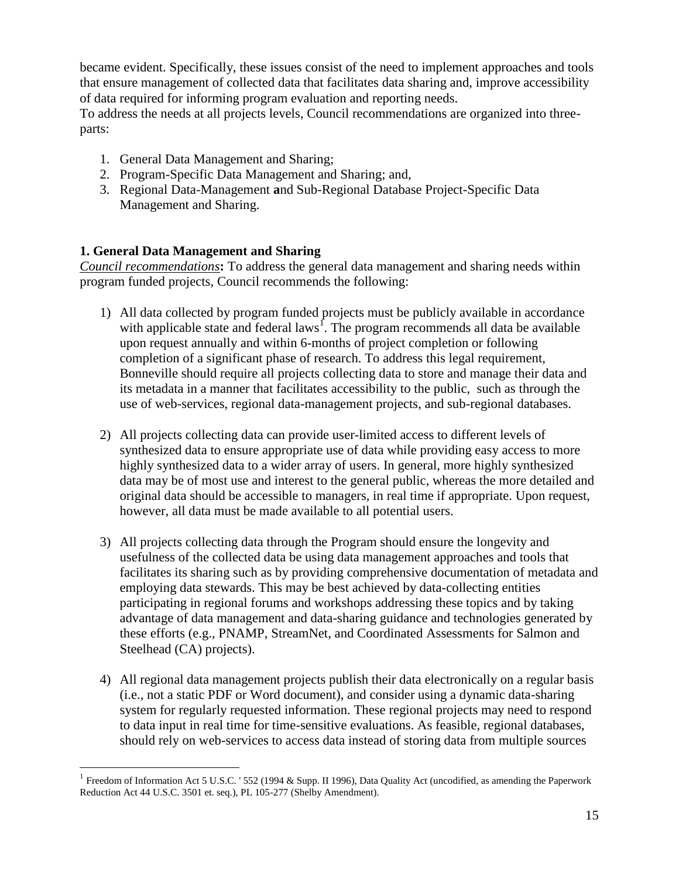became evident. Specifically, these issues consist of the need to implement approaches and tools that ensure management of collected data that facilitates data sharing and, improve accessibility of data required for informing program evaluation and reporting needs.

To address the needs at all projects levels, Council recommendations are organized into threeparts:

- 1. General Data Management and Sharing;
- 2. Program-Specific Data Management and Sharing; and,
- 3. Regional Data-Management **a**nd Sub-Regional Database Project-Specific Data Management and Sharing.

## **1. General Data Management and Sharing**

 $\overline{a}$ 

*Council recommendations***:** To address the general data management and sharing needs within program funded projects, Council recommends the following:

- 1) All data collected by program funded projects must be publicly available in accordance with applicable state and federal laws<sup>1</sup>. The program recommends all data be available upon request annually and within 6-months of project completion or following completion of a significant phase of research. To address this legal requirement, Bonneville should require all projects collecting data to store and manage their data and its metadata in a manner that facilitates accessibility to the public, such as through the use of web-services, regional data-management projects, and sub-regional databases.
- 2) All projects collecting data can provide user-limited access to different levels of synthesized data to ensure appropriate use of data while providing easy access to more highly synthesized data to a wider array of users. In general, more highly synthesized data may be of most use and interest to the general public, whereas the more detailed and original data should be accessible to managers, in real time if appropriate. Upon request, however, all data must be made available to all potential users.
- 3) All projects collecting data through the Program should ensure the longevity and usefulness of the collected data be using data management approaches and tools that facilitates its sharing such as by providing comprehensive documentation of metadata and employing data stewards. This may be best achieved by data-collecting entities participating in regional forums and workshops addressing these topics and by taking advantage of data management and data-sharing guidance and technologies generated by these efforts (e.g., PNAMP, StreamNet, and Coordinated Assessments for Salmon and Steelhead (CA) projects).
- 4) All regional data management projects publish their data electronically on a regular basis (i.e., not a static PDF or Word document), and consider using a dynamic data-sharing system for regularly requested information. These regional projects may need to respond to data input in real time for time-sensitive evaluations. As feasible, regional databases, should rely on web-services to access data instead of storing data from multiple sources

<sup>&</sup>lt;sup>1</sup> Freedom of Information Act 5 U.S.C. '552 (1994 & Supp. II 1996), Data Quality Act (uncodified, as amending the Paperwork Reduction Act 44 U.S.C. 3501 et. seq.), PL 105-277 (Shelby Amendment).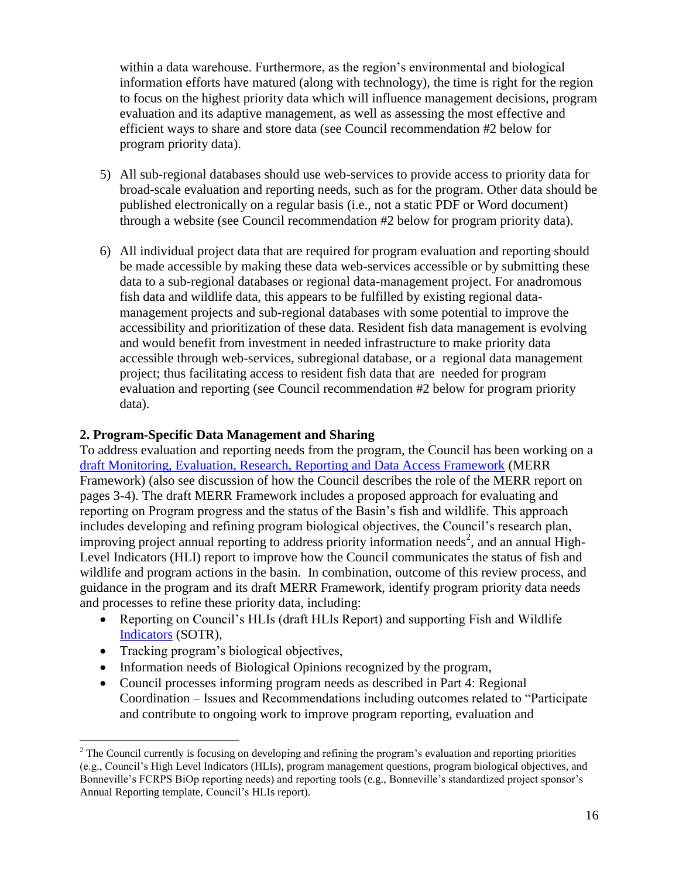within a data warehouse. Furthermore, as the region's environmental and biological information efforts have matured (along with technology), the time is right for the region to focus on the highest priority data which will influence management decisions, program evaluation and its adaptive management, as well as assessing the most effective and efficient ways to share and store data (see Council recommendation #2 below for program priority data).

- 5) All sub-regional databases should use web-services to provide access to priority data for broad-scale evaluation and reporting needs, such as for the program. Other data should be published electronically on a regular basis (i.e., not a static PDF or Word document) through a website (see Council recommendation #2 below for program priority data).
- 6) All individual project data that are required for program evaluation and reporting should be made accessible by making these data web-services accessible or by submitting these data to a sub-regional databases or regional data-management project. For anadromous fish data and wildlife data, this appears to be fulfilled by existing regional datamanagement projects and sub-regional databases with some potential to improve the accessibility and prioritization of these data. Resident fish data management is evolving and would benefit from investment in needed infrastructure to make priority data accessible through web-services, subregional database, or a regional data management project; thus facilitating access to resident fish data that are needed for program evaluation and reporting (see Council recommendation #2 below for program priority data).

### **2. Program-Specific Data Management and Sharing**

To address evaluation and reporting needs from the program, the Council has been working on a [draft Monitoring, Evaluation, Research, Reporting and Data Access Framework](http://www.nwcouncil.org/fw/merr/Default.asp) (MERR Framework) (also see discussion of how the Council describes the role of the MERR report on pages 3-4). The draft MERR Framework includes a proposed approach for evaluating and reporting on Program progress and the status of the Basin's fish and wildlife. This approach includes developing and refining program biological objectives, the Council's research plan, improving project annual reporting to address priority information needs<sup>2</sup>, and an annual High-Level Indicators (HLI) report to improve how the Council communicates the status of fish and wildlife and program actions in the basin. In combination, outcome of this review process, and guidance in the program and its draft MERR Framework, identify program priority data needs and processes to refine these priority data, including:

- Reporting on Council's HLIs (draft HLIs Report) and supporting Fish and Wildlife [Indicators](http://www.nwcouncil.org/fw/program/hli/Default.htm) (SOTR),
- Tracking program's biological objectives,

 $\overline{a}$ 

- Information needs of Biological Opinions recognized by the program,
- Council processes informing program needs as described in Part 4: Regional Coordination – Issues and Recommendations including outcomes related to "Participate and contribute to ongoing work to improve program reporting, evaluation and

<sup>&</sup>lt;sup>2</sup> The Council currently is focusing on developing and refining the program's evaluation and reporting priorities (e.g., Council's High Level Indicators (HLIs), program management questions, program biological objectives, and Bonneville's FCRPS BiOp reporting needs) and reporting tools (e.g., Bonneville's standardized project sponsor's Annual Reporting template, Council's HLIs report).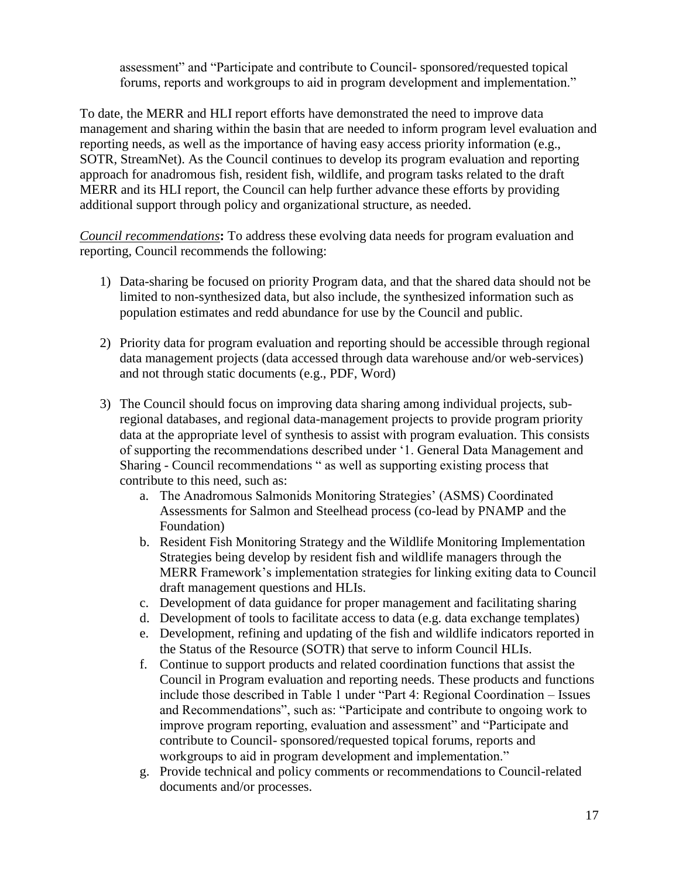assessment" and "Participate and contribute to Council- sponsored/requested topical forums, reports and workgroups to aid in program development and implementation."

To date, the MERR and HLI report efforts have demonstrated the need to improve data management and sharing within the basin that are needed to inform program level evaluation and reporting needs, as well as the importance of having easy access priority information (e.g., SOTR, StreamNet). As the Council continues to develop its program evaluation and reporting approach for anadromous fish, resident fish, wildlife, and program tasks related to the draft MERR and its HLI report, the Council can help further advance these efforts by providing additional support through policy and organizational structure, as needed.

*Council recommendations***:** To address these evolving data needs for program evaluation and reporting, Council recommends the following:

- 1) Data-sharing be focused on priority Program data, and that the shared data should not be limited to non-synthesized data, but also include, the synthesized information such as population estimates and redd abundance for use by the Council and public.
- 2) Priority data for program evaluation and reporting should be accessible through regional data management projects (data accessed through data warehouse and/or web-services) and not through static documents (e.g., PDF, Word)
- 3) The Council should focus on improving data sharing among individual projects, subregional databases, and regional data-management projects to provide program priority data at the appropriate level of synthesis to assist with program evaluation. This consists of supporting the recommendations described under '1. General Data Management and Sharing - Council recommendations " as well as supporting existing process that contribute to this need, such as:
	- a. The Anadromous Salmonids Monitoring Strategies' (ASMS) Coordinated Assessments for Salmon and Steelhead process (co-lead by PNAMP and the Foundation)
	- b. Resident Fish Monitoring Strategy and the Wildlife Monitoring Implementation Strategies being develop by resident fish and wildlife managers through the MERR Framework's implementation strategies for linking exiting data to Council draft management questions and HLIs.
	- c. Development of data guidance for proper management and facilitating sharing
	- d. Development of tools to facilitate access to data (e.g. data exchange templates)
	- e. Development, refining and updating of the fish and wildlife indicators reported in the Status of the Resource (SOTR) that serve to inform Council HLIs.
	- f. Continue to support products and related coordination functions that assist the Council in Program evaluation and reporting needs. These products and functions include those described in Table 1 under "Part 4: Regional Coordination – Issues and Recommendations", such as: "Participate and contribute to ongoing work to improve program reporting, evaluation and assessment" and "Participate and contribute to Council- sponsored/requested topical forums, reports and workgroups to aid in program development and implementation."
	- g. Provide technical and policy comments or recommendations to Council-related documents and/or processes.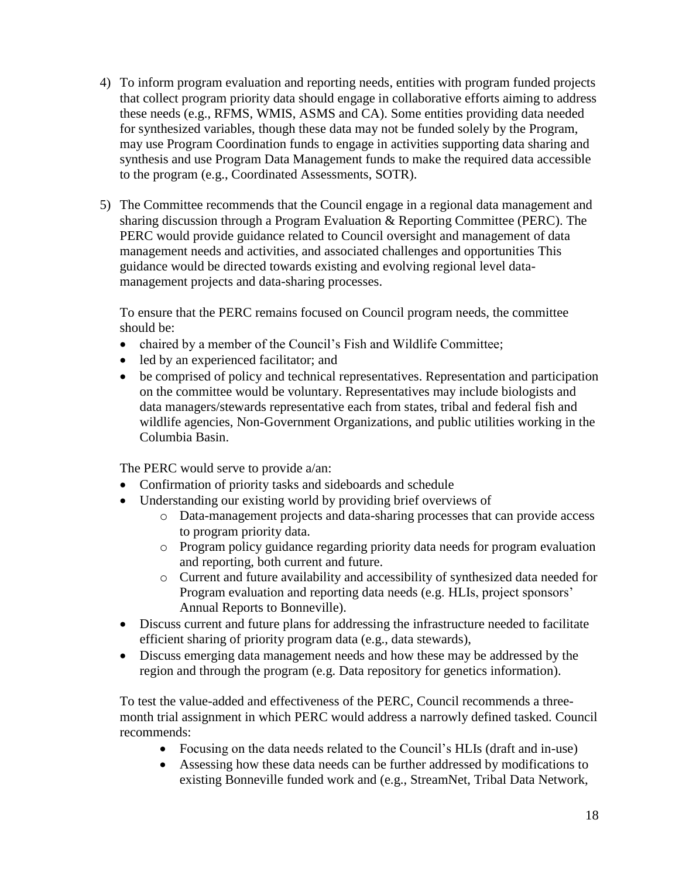- 4) To inform program evaluation and reporting needs, entities with program funded projects that collect program priority data should engage in collaborative efforts aiming to address these needs (e.g., RFMS, WMIS, ASMS and CA). Some entities providing data needed for synthesized variables, though these data may not be funded solely by the Program, may use Program Coordination funds to engage in activities supporting data sharing and synthesis and use Program Data Management funds to make the required data accessible to the program (e.g., Coordinated Assessments, SOTR).
- 5) The Committee recommends that the Council engage in a regional data management and sharing discussion through a Program Evaluation & Reporting Committee (PERC). The PERC would provide guidance related to Council oversight and management of data management needs and activities, and associated challenges and opportunities This guidance would be directed towards existing and evolving regional level datamanagement projects and data-sharing processes.

To ensure that the PERC remains focused on Council program needs, the committee should be:

- chaired by a member of the Council's Fish and Wildlife Committee;
- led by an experienced facilitator; and
- be comprised of policy and technical representatives. Representation and participation on the committee would be voluntary. Representatives may include biologists and data managers/stewards representative each from states, tribal and federal fish and wildlife agencies, Non-Government Organizations, and public utilities working in the Columbia Basin.

The PERC would serve to provide a/an:

- Confirmation of priority tasks and sideboards and schedule
- Understanding our existing world by providing brief overviews of
	- o Data-management projects and data-sharing processes that can provide access to program priority data.
	- o Program policy guidance regarding priority data needs for program evaluation and reporting, both current and future.
	- o Current and future availability and accessibility of synthesized data needed for Program evaluation and reporting data needs (e.g. HLIs, project sponsors' Annual Reports to Bonneville).
- Discuss current and future plans for addressing the infrastructure needed to facilitate efficient sharing of priority program data (e.g., data stewards),
- Discuss emerging data management needs and how these may be addressed by the region and through the program (e.g. Data repository for genetics information).

To test the value-added and effectiveness of the PERC, Council recommends a threemonth trial assignment in which PERC would address a narrowly defined tasked. Council recommends:

- Focusing on the data needs related to the Council's HLIs (draft and in-use)
- Assessing how these data needs can be further addressed by modifications to existing Bonneville funded work and (e.g., StreamNet, Tribal Data Network,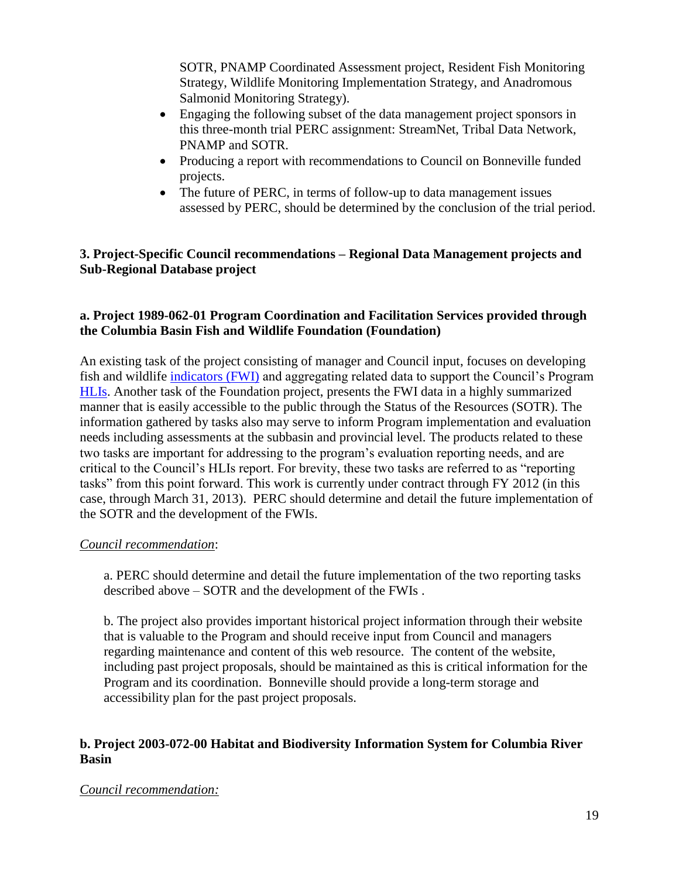SOTR, PNAMP Coordinated Assessment project, Resident Fish Monitoring Strategy, Wildlife Monitoring Implementation Strategy, and Anadromous Salmonid Monitoring Strategy).

- Engaging the following subset of the data management project sponsors in this three-month trial PERC assignment: StreamNet, Tribal Data Network, PNAMP and SOTR.
- Producing a report with recommendations to Council on Bonneville funded projects.
- The future of PERC, in terms of follow-up to data management issues assessed by PERC, should be determined by the conclusion of the trial period.

### **3. Project-Specific Council recommendations – Regional Data Management projects and Sub-Regional Database project**

### **a. Project 1989-062-01 Program Coordination and Facilitation Services provided through the Columbia Basin Fish and Wildlife Foundation (Foundation)**

An existing task of the project consisting of manager and Council input, focuses on developing fish and wildlife [indicators \(FWI\)](http://www.nwcouncil.org/fw/program/hli/Default.htm) and aggregating related data to support the Council's Program [HLIs.](http://www.nwcouncil.org/fw/program/hli/Default.htm) Another task of the Foundation project, presents the FWI data in a highly summarized manner that is easily accessible to the public through the Status of the Resources (SOTR). The information gathered by tasks also may serve to inform Program implementation and evaluation needs including assessments at the subbasin and provincial level. The products related to these two tasks are important for addressing to the program's evaluation reporting needs, and are critical to the Council's HLIs report. For brevity, these two tasks are referred to as "reporting tasks" from this point forward. This work is currently under contract through FY 2012 (in this case, through March 31, 2013). PERC should determine and detail the future implementation of the SOTR and the development of the FWIs.

### *Council recommendation*:

a. PERC should determine and detail the future implementation of the two reporting tasks described above – SOTR and the development of the FWIs .

b. The project also provides important historical project information through their website that is valuable to the Program and should receive input from Council and managers regarding maintenance and content of this web resource. The content of the website, including past project proposals, should be maintained as this is critical information for the Program and its coordination. Bonneville should provide a long-term storage and accessibility plan for the past project proposals.

### **b. Project 2003-072-00 Habitat and Biodiversity Information System for Columbia River Basin**

### *Council recommendation:*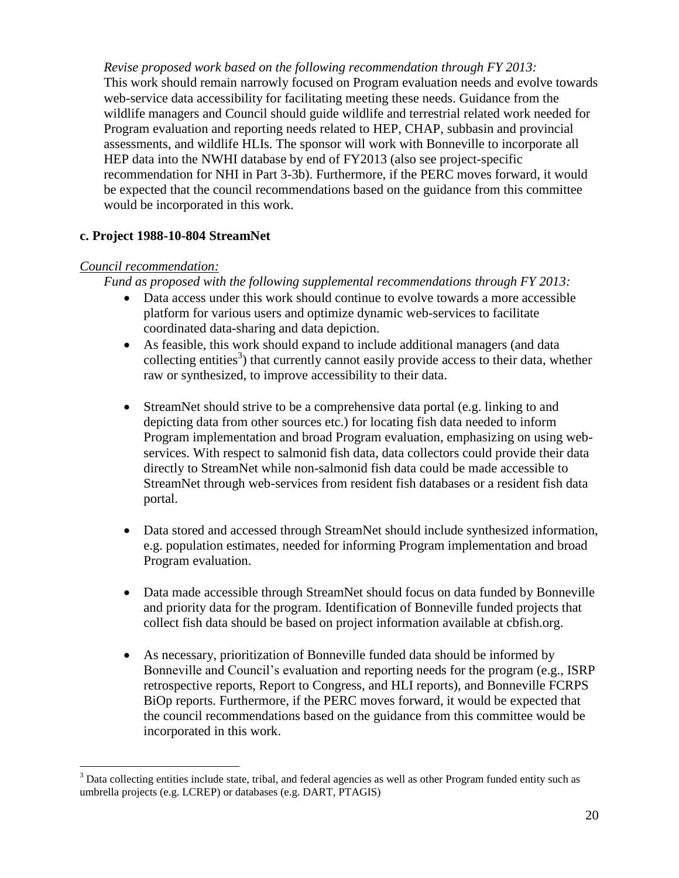*Revise proposed work based on the following recommendation through FY 2013:* This work should remain narrowly focused on Program evaluation needs and evolve towards web-service data accessibility for facilitating meeting these needs. Guidance from the wildlife managers and Council should guide wildlife and terrestrial related work needed for Program evaluation and reporting needs related to HEP, CHAP, subbasin and provincial assessments, and wildlife HLIs. The sponsor will work with Bonneville to incorporate all HEP data into the NWHI database by end of FY2013 (also see project-specific recommendation for NHI in Part 3-3b). Furthermore, if the PERC moves forward, it would be expected that the council recommendations based on the guidance from this committee would be incorporated in this work.

### **c. Project 1988-10-804 StreamNet**

### *Council recommendation:*

 $\overline{a}$ 

*Fund as proposed with the following supplemental recommendations through FY 2013:*

- Data access under this work should continue to evolve towards a more accessible platform for various users and optimize dynamic web-services to facilitate coordinated data-sharing and data depiction.
- As feasible, this work should expand to include additional managers (and data collecting entities<sup>3</sup>) that currently cannot easily provide access to their data, whether raw or synthesized, to improve accessibility to their data.
- StreamNet should strive to be a comprehensive data portal (e.g. linking to and depicting data from other sources etc.) for locating fish data needed to inform Program implementation and broad Program evaluation, emphasizing on using webservices. With respect to salmonid fish data, data collectors could provide their data directly to StreamNet while non-salmonid fish data could be made accessible to StreamNet through web-services from resident fish databases or a resident fish data portal.
- Data stored and accessed through StreamNet should include synthesized information, e.g. population estimates, needed for informing Program implementation and broad Program evaluation.
- Data made accessible through StreamNet should focus on data funded by Bonneville and priority data for the program. Identification of Bonneville funded projects that collect fish data should be based on project information available at cbfish.org.
- As necessary, prioritization of Bonneville funded data should be informed by Bonneville and Council's evaluation and reporting needs for the program (e.g., ISRP retrospective reports, Report to Congress, and HLI reports), and Bonneville FCRPS BiOp reports. Furthermore, if the PERC moves forward, it would be expected that the council recommendations based on the guidance from this committee would be incorporated in this work.

<sup>&</sup>lt;sup>3</sup> Data collecting entities include state, tribal, and federal agencies as well as other Program funded entity such as umbrella projects (e.g. LCREP) or databases (e.g. DART, PTAGIS)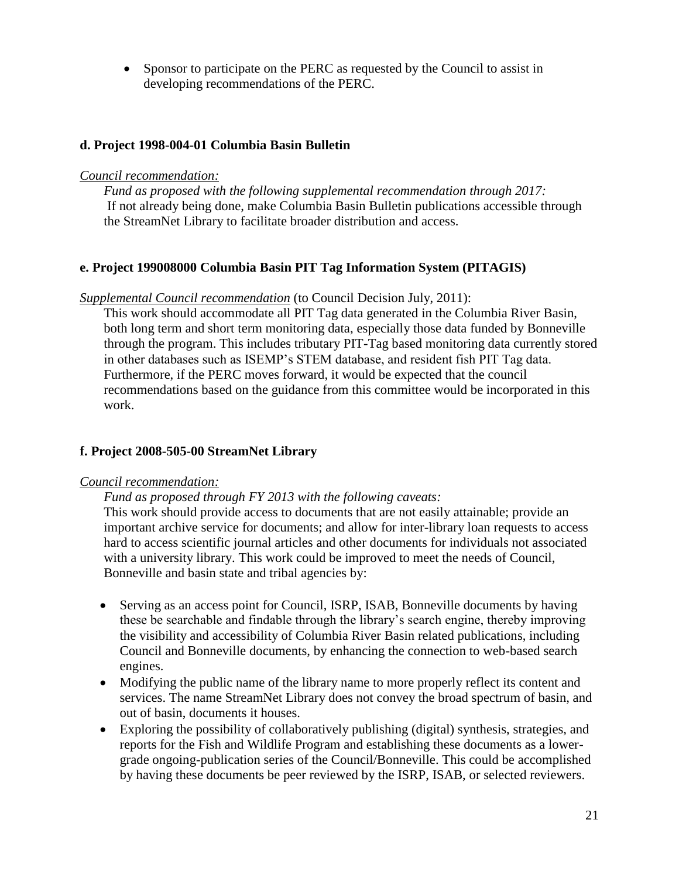• Sponsor to participate on the PERC as requested by the Council to assist in developing recommendations of the PERC.

### **d. Project 1998-004-01 Columbia Basin Bulletin**

#### *Council recommendation:*

*Fund as proposed with the following supplemental recommendation through 2017:* If not already being done, make Columbia Basin Bulletin publications accessible through the StreamNet Library to facilitate broader distribution and access.

### **e. Project 199008000 Columbia Basin PIT Tag Information System (PITAGIS)**

*Supplemental Council recommendation* (to Council Decision July, 2011):

This work should accommodate all PIT Tag data generated in the Columbia River Basin, both long term and short term monitoring data, especially those data funded by Bonneville through the program. This includes tributary PIT-Tag based monitoring data currently stored in other databases such as ISEMP's STEM database, and resident fish PIT Tag data. Furthermore, if the PERC moves forward, it would be expected that the council recommendations based on the guidance from this committee would be incorporated in this work.

### **f. Project 2008-505-00 StreamNet Library**

### *Council recommendation:*

*Fund as proposed through FY 2013 with the following caveats:*

This work should provide access to documents that are not easily attainable; provide an important archive service for documents; and allow for inter-library loan requests to access hard to access scientific journal articles and other documents for individuals not associated with a university library. This work could be improved to meet the needs of Council, Bonneville and basin state and tribal agencies by:

- Serving as an access point for Council, ISRP, ISAB, Bonneville documents by having these be searchable and findable through the library's search engine, thereby improving the visibility and accessibility of Columbia River Basin related publications, including Council and Bonneville documents, by enhancing the connection to web-based search engines.
- Modifying the public name of the library name to more properly reflect its content and services. The name StreamNet Library does not convey the broad spectrum of basin, and out of basin, documents it houses.
- Exploring the possibility of collaboratively publishing (digital) synthesis, strategies, and reports for the Fish and Wildlife Program and establishing these documents as a lowergrade ongoing-publication series of the Council/Bonneville. This could be accomplished by having these documents be peer reviewed by the ISRP, ISAB, or selected reviewers.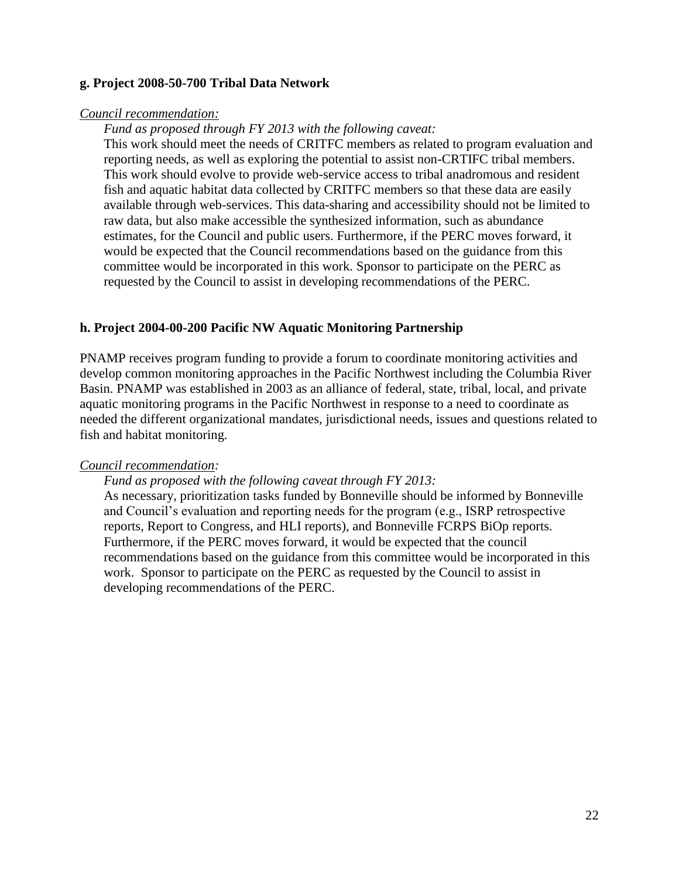### **g. Project 2008-50-700 Tribal Data Network**

#### *Council recommendation:*

*Fund as proposed through FY 2013 with the following caveat:*

This work should meet the needs of CRITFC members as related to program evaluation and reporting needs, as well as exploring the potential to assist non-CRTIFC tribal members. This work should evolve to provide web-service access to tribal anadromous and resident fish and aquatic habitat data collected by CRITFC members so that these data are easily available through web-services. This data-sharing and accessibility should not be limited to raw data, but also make accessible the synthesized information, such as abundance estimates, for the Council and public users. Furthermore, if the PERC moves forward, it would be expected that the Council recommendations based on the guidance from this committee would be incorporated in this work. Sponsor to participate on the PERC as requested by the Council to assist in developing recommendations of the PERC.

### **h. Project 2004-00-200 Pacific NW Aquatic Monitoring Partnership**

PNAMP receives program funding to provide a forum to coordinate monitoring activities and develop common monitoring approaches in the Pacific Northwest including the Columbia River Basin. PNAMP was established in 2003 as an alliance of federal, state, tribal, local, and private aquatic monitoring programs in the Pacific Northwest in response to a need to coordinate as needed the different organizational mandates, jurisdictional needs, issues and questions related to fish and habitat monitoring.

#### *Council recommendation:*

#### *Fund as proposed with the following caveat through FY 2013:*

As necessary, prioritization tasks funded by Bonneville should be informed by Bonneville and Council's evaluation and reporting needs for the program (e.g., ISRP retrospective reports, Report to Congress, and HLI reports), and Bonneville FCRPS BiOp reports. Furthermore, if the PERC moves forward, it would be expected that the council recommendations based on the guidance from this committee would be incorporated in this work. Sponsor to participate on the PERC as requested by the Council to assist in developing recommendations of the PERC.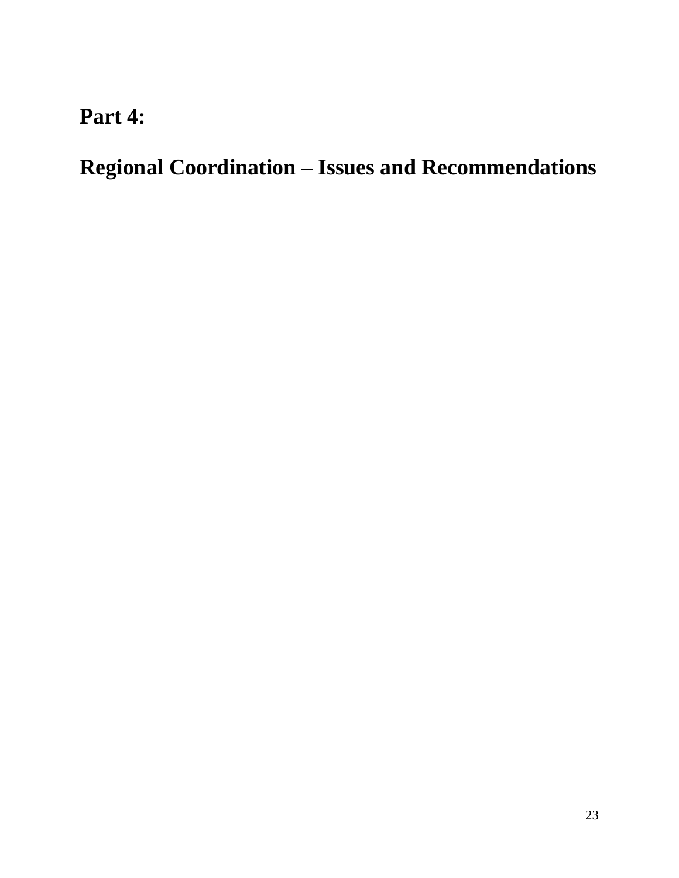# **Part 4:**

**Regional Coordination – Issues and Recommendations**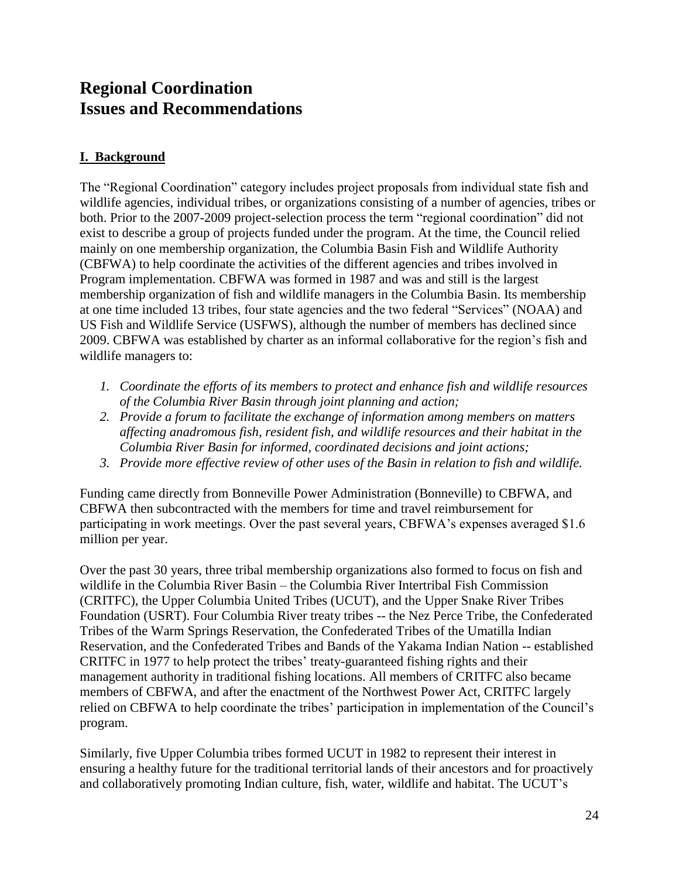# **Regional Coordination Issues and Recommendations**

# **I. Background**

The "Regional Coordination" category includes project proposals from individual state fish and wildlife agencies, individual tribes, or organizations consisting of a number of agencies, tribes or both. Prior to the 2007-2009 project-selection process the term "regional coordination" did not exist to describe a group of projects funded under the program. At the time, the Council relied mainly on one membership organization, the Columbia Basin Fish and Wildlife Authority (CBFWA) to help coordinate the activities of the different agencies and tribes involved in Program implementation. CBFWA was formed in 1987 and was and still is the largest membership organization of fish and wildlife managers in the Columbia Basin. Its membership at one time included 13 tribes, four state agencies and the two federal "Services" (NOAA) and US Fish and Wildlife Service (USFWS), although the number of members has declined since 2009. CBFWA was established by charter as an informal collaborative for the region's fish and wildlife managers to:

- *1. Coordinate the efforts of its members to protect and enhance fish and wildlife resources of the Columbia River Basin through joint planning and action;*
- *2. Provide a forum to facilitate the exchange of information among members on matters affecting anadromous fish, resident fish, and wildlife resources and their habitat in the Columbia River Basin for informed, coordinated decisions and joint actions;*
- *3. Provide more effective review of other uses of the Basin in relation to fish and wildlife.*

Funding came directly from Bonneville Power Administration (Bonneville) to CBFWA, and CBFWA then subcontracted with the members for time and travel reimbursement for participating in work meetings. Over the past several years, CBFWA's expenses averaged \$1.6 million per year.

Over the past 30 years, three tribal membership organizations also formed to focus on fish and wildlife in the Columbia River Basin – the Columbia River Intertribal Fish Commission (CRITFC), the Upper Columbia United Tribes (UCUT), and the Upper Snake River Tribes Foundation (USRT). Four Columbia River treaty tribes -- the Nez Perce Tribe, the Confederated Tribes of the Warm Springs Reservation, the Confederated Tribes of the Umatilla Indian Reservation, and the Confederated Tribes and Bands of the Yakama Indian Nation -- established CRITFC in 1977 to help protect the tribes' treaty-guaranteed fishing rights and their management authority in traditional fishing locations. All members of CRITFC also became members of CBFWA, and after the enactment of the Northwest Power Act, CRITFC largely relied on CBFWA to help coordinate the tribes' participation in implementation of the Council's program.

Similarly, five Upper Columbia tribes formed UCUT in 1982 to represent their interest in ensuring a healthy future for the traditional territorial lands of their ancestors and for proactively and collaboratively promoting Indian culture, fish, water, wildlife and habitat. The UCUT's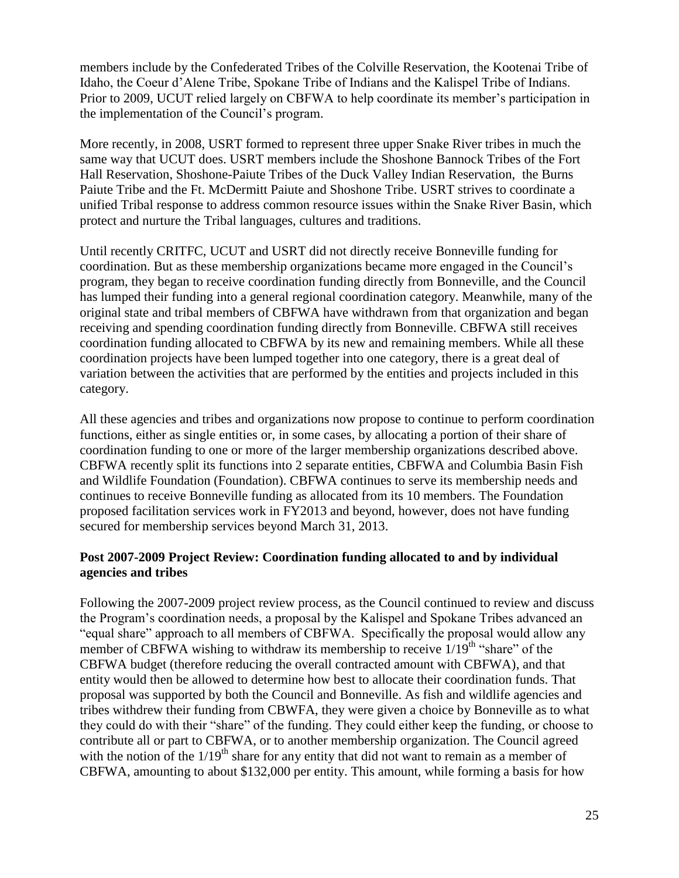members include by the Confederated Tribes of the Colville Reservation, the Kootenai Tribe of Idaho, the Coeur d'Alene Tribe, Spokane Tribe of Indians and the Kalispel Tribe of Indians. Prior to 2009, UCUT relied largely on CBFWA to help coordinate its member's participation in the implementation of the Council's program.

More recently, in 2008, USRT formed to represent three upper Snake River tribes in much the same way that UCUT does. USRT members include the Shoshone Bannock Tribes of the Fort Hall Reservation, Shoshone-Paiute Tribes of the Duck Valley Indian Reservation, the Burns Paiute Tribe and the Ft. McDermitt Paiute and Shoshone Tribe. USRT strives to coordinate a unified Tribal response to address common resource issues within the Snake River Basin, which protect and nurture the Tribal languages, cultures and traditions.

Until recently CRITFC, UCUT and USRT did not directly receive Bonneville funding for coordination. But as these membership organizations became more engaged in the Council's program, they began to receive coordination funding directly from Bonneville, and the Council has lumped their funding into a general regional coordination category. Meanwhile, many of the original state and tribal members of CBFWA have withdrawn from that organization and began receiving and spending coordination funding directly from Bonneville. CBFWA still receives coordination funding allocated to CBFWA by its new and remaining members. While all these coordination projects have been lumped together into one category, there is a great deal of variation between the activities that are performed by the entities and projects included in this category.

All these agencies and tribes and organizations now propose to continue to perform coordination functions, either as single entities or, in some cases, by allocating a portion of their share of coordination funding to one or more of the larger membership organizations described above. CBFWA recently split its functions into 2 separate entities, CBFWA and Columbia Basin Fish and Wildlife Foundation (Foundation). CBFWA continues to serve its membership needs and continues to receive Bonneville funding as allocated from its 10 members. The Foundation proposed facilitation services work in FY2013 and beyond, however, does not have funding secured for membership services beyond March 31, 2013.

### **Post 2007-2009 Project Review: Coordination funding allocated to and by individual agencies and tribes**

Following the 2007-2009 project review process, as the Council continued to review and discuss the Program's coordination needs, a proposal by the Kalispel and Spokane Tribes advanced an "equal share" approach to all members of CBFWA. Specifically the proposal would allow any member of CBFWA wishing to withdraw its membership to receive  $1/19<sup>th</sup>$  "share" of the CBFWA budget (therefore reducing the overall contracted amount with CBFWA), and that entity would then be allowed to determine how best to allocate their coordination funds. That proposal was supported by both the Council and Bonneville. As fish and wildlife agencies and tribes withdrew their funding from CBWFA, they were given a choice by Bonneville as to what they could do with their "share" of the funding. They could either keep the funding, or choose to contribute all or part to CBFWA, or to another membership organization. The Council agreed with the notion of the  $1/19<sup>th</sup>$  share for any entity that did not want to remain as a member of CBFWA, amounting to about \$132,000 per entity. This amount, while forming a basis for how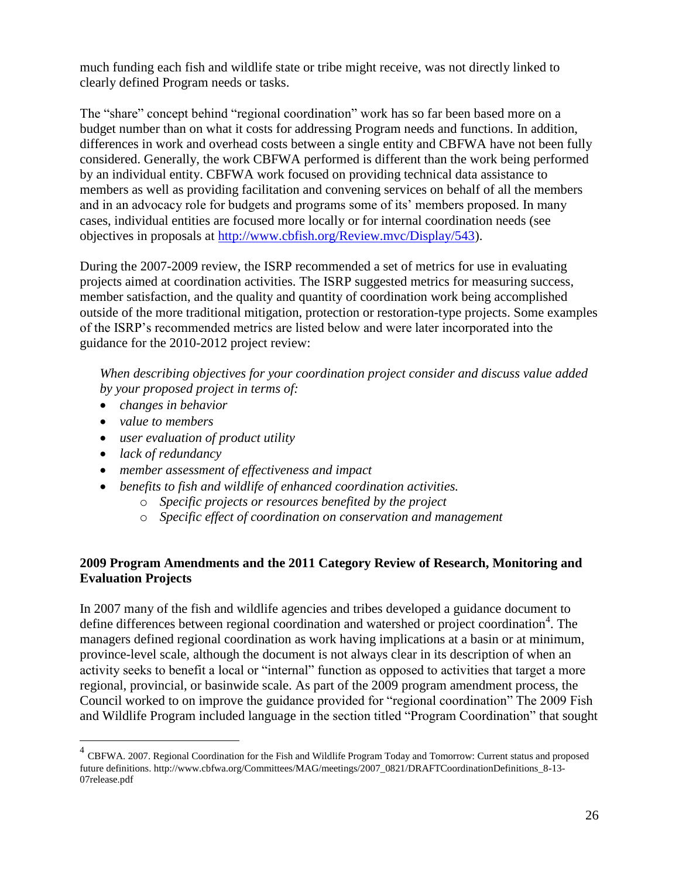much funding each fish and wildlife state or tribe might receive, was not directly linked to clearly defined Program needs or tasks.

The "share" concept behind "regional coordination" work has so far been based more on a budget number than on what it costs for addressing Program needs and functions. In addition, differences in work and overhead costs between a single entity and CBFWA have not been fully considered. Generally, the work CBFWA performed is different than the work being performed by an individual entity. CBFWA work focused on providing technical data assistance to members as well as providing facilitation and convening services on behalf of all the members and in an advocacy role for budgets and programs some of its' members proposed. In many cases, individual entities are focused more locally or for internal coordination needs (see objectives in proposals at [http://www.cbfish.org/Review.mvc/Display/543\)](http://www.cbfish.org/Review.mvc/Display/543).

During the 2007-2009 review, the ISRP recommended a set of metrics for use in evaluating projects aimed at coordination activities. The ISRP suggested metrics for measuring success, member satisfaction, and the quality and quantity of coordination work being accomplished outside of the more traditional mitigation, protection or restoration-type projects. Some examples of the ISRP's recommended metrics are listed below and were later incorporated into the guidance for the 2010-2012 project review:

*When describing objectives for your coordination project consider and discuss value added by your proposed project in terms of:*

- *changes in behavior*
- *value to members*
- *user evaluation of product utility*
- *lack of redundancy*

 $\overline{a}$ 

- *member assessment of effectiveness and impact*
- *benefits to fish and wildlife of enhanced coordination activities.* 
	- o *Specific projects or resources benefited by the project*
	- o *Specific effect of coordination on conservation and management*

## **2009 Program Amendments and the 2011 Category Review of Research, Monitoring and Evaluation Projects**

In 2007 many of the fish and wildlife agencies and tribes developed a guidance document to define differences between regional coordination and watershed or project coordination<sup>4</sup>. The managers defined regional coordination as work having implications at a basin or at minimum, province-level scale, although the document is not always clear in its description of when an activity seeks to benefit a local or "internal" function as opposed to activities that target a more regional, provincial, or basinwide scale. As part of the 2009 program amendment process, the Council worked to on improve the guidance provided for "regional coordination" The 2009 Fish and Wildlife Program included language in the section titled "Program Coordination" that sought

<sup>&</sup>lt;sup>4</sup> CBFWA. 2007. Regional Coordination for the Fish and Wildlife Program Today and Tomorrow: Current status and proposed future definitions. http://www.cbfwa.org/Committees/MAG/meetings/2007\_0821/DRAFTCoordinationDefinitions\_8-13- 07release.pdf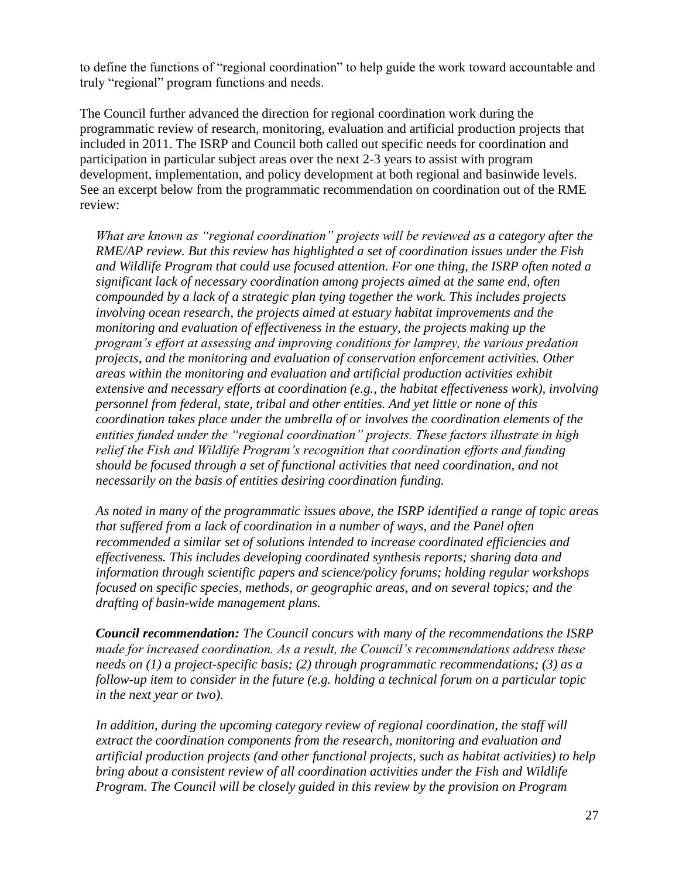to define the functions of "regional coordination" to help guide the work toward accountable and truly "regional" program functions and needs.

The Council further advanced the direction for regional coordination work during the programmatic review of research, monitoring, evaluation and artificial production projects that included in 2011. The ISRP and Council both called out specific needs for coordination and participation in particular subject areas over the next 2-3 years to assist with program development, implementation, and policy development at both regional and basinwide levels. See an excerpt below from the programmatic recommendation on coordination out of the RME review:

*What are known as "regional coordination" projects will be reviewed as a category after the RME/AP review. But this review has highlighted a set of coordination issues under the Fish and Wildlife Program that could use focused attention. For one thing, the ISRP often noted a significant lack of necessary coordination among projects aimed at the same end, often compounded by a lack of a strategic plan tying together the work. This includes projects involving ocean research, the projects aimed at estuary habitat improvements and the monitoring and evaluation of effectiveness in the estuary, the projects making up the program's effort at assessing and improving conditions for lamprey, the various predation projects, and the monitoring and evaluation of conservation enforcement activities. Other areas within the monitoring and evaluation and artificial production activities exhibit extensive and necessary efforts at coordination (e.g., the habitat effectiveness work), involving personnel from federal, state, tribal and other entities. And yet little or none of this coordination takes place under the umbrella of or involves the coordination elements of the entities funded under the "regional coordination" projects. These factors illustrate in high relief the Fish and Wildlife Program's recognition that coordination efforts and funding should be focused through a set of functional activities that need coordination, and not necessarily on the basis of entities desiring coordination funding.* 

*As noted in many of the programmatic issues above, the ISRP identified a range of topic areas that suffered from a lack of coordination in a number of ways, and the Panel often recommended a similar set of solutions intended to increase coordinated efficiencies and effectiveness. This includes developing coordinated synthesis reports; sharing data and information through scientific papers and science/policy forums; holding regular workshops focused on specific species, methods, or geographic areas, and on several topics; and the drafting of basin-wide management plans.* 

*Council recommendation: The Council concurs with many of the recommendations the ISRP made for increased coordination. As a result, the Council's recommendations address these needs on (1) a project-specific basis; (2) through programmatic recommendations; (3) as a follow-up item to consider in the future (e.g. holding a technical forum on a particular topic in the next year or two).* 

*In addition, during the upcoming category review of regional coordination, the staff will extract the coordination components from the research, monitoring and evaluation and artificial production projects (and other functional projects, such as habitat activities) to help bring about a consistent review of all coordination activities under the Fish and Wildlife Program. The Council will be closely guided in this review by the provision on Program*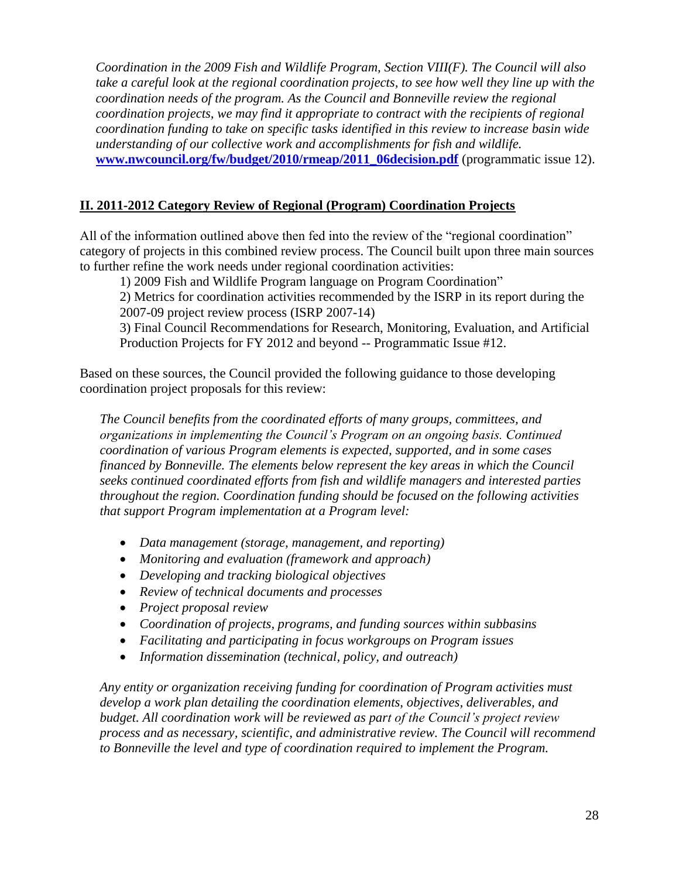*Coordination in the 2009 Fish and Wildlife Program, Section VIII(F). The Council will also take a careful look at the regional coordination projects, to see how well they line up with the coordination needs of the program. As the Council and Bonneville review the regional coordination projects, we may find it appropriate to contract with the recipients of regional coordination funding to take on specific tasks identified in this review to increase basin wide understanding of our collective work and accomplishments for fish and wildlife.* **[www.nwcouncil.org/fw/budget/2010/rmeap/2011\\_06decision.pdf](http://www.nwcouncil.org/fw/budget/2010/rmeap/2011_06decision.pdf)** (programmatic issue 12).

## **II. 2011-2012 Category Review of Regional (Program) Coordination Projects**

All of the information outlined above then fed into the review of the "regional coordination" category of projects in this combined review process. The Council built upon three main sources to further refine the work needs under regional coordination activities:

1) 2009 Fish and Wildlife Program language on Program Coordination"

2) Metrics for coordination activities recommended by the ISRP in its report during the 2007-09 project review process (ISRP 2007-14)

3) Final Council Recommendations for Research, Monitoring, Evaluation, and Artificial Production Projects for FY 2012 and beyond -- Programmatic Issue #12.

Based on these sources, the Council provided the following guidance to those developing coordination project proposals for this review:

*The Council benefits from the coordinated efforts of many groups, committees, and organizations in implementing the Council's Program on an ongoing basis. Continued coordination of various Program elements is expected, supported, and in some cases financed by Bonneville. The elements below represent the key areas in which the Council seeks continued coordinated efforts from fish and wildlife managers and interested parties throughout the region. Coordination funding should be focused on the following activities that support Program implementation at a Program level:*

- *Data management (storage, management, and reporting)*
- *Monitoring and evaluation (framework and approach)*
- *Developing and tracking biological objectives*
- *Review of technical documents and processes*
- *Project proposal review*
- *Coordination of projects, programs, and funding sources within subbasins*
- *Facilitating and participating in focus workgroups on Program issues*
- *Information dissemination (technical, policy, and outreach)*

*Any entity or organization receiving funding for coordination of Program activities must develop a work plan detailing the coordination elements, objectives, deliverables, and budget. All coordination work will be reviewed as part of the Council's project review process and as necessary, scientific, and administrative review. The Council will recommend to Bonneville the level and type of coordination required to implement the Program.*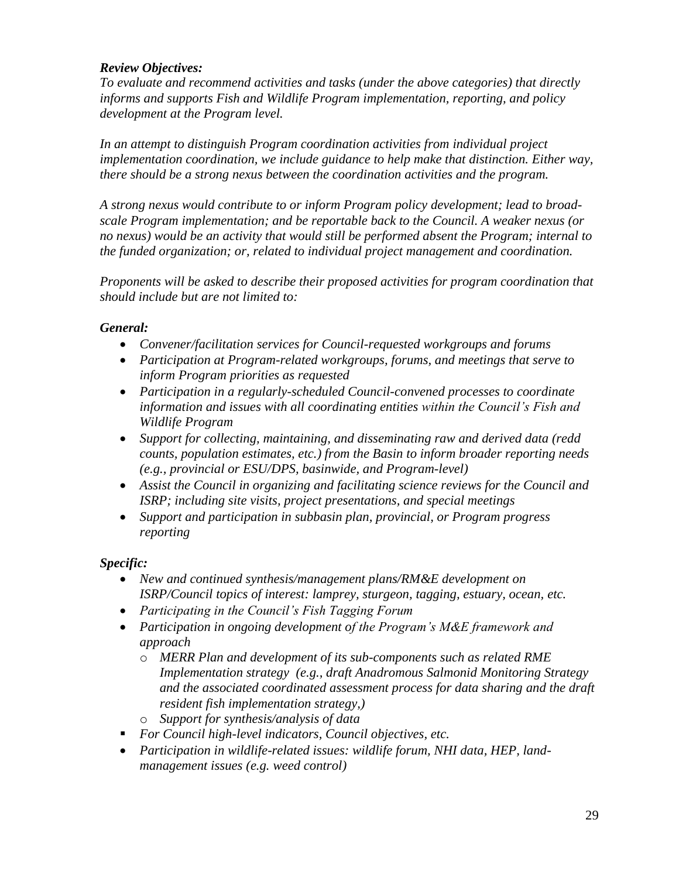### *Review Objectives:*

*To evaluate and recommend activities and tasks (under the above categories) that directly informs and supports Fish and Wildlife Program implementation, reporting, and policy development at the Program level.*

*In an attempt to distinguish Program coordination activities from individual project implementation coordination, we include guidance to help make that distinction. Either way, there should be a strong nexus between the coordination activities and the program.*

*A strong nexus would contribute to or inform Program policy development; lead to broadscale Program implementation; and be reportable back to the Council. A weaker nexus (or no nexus) would be an activity that would still be performed absent the Program; internal to the funded organization; or, related to individual project management and coordination.* 

*Proponents will be asked to describe their proposed activities for program coordination that should include but are not limited to:*

### *General:*

- *Convener/facilitation services for Council-requested workgroups and forums*
- *Participation at Program-related workgroups, forums, and meetings that serve to inform Program priorities as requested*
- *Participation in a regularly-scheduled Council-convened processes to coordinate information and issues with all coordinating entities within the Council's Fish and Wildlife Program*
- *Support for collecting, maintaining, and disseminating raw and derived data (redd counts, population estimates, etc.) from the Basin to inform broader reporting needs (e.g., provincial or ESU/DPS, basinwide, and Program-level)*
- *Assist the Council in organizing and facilitating science reviews for the Council and ISRP; including site visits, project presentations, and special meetings*
- *Support and participation in subbasin plan, provincial, or Program progress reporting*

# *Specific:*

- *New and continued synthesis/management plans/RM&E development on ISRP/Council topics of interest: lamprey, sturgeon, tagging, estuary, ocean, etc.*
- *Participating in the Council's Fish Tagging Forum*
- *Participation in ongoing development of the Program's M&E framework and approach* 
	- o *MERR Plan and development of its sub-components such as related RME Implementation strategy (e.g., draft Anadromous Salmonid Monitoring Strategy and the associated coordinated assessment process for data sharing and the draft resident fish implementation strategy,)*
	- o *Support for synthesis/analysis of data*
- *For Council high-level indicators, Council objectives, etc.*
- *Participation in wildlife-related issues: wildlife forum, NHI data, HEP, landmanagement issues (e.g. weed control)*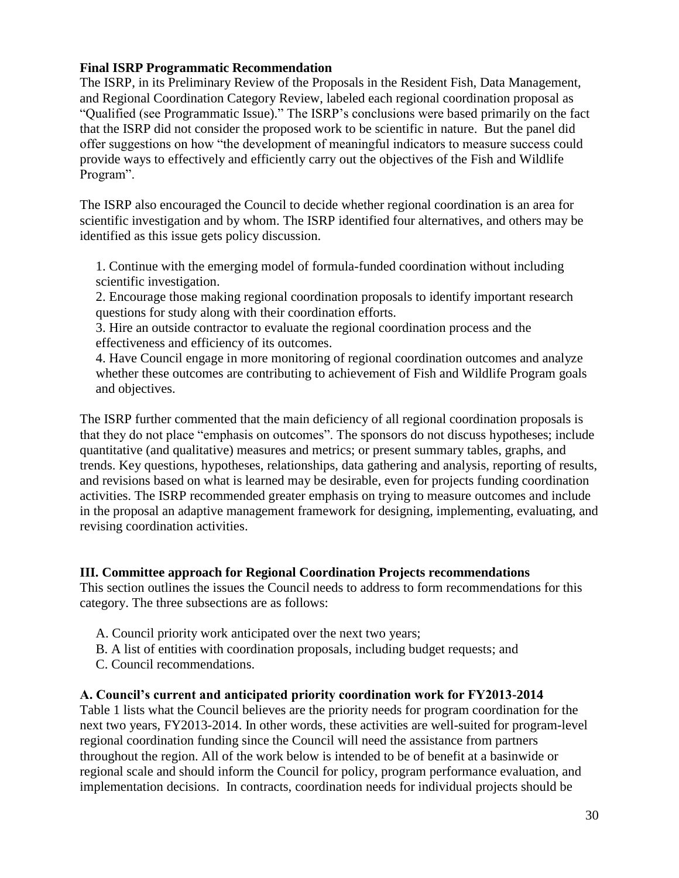### **Final ISRP Programmatic Recommendation**

The ISRP, in its Preliminary Review of the Proposals in the Resident Fish, Data Management, and Regional Coordination Category Review, labeled each regional coordination proposal as "Qualified (see Programmatic Issue)." The ISRP's conclusions were based primarily on the fact that the ISRP did not consider the proposed work to be scientific in nature. But the panel did offer suggestions on how "the development of meaningful indicators to measure success could provide ways to effectively and efficiently carry out the objectives of the Fish and Wildlife Program".

The ISRP also encouraged the Council to decide whether regional coordination is an area for scientific investigation and by whom. The ISRP identified four alternatives, and others may be identified as this issue gets policy discussion.

1. Continue with the emerging model of formula-funded coordination without including scientific investigation.

2. Encourage those making regional coordination proposals to identify important research questions for study along with their coordination efforts.

3. Hire an outside contractor to evaluate the regional coordination process and the effectiveness and efficiency of its outcomes.

4. Have Council engage in more monitoring of regional coordination outcomes and analyze whether these outcomes are contributing to achievement of Fish and Wildlife Program goals and objectives.

The ISRP further commented that the main deficiency of all regional coordination proposals is that they do not place "emphasis on outcomes". The sponsors do not discuss hypotheses; include quantitative (and qualitative) measures and metrics; or present summary tables, graphs, and trends. Key questions, hypotheses, relationships, data gathering and analysis, reporting of results, and revisions based on what is learned may be desirable, even for projects funding coordination activities. The ISRP recommended greater emphasis on trying to measure outcomes and include in the proposal an adaptive management framework for designing, implementing, evaluating, and revising coordination activities.

### **III. Committee approach for Regional Coordination Projects recommendations**

This section outlines the issues the Council needs to address to form recommendations for this category. The three subsections are as follows:

- A. Council priority work anticipated over the next two years;
- B. A list of entities with coordination proposals, including budget requests; and
- C. Council recommendations.

### **A. Council's current and anticipated priority coordination work for FY2013-2014**

Table 1 lists what the Council believes are the priority needs for program coordination for the next two years, FY2013-2014. In other words, these activities are well-suited for program-level regional coordination funding since the Council will need the assistance from partners throughout the region. All of the work below is intended to be of benefit at a basinwide or regional scale and should inform the Council for policy, program performance evaluation, and implementation decisions. In contracts, coordination needs for individual projects should be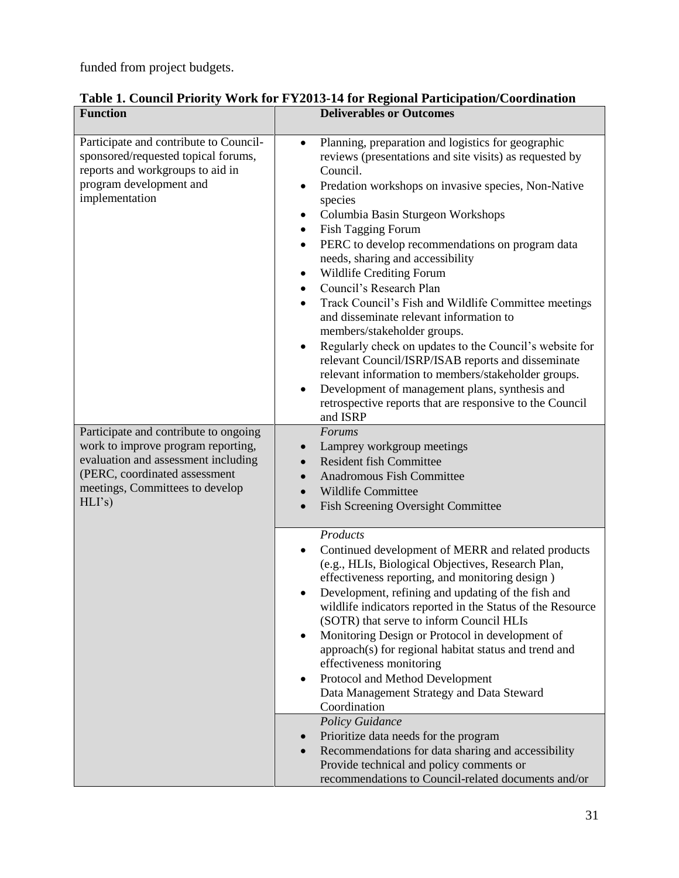funded from project budgets.

|  |  |  | Table 1. Council Priority Work for FY2013-14 for Regional Participation/Coordination |
|--|--|--|--------------------------------------------------------------------------------------|
|  |  |  |                                                                                      |

| <b>Function</b>                                                                                                                                                                                 | <b>Deliverables or Outcomes</b>                                                                                                                                                                                                                                                                                                                                                                                                                                                                                                                                                                                                                                                                                                                                                                                                                                                                                          |
|-------------------------------------------------------------------------------------------------------------------------------------------------------------------------------------------------|--------------------------------------------------------------------------------------------------------------------------------------------------------------------------------------------------------------------------------------------------------------------------------------------------------------------------------------------------------------------------------------------------------------------------------------------------------------------------------------------------------------------------------------------------------------------------------------------------------------------------------------------------------------------------------------------------------------------------------------------------------------------------------------------------------------------------------------------------------------------------------------------------------------------------|
| Participate and contribute to Council-<br>sponsored/requested topical forums,<br>reports and workgroups to aid in<br>program development and<br>implementation                                  | Planning, preparation and logistics for geographic<br>reviews (presentations and site visits) as requested by<br>Council.<br>Predation workshops on invasive species, Non-Native<br>٠<br>species<br>Columbia Basin Sturgeon Workshops<br>٠<br>Fish Tagging Forum<br>$\bullet$<br>PERC to develop recommendations on program data<br>needs, sharing and accessibility<br>Wildlife Crediting Forum<br>٠<br>Council's Research Plan<br>$\bullet$<br>Track Council's Fish and Wildlife Committee meetings<br>$\bullet$<br>and disseminate relevant information to<br>members/stakeholder groups.<br>Regularly check on updates to the Council's website for<br>$\bullet$<br>relevant Council/ISRP/ISAB reports and disseminate<br>relevant information to members/stakeholder groups.<br>Development of management plans, synthesis and<br>$\bullet$<br>retrospective reports that are responsive to the Council<br>and ISRP |
| Participate and contribute to ongoing<br>work to improve program reporting,<br>evaluation and assessment including<br>(PERC, coordinated assessment<br>meetings, Committees to develop<br>HLI's | Forums<br>Lamprey workgroup meetings<br><b>Resident fish Committee</b><br><b>Anadromous Fish Committee</b><br><b>Wildlife Committee</b><br>$\bullet$<br>Fish Screening Oversight Committee<br>$\bullet$                                                                                                                                                                                                                                                                                                                                                                                                                                                                                                                                                                                                                                                                                                                  |
|                                                                                                                                                                                                 | Products<br>Continued development of MERR and related products<br>(e.g., HLIs, Biological Objectives, Research Plan,<br>effectiveness reporting, and monitoring design)<br>Development, refining and updating of the fish and<br>wildlife indicators reported in the Status of the Resource<br>(SOTR) that serve to inform Council HLIs<br>Monitoring Design or Protocol in development of<br>$\bullet$<br>approach(s) for regional habitat status and trend and<br>effectiveness monitoring<br>Protocol and Method Development<br>$\bullet$<br>Data Management Strategy and Data Steward<br>Coordination                                                                                                                                                                                                                                                                                                                |
|                                                                                                                                                                                                 | <b>Policy Guidance</b><br>Prioritize data needs for the program<br>Recommendations for data sharing and accessibility<br>Provide technical and policy comments or<br>recommendations to Council-related documents and/or                                                                                                                                                                                                                                                                                                                                                                                                                                                                                                                                                                                                                                                                                                 |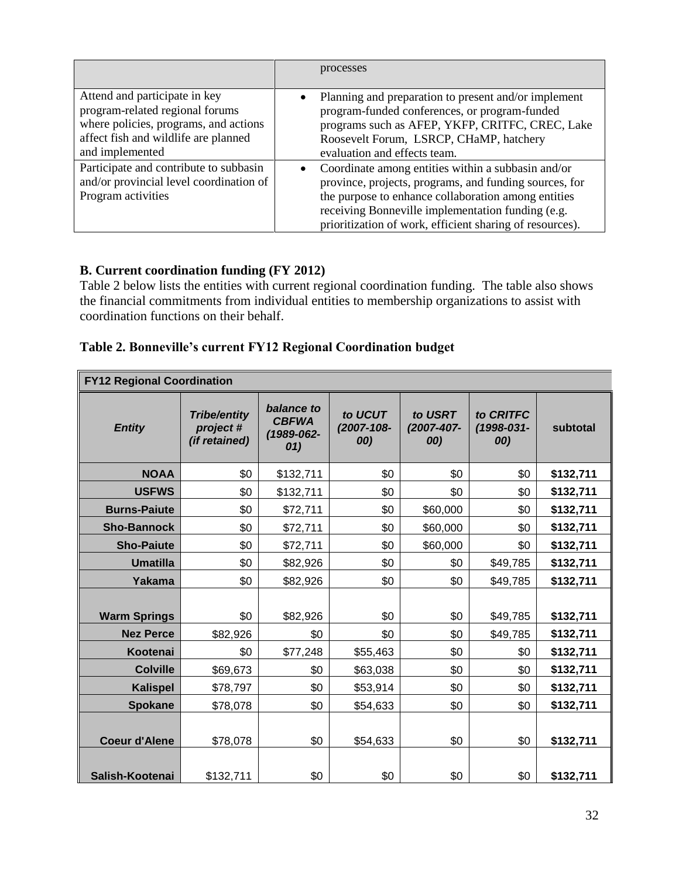|                                                                                                                                                                      | processes                                                                                                                                                                                                                                                                            |
|----------------------------------------------------------------------------------------------------------------------------------------------------------------------|--------------------------------------------------------------------------------------------------------------------------------------------------------------------------------------------------------------------------------------------------------------------------------------|
| Attend and participate in key<br>program-related regional forums<br>where policies, programs, and actions<br>affect fish and wildlife are planned<br>and implemented | Planning and preparation to present and/or implement<br>program-funded conferences, or program-funded<br>programs such as AFEP, YKFP, CRITFC, CREC, Lake<br>Roosevelt Forum, LSRCP, CHaMP, hatchery<br>evaluation and effects team.                                                  |
| Participate and contribute to subbasin<br>and/or provincial level coordination of<br>Program activities                                                              | Coordinate among entities within a subbasin and/or<br>province, projects, programs, and funding sources, for<br>the purpose to enhance collaboration among entities<br>receiving Bonneville implementation funding (e.g.<br>prioritization of work, efficient sharing of resources). |

# **B. Current coordination funding (FY 2012)**

Table 2 below lists the entities with current regional coordination funding. The table also shows the financial commitments from individual entities to membership organizations to assist with coordination functions on their behalf.

| Table 2. Bonneville's current FY12 Regional Coordination budget |  |  |  |
|-----------------------------------------------------------------|--|--|--|
|                                                                 |  |  |  |

| <b>FY12 Regional Coordination</b> |                                                  |                                                 |                              |                              |                                |           |  |  |  |  |
|-----------------------------------|--------------------------------------------------|-------------------------------------------------|------------------------------|------------------------------|--------------------------------|-----------|--|--|--|--|
| <b>Entity</b>                     | <b>Tribe/entity</b><br>project#<br>(if retained) | balance to<br><b>CBFWA</b><br>(1989-062-<br>01) | to UCUT<br>(2007-108-<br>00) | to USRT<br>(2007-407-<br>00) | to CRITFC<br>(1998-031-<br>00) | subtotal  |  |  |  |  |
| <b>NOAA</b>                       | \$0                                              | \$132,711                                       | \$0                          | \$0                          | \$0                            | \$132,711 |  |  |  |  |
| <b>USFWS</b>                      | \$0                                              | \$132,711                                       | \$0                          | \$0                          | \$0                            | \$132,711 |  |  |  |  |
| <b>Burns-Paiute</b>               | \$0                                              | \$72,711                                        | \$0                          | \$60,000                     | \$0                            | \$132,711 |  |  |  |  |
| <b>Sho-Bannock</b>                | \$0                                              | \$72,711                                        | \$0                          | \$60,000                     | \$0                            | \$132,711 |  |  |  |  |
| <b>Sho-Paiute</b>                 | \$0                                              | \$72,711                                        | \$0                          | \$60,000                     | \$0                            | \$132,711 |  |  |  |  |
| <b>Umatilla</b>                   | \$0                                              | \$82,926                                        | \$0                          | \$0                          | \$49,785                       | \$132,711 |  |  |  |  |
| Yakama                            | \$0                                              | \$82,926                                        | \$0                          | \$0                          | \$49,785                       | \$132,711 |  |  |  |  |
|                                   |                                                  |                                                 |                              |                              |                                |           |  |  |  |  |
| <b>Warm Springs</b>               | \$0                                              | \$82,926                                        | \$0                          | \$0                          | \$49,785                       | \$132,711 |  |  |  |  |
| <b>Nez Perce</b>                  | \$82,926                                         | \$0                                             | \$0                          | \$0                          | \$49,785                       | \$132,711 |  |  |  |  |
| Kootenai                          | \$0                                              | \$77,248                                        | \$55,463                     | \$0                          | \$0                            | \$132,711 |  |  |  |  |
| <b>Colville</b>                   | \$69,673                                         | \$0                                             | \$63,038                     | \$0                          | \$0                            | \$132,711 |  |  |  |  |
| <b>Kalispel</b>                   | \$78,797                                         | \$0                                             | \$53,914                     | \$0                          | \$0                            | \$132,711 |  |  |  |  |
| <b>Spokane</b>                    | \$78,078                                         | \$0                                             | \$54,633                     | \$0                          | \$0                            | \$132,711 |  |  |  |  |
| <b>Coeur d'Alene</b>              | \$78,078                                         | \$0                                             | \$54,633                     | \$0                          | \$0                            | \$132,711 |  |  |  |  |
| Salish-Kootenai                   | \$132,711                                        | \$0                                             | \$0                          | \$0                          | \$0                            | \$132,711 |  |  |  |  |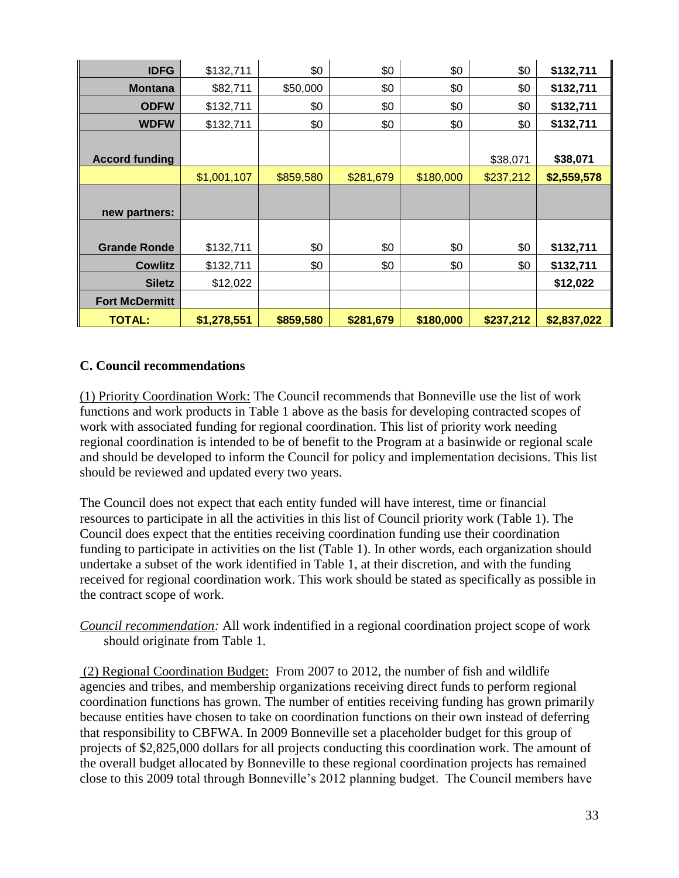| <b>IDFG</b>           | \$132,711   | \$0       | \$0       | \$0       | \$0       | \$132,711   |
|-----------------------|-------------|-----------|-----------|-----------|-----------|-------------|
| <b>Montana</b>        | \$82,711    | \$50,000  | \$0       | \$0       | \$0       | \$132,711   |
| <b>ODFW</b>           | \$132,711   | \$0       | \$0       | \$0       | \$0       | \$132,711   |
| <b>WDFW</b>           | \$132,711   | \$0       | \$0       | \$0       | \$0       | \$132,711   |
|                       |             |           |           |           |           |             |
| <b>Accord funding</b> |             |           |           |           | \$38,071  | \$38,071    |
|                       | \$1,001,107 | \$859,580 | \$281,679 | \$180,000 | \$237,212 | \$2,559,578 |
|                       |             |           |           |           |           |             |
| new partners:         |             |           |           |           |           |             |
|                       |             |           |           |           |           |             |
| <b>Grande Ronde</b>   | \$132,711   | \$0       | \$0       | \$0       | \$0       | \$132,711   |
| Cowlitz               | \$132,711   | \$0       | \$0       | \$0       | \$0       | \$132,711   |
| <b>Siletz</b>         | \$12,022    |           |           |           |           | \$12,022    |
| <b>Fort McDermitt</b> |             |           |           |           |           |             |
| <b>TOTAL:</b>         | \$1,278,551 | \$859,580 | \$281,679 | \$180,000 | \$237,212 | \$2,837,022 |

## **C. Council recommendations**

(1) Priority Coordination Work: The Council recommends that Bonneville use the list of work functions and work products in Table 1 above as the basis for developing contracted scopes of work with associated funding for regional coordination. This list of priority work needing regional coordination is intended to be of benefit to the Program at a basinwide or regional scale and should be developed to inform the Council for policy and implementation decisions. This list should be reviewed and updated every two years.

The Council does not expect that each entity funded will have interest, time or financial resources to participate in all the activities in this list of Council priority work (Table 1). The Council does expect that the entities receiving coordination funding use their coordination funding to participate in activities on the list (Table 1). In other words, each organization should undertake a subset of the work identified in Table 1, at their discretion, and with the funding received for regional coordination work. This work should be stated as specifically as possible in the contract scope of work.

*Council recommendation:* All work indentified in a regional coordination project scope of work should originate from Table 1.

(2) Regional Coordination Budget: From 2007 to 2012, the number of fish and wildlife agencies and tribes, and membership organizations receiving direct funds to perform regional coordination functions has grown. The number of entities receiving funding has grown primarily because entities have chosen to take on coordination functions on their own instead of deferring that responsibility to CBFWA. In 2009 Bonneville set a placeholder budget for this group of projects of \$2,825,000 dollars for all projects conducting this coordination work. The amount of the overall budget allocated by Bonneville to these regional coordination projects has remained close to this 2009 total through Bonneville's 2012 planning budget. The Council members have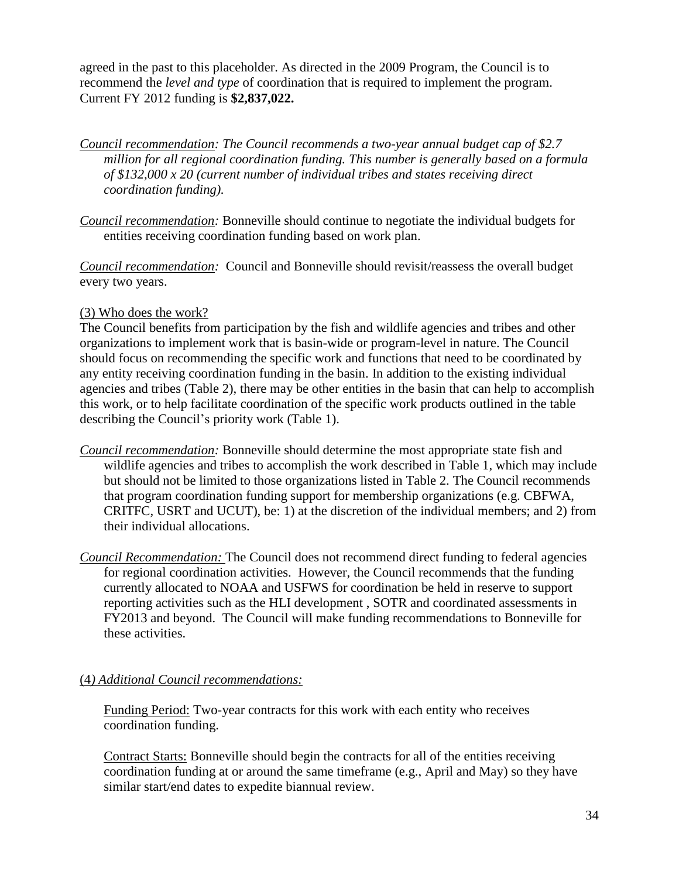agreed in the past to this placeholder. As directed in the 2009 Program, the Council is to recommend the *level and type* of coordination that is required to implement the program. Current FY 2012 funding is **\$2,837,022.** 

*Council recommendation: The Council recommends a two-year annual budget cap of \$2.7 million for all regional coordination funding. This number is generally based on a formula of \$132,000 x 20 (current number of individual tribes and states receiving direct coordination funding).* 

*Council recommendation:* Bonneville should continue to negotiate the individual budgets for entities receiving coordination funding based on work plan.

*Council recommendation:* Council and Bonneville should revisit/reassess the overall budget every two years.

### (3) Who does the work?

The Council benefits from participation by the fish and wildlife agencies and tribes and other organizations to implement work that is basin-wide or program-level in nature. The Council should focus on recommending the specific work and functions that need to be coordinated by any entity receiving coordination funding in the basin. In addition to the existing individual agencies and tribes (Table 2), there may be other entities in the basin that can help to accomplish this work, or to help facilitate coordination of the specific work products outlined in the table describing the Council's priority work (Table 1).

- *Council recommendation:* Bonneville should determine the most appropriate state fish and wildlife agencies and tribes to accomplish the work described in Table 1, which may include but should not be limited to those organizations listed in Table 2. The Council recommends that program coordination funding support for membership organizations (e.g. CBFWA, CRITFC, USRT and UCUT), be: 1) at the discretion of the individual members; and 2) from their individual allocations.
- *Council Recommendation:* The Council does not recommend direct funding to federal agencies for regional coordination activities. However, the Council recommends that the funding currently allocated to NOAA and USFWS for coordination be held in reserve to support reporting activities such as the HLI development , SOTR and coordinated assessments in FY2013 and beyond. The Council will make funding recommendations to Bonneville for these activities.

### (4*) Additional Council recommendations:*

Funding Period: Two-year contracts for this work with each entity who receives coordination funding.

Contract Starts: Bonneville should begin the contracts for all of the entities receiving coordination funding at or around the same timeframe (e.g., April and May) so they have similar start/end dates to expedite biannual review.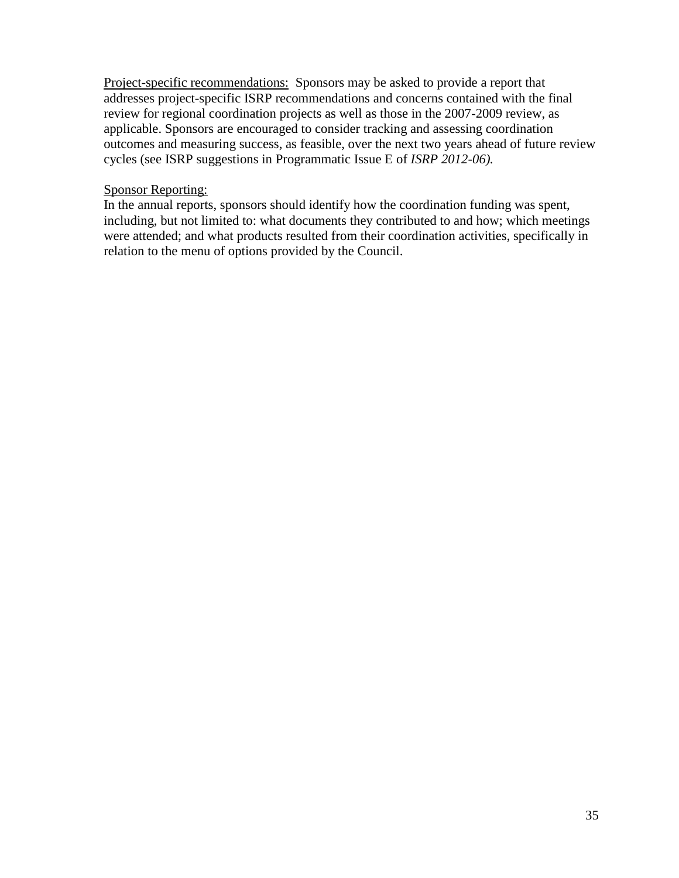Project-specific recommendations: Sponsors may be asked to provide a report that addresses project-specific ISRP recommendations and concerns contained with the final review for regional coordination projects as well as those in the 2007-2009 review, as applicable. Sponsors are encouraged to consider tracking and assessing coordination outcomes and measuring success, as feasible, over the next two years ahead of future review cycles (see ISRP suggestions in Programmatic Issue E of *ISRP 2012-06).*

#### Sponsor Reporting:

In the annual reports, sponsors should identify how the coordination funding was spent, including, but not limited to: what documents they contributed to and how; which meetings were attended; and what products resulted from their coordination activities, specifically in relation to the menu of options provided by the Council.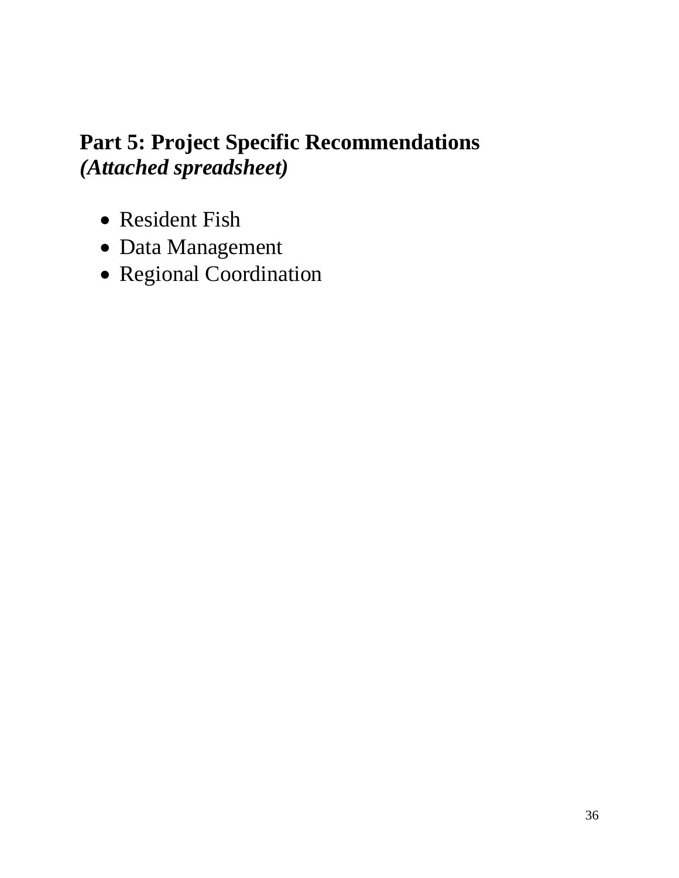# **Part 5: Project Specific Recommendations** *(Attached spreadsheet)*

- Resident Fish
- Data Management
- Regional Coordination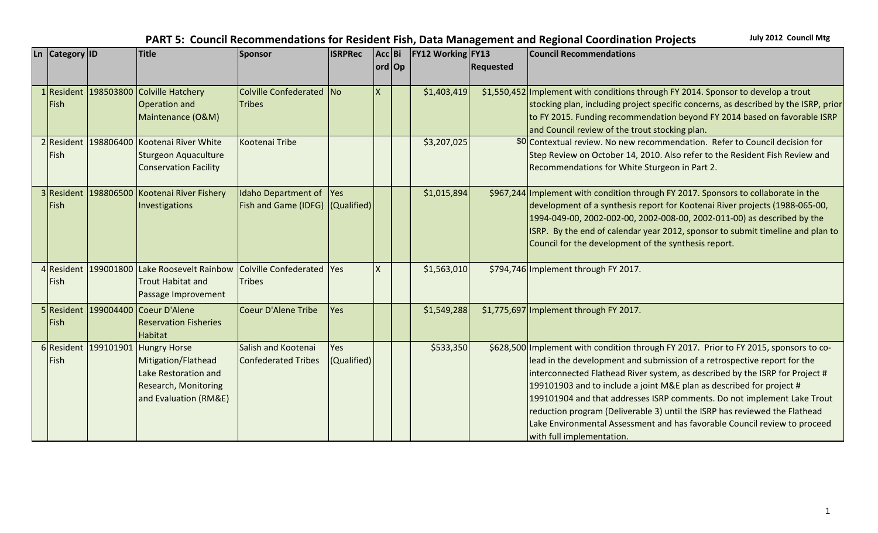| Ln Category ID | <b>Title</b>                                                          | Sponsor                          | <b>ISRPRec</b> | Acc Bi   | <b>FY12 Working FY13</b> |                  | <b>Council Recommendations</b>                                                        |
|----------------|-----------------------------------------------------------------------|----------------------------------|----------------|----------|--------------------------|------------------|---------------------------------------------------------------------------------------|
|                |                                                                       |                                  |                | ord Op   |                          | <b>Requested</b> |                                                                                       |
|                | 1 Resident 198503800 Colville Hatchery                                | Colville Confederated No         |                | <b>X</b> | \$1,403,419              |                  | \$1,550,452 Implement with conditions through FY 2014. Sponsor to develop a trout     |
| Fish           | <b>Operation and</b>                                                  | <b>Tribes</b>                    |                |          |                          |                  | stocking plan, including project specific concerns, as described by the ISRP, prior   |
|                | Maintenance (O&M)                                                     |                                  |                |          |                          |                  | to FY 2015. Funding recommendation beyond FY 2014 based on favorable ISRP             |
|                |                                                                       |                                  |                |          |                          |                  | and Council review of the trout stocking plan.                                        |
|                | 2 Resident 198806400 Kootenai River White                             | Kootenai Tribe                   |                |          | \$3,207,025              |                  | \$0 Contextual review. No new recommendation. Refer to Council decision for           |
| Fish           | Sturgeon Aquaculture                                                  |                                  |                |          |                          |                  | Step Review on October 14, 2010. Also refer to the Resident Fish Review and           |
|                | <b>Conservation Facility</b>                                          |                                  |                |          |                          |                  | Recommendations for White Sturgeon in Part 2.                                         |
|                |                                                                       |                                  |                |          |                          |                  |                                                                                       |
|                | 3 Resident 198806500 Kootenai River Fishery                           | <b>Idaho Department of</b>       | <b>Yes</b>     |          | \$1,015,894              |                  | \$967,244 Implement with condition through FY 2017. Sponsors to collaborate in the    |
| Fish           | Investigations                                                        | Fish and Game (IDFG) (Qualified) |                |          |                          |                  | development of a synthesis report for Kootenai River projects (1988-065-00,           |
|                |                                                                       |                                  |                |          |                          |                  | 1994-049-00, 2002-002-00, 2002-008-00, 2002-011-00) as described by the               |
|                |                                                                       |                                  |                |          |                          |                  | ISRP. By the end of calendar year 2012, sponsor to submit timeline and plan to        |
|                |                                                                       |                                  |                |          |                          |                  | Council for the development of the synthesis report.                                  |
|                |                                                                       |                                  |                |          |                          |                  |                                                                                       |
|                | 4 Resident 199001800 Lake Roosevelt Rainbow Colville Confederated Yes |                                  |                | <b>X</b> | \$1,563,010              |                  | \$794,746 Implement through FY 2017.                                                  |
| Fish           | <b>Trout Habitat and</b>                                              | <b>Tribes</b>                    |                |          |                          |                  |                                                                                       |
|                | Passage Improvement                                                   |                                  |                |          |                          |                  |                                                                                       |
|                | 5 Resident 199004400 Coeur D'Alene                                    | Coeur D'Alene Tribe              | Yes            |          | \$1,549,288              |                  | \$1,775,697 Implement through FY 2017.                                                |
| Fish           | <b>Reservation Fisheries</b>                                          |                                  |                |          |                          |                  |                                                                                       |
|                | <b>Habitat</b>                                                        |                                  |                |          |                          |                  |                                                                                       |
|                | 6 Resident 199101901 Hungry Horse                                     | Salish and Kootenai              | Yes            |          | \$533,350                |                  | \$628,500 Implement with condition through FY 2017. Prior to FY 2015, sponsors to co- |
| Fish           | Mitigation/Flathead                                                   | <b>Confederated Tribes</b>       | (Qualified)    |          |                          |                  | lead in the development and submission of a retrospective report for the              |
|                | Lake Restoration and                                                  |                                  |                |          |                          |                  | interconnected Flathead River system, as described by the ISRP for Project #          |
|                | Research, Monitoring                                                  |                                  |                |          |                          |                  | 199101903 and to include a joint M&E plan as described for project #                  |
|                | and Evaluation (RM&E)                                                 |                                  |                |          |                          |                  | 199101904 and that addresses ISRP comments. Do not implement Lake Trout               |
|                |                                                                       |                                  |                |          |                          |                  | reduction program (Deliverable 3) until the ISRP has reviewed the Flathead            |
|                |                                                                       |                                  |                |          |                          |                  | Lake Environmental Assessment and has favorable Council review to proceed             |
|                |                                                                       |                                  |                |          |                          |                  | with full implementation.                                                             |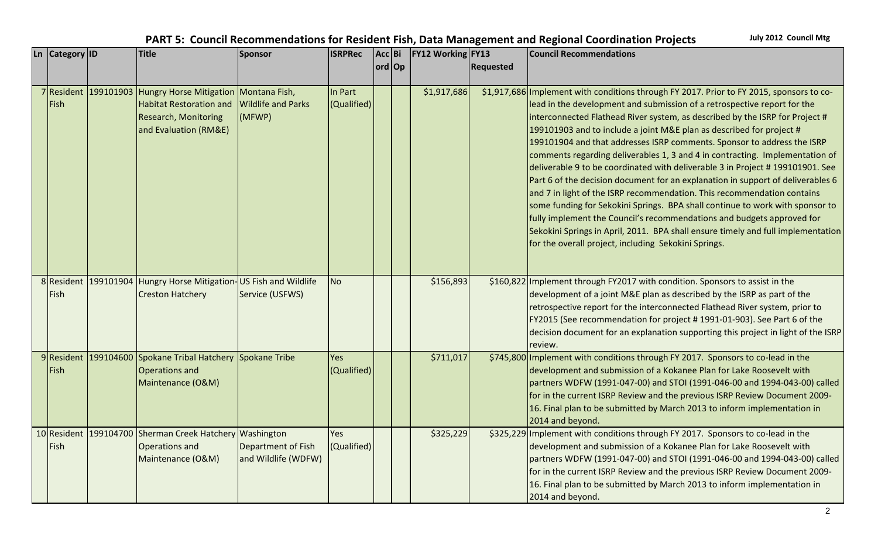| PART 5: Council Recommendations for Resident Fish, Data Management and Regional Coordination Projects | July 2012 Council Mtg |
|-------------------------------------------------------------------------------------------------------|-----------------------|
|-------------------------------------------------------------------------------------------------------|-----------------------|

| Ln Category ID      | <b>Title</b>                                                                                                                              | Sponsor                                   | <b>ISRPRec</b>         | Acc Bi | <b>FY12 Working FY13</b> |                  | <b>Council Recommendations</b>                                                                                                                                                                                                                                                                                                                                                                                                                                                                                                                                                                                                                                                                                                                                                                                                                                                                                                                                                                                                                |
|---------------------|-------------------------------------------------------------------------------------------------------------------------------------------|-------------------------------------------|------------------------|--------|--------------------------|------------------|-----------------------------------------------------------------------------------------------------------------------------------------------------------------------------------------------------------------------------------------------------------------------------------------------------------------------------------------------------------------------------------------------------------------------------------------------------------------------------------------------------------------------------------------------------------------------------------------------------------------------------------------------------------------------------------------------------------------------------------------------------------------------------------------------------------------------------------------------------------------------------------------------------------------------------------------------------------------------------------------------------------------------------------------------|
|                     |                                                                                                                                           |                                           |                        | ord Op |                          | <b>Requested</b> |                                                                                                                                                                                                                                                                                                                                                                                                                                                                                                                                                                                                                                                                                                                                                                                                                                                                                                                                                                                                                                               |
| 7 Resident<br>Fish  | 199101903 Hungry Horse Mitigation Montana Fish,<br><b>Habitat Restoration and</b><br><b>Research, Monitoring</b><br>and Evaluation (RM&E) | <b>Wildlife and Parks</b><br>(MFWP)       | In Part<br>(Qualified) |        | \$1,917,686              |                  | \$1,917,686 Implement with conditions through FY 2017. Prior to FY 2015, sponsors to co-<br>lead in the development and submission of a retrospective report for the<br>interconnected Flathead River system, as described by the ISRP for Project #<br>199101903 and to include a joint M&E plan as described for project #<br>199101904 and that addresses ISRP comments. Sponsor to address the ISRP<br>comments regarding deliverables 1, 3 and 4 in contracting. Implementation of<br>deliverable 9 to be coordinated with deliverable 3 in Project #199101901. See<br>Part 6 of the decision document for an explanation in support of deliverables 6<br>and 7 in light of the ISRP recommendation. This recommendation contains<br>some funding for Sekokini Springs. BPA shall continue to work with sponsor to<br>fully implement the Council's recommendations and budgets approved for<br>Sekokini Springs in April, 2011. BPA shall ensure timely and full implementation<br>for the overall project, including Sekokini Springs. |
| 8 Resident<br>Fish  | 199101904 Hungry Horse Mitigation-US Fish and Wildlife<br><b>Creston Hatchery</b>                                                         | Service (USFWS)                           | <b>No</b>              |        | \$156,893                |                  | \$160,822 Implement through FY2017 with condition. Sponsors to assist in the<br>development of a joint M&E plan as described by the ISRP as part of the<br>retrospective report for the interconnected Flathead River system, prior to<br>FY2015 (See recommendation for project # 1991-01-903). See Part 6 of the<br>decision document for an explanation supporting this project in light of the ISRP<br>review.                                                                                                                                                                                                                                                                                                                                                                                                                                                                                                                                                                                                                            |
| 9 Resident<br>Fish  | 199104600 Spokane Tribal Hatchery Spokane Tribe<br><b>Operations and</b><br>Maintenance (O&M)                                             |                                           | Yes<br>(Qualified)     |        | \$711,017                |                  | \$745,800 Implement with conditions through FY 2017. Sponsors to co-lead in the<br>development and submission of a Kokanee Plan for Lake Roosevelt with<br>partners WDFW (1991-047-00) and STOI (1991-046-00 and 1994-043-00) called<br>for in the current ISRP Review and the previous ISRP Review Document 2009-<br>16. Final plan to be submitted by March 2013 to inform implementation in<br>2014 and beyond.                                                                                                                                                                                                                                                                                                                                                                                                                                                                                                                                                                                                                            |
| 10 Resident<br>Fish | 199104700 Sherman Creek Hatchery Washington<br>Operations and<br>Maintenance (O&M)                                                        | Department of Fish<br>and Wildlife (WDFW) | Yes<br>(Qualified)     |        | \$325,229                |                  | \$325,229 Implement with conditions through FY 2017. Sponsors to co-lead in the<br>development and submission of a Kokanee Plan for Lake Roosevelt with<br>partners WDFW (1991-047-00) and STOI (1991-046-00 and 1994-043-00) called<br>for in the current ISRP Review and the previous ISRP Review Document 2009-<br>16. Final plan to be submitted by March 2013 to inform implementation in<br>2014 and beyond.                                                                                                                                                                                                                                                                                                                                                                                                                                                                                                                                                                                                                            |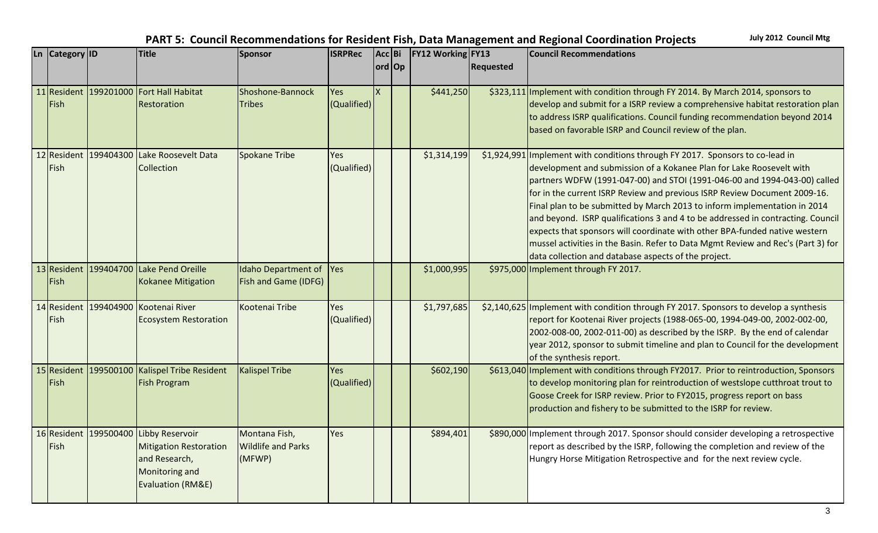| <b>Ln</b> | <b>Category</b> ID | <b>Title</b>                                                                                                                   | Sponsor                                              | <b>ISRPRec</b>     | Acc Bi | <b>FY12 Working FY13</b> |                  | <b>Council Recommendations</b>                                                                                                                                                                                                                                                                                                                                                                                                                                                                                                                                                                                                                                                                              |
|-----------|--------------------|--------------------------------------------------------------------------------------------------------------------------------|------------------------------------------------------|--------------------|--------|--------------------------|------------------|-------------------------------------------------------------------------------------------------------------------------------------------------------------------------------------------------------------------------------------------------------------------------------------------------------------------------------------------------------------------------------------------------------------------------------------------------------------------------------------------------------------------------------------------------------------------------------------------------------------------------------------------------------------------------------------------------------------|
|           |                    |                                                                                                                                |                                                      |                    | ord Op |                          | <b>Requested</b> |                                                                                                                                                                                                                                                                                                                                                                                                                                                                                                                                                                                                                                                                                                             |
|           | Fish               | 11 Resident 199201000 Fort Hall Habitat<br><b>Restoration</b>                                                                  | Shoshone-Bannock<br><b>Tribes</b>                    | Yes<br>(Qualified) |        | \$441,250                |                  | \$323,111 Implement with condition through FY 2014. By March 2014, sponsors to<br>develop and submit for a ISRP review a comprehensive habitat restoration plan<br>to address ISRP qualifications. Council funding recommendation beyond 2014<br>based on favorable ISRP and Council review of the plan.                                                                                                                                                                                                                                                                                                                                                                                                    |
|           | l Fish             | 12 Resident 199404300 Lake Roosevelt Data<br>Collection                                                                        | Spokane Tribe                                        | Yes<br>(Qualified) |        | \$1,314,199              |                  | \$1,924,991   Implement with conditions through FY 2017. Sponsors to co-lead in<br>development and submission of a Kokanee Plan for Lake Roosevelt with<br>partners WDFW (1991-047-00) and STOI (1991-046-00 and 1994-043-00) called<br>for in the current ISRP Review and previous ISRP Review Document 2009-16.<br>Final plan to be submitted by March 2013 to inform implementation in 2014<br>and beyond. ISRP qualifications 3 and 4 to be addressed in contracting. Council<br>expects that sponsors will coordinate with other BPA-funded native western<br>mussel activities in the Basin. Refer to Data Mgmt Review and Rec's (Part 3) for<br>data collection and database aspects of the project. |
|           | Fish               | 13 Resident 199404700 Lake Pend Oreille<br><b>Kokanee Mitigation</b>                                                           | Idaho Department of<br><b>Fish and Game (IDFG)</b>   | Yes                |        | \$1,000,995              |                  | \$975,000 Implement through FY 2017.                                                                                                                                                                                                                                                                                                                                                                                                                                                                                                                                                                                                                                                                        |
|           | Fish               | 14 Resident 199404900 Kootenai River<br><b>Ecosystem Restoration</b>                                                           | Kootenai Tribe                                       | Yes<br>(Qualified) |        | \$1,797,685              |                  | \$2,140,625 Implement with condition through FY 2017. Sponsors to develop a synthesis<br>report for Kootenai River projects (1988-065-00, 1994-049-00, 2002-002-00,<br>2002-008-00, 2002-011-00) as described by the ISRP. By the end of calendar<br>year 2012, sponsor to submit timeline and plan to Council for the development<br>of the synthesis report.                                                                                                                                                                                                                                                                                                                                              |
|           | Fish               | 15 Resident 199500100 Kalispel Tribe Resident<br><b>Fish Program</b>                                                           | Kalispel Tribe                                       | Yes<br>(Qualified) |        | \$602,190                |                  | \$613,040 Implement with conditions through FY2017. Prior to reintroduction, Sponsors<br>to develop monitoring plan for reintroduction of westslope cutthroat trout to<br>Goose Creek for ISRP review. Prior to FY2015, progress report on bass<br>production and fishery to be submitted to the ISRP for review.                                                                                                                                                                                                                                                                                                                                                                                           |
|           | Fish               | 16 Resident 199500400 Libby Reservoir<br><b>Mitigation Restoration</b><br>and Research,<br>Monitoring and<br>Evaluation (RM&E) | Montana Fish,<br><b>Wildlife and Parks</b><br>(MFWP) | Yes                |        | \$894,401                |                  | \$890,000 Implement through 2017. Sponsor should consider developing a retrospective<br>report as described by the ISRP, following the completion and review of the<br>Hungry Horse Mitigation Retrospective and for the next review cycle.                                                                                                                                                                                                                                                                                                                                                                                                                                                                 |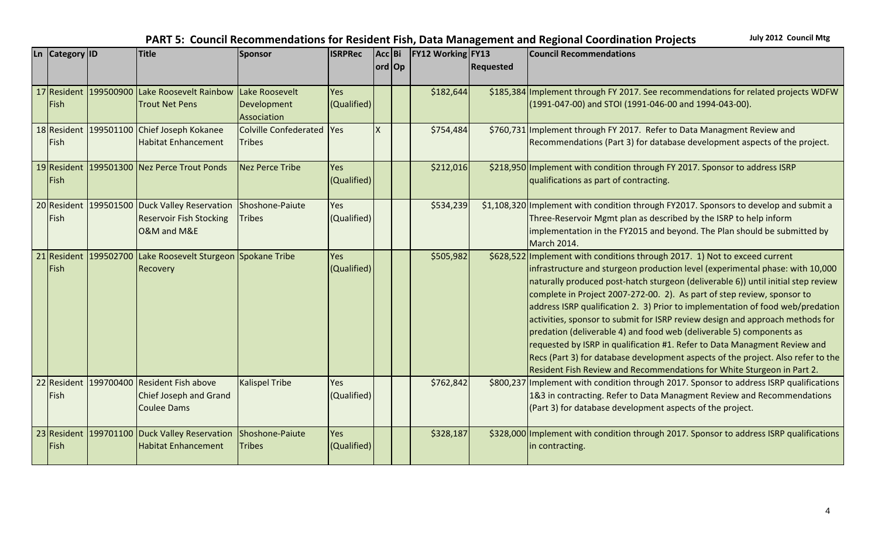| Ln Category ID | <b>Title</b>                                                                                     | Sponsor                                      | <b>ISRPRec</b>     | Acc Bi |        | <b>FY12 Working FY13</b> |                  | <b>Council Recommendations</b>                                                                                                                                                                                                                                                                                                                                                                                                                                                                                                                                                                                                                                                                                                                                                                                    |
|----------------|--------------------------------------------------------------------------------------------------|----------------------------------------------|--------------------|--------|--------|--------------------------|------------------|-------------------------------------------------------------------------------------------------------------------------------------------------------------------------------------------------------------------------------------------------------------------------------------------------------------------------------------------------------------------------------------------------------------------------------------------------------------------------------------------------------------------------------------------------------------------------------------------------------------------------------------------------------------------------------------------------------------------------------------------------------------------------------------------------------------------|
|                |                                                                                                  |                                              |                    |        | ord Op |                          | <b>Requested</b> |                                                                                                                                                                                                                                                                                                                                                                                                                                                                                                                                                                                                                                                                                                                                                                                                                   |
| Fish           | 17 Resident 199500900 Lake Roosevelt Rainbow<br><b>Trout Net Pens</b>                            | Lake Roosevelt<br>Development<br>Association | Yes<br>(Qualified) |        |        | \$182,644                |                  | \$185,384 Implement through FY 2017. See recommendations for related projects WDFW<br>(1991-047-00) and STOI (1991-046-00 and 1994-043-00).                                                                                                                                                                                                                                                                                                                                                                                                                                                                                                                                                                                                                                                                       |
| Fish           | 18 Resident 199501100 Chief Joseph Kokanee<br><b>Habitat Enhancement</b>                         | Colville Confederated   Yes<br><b>Tribes</b> |                    | X.     |        | \$754,484                |                  | \$760,731 Implement through FY 2017. Refer to Data Managment Review and<br>Recommendations (Part 3) for database development aspects of the project.                                                                                                                                                                                                                                                                                                                                                                                                                                                                                                                                                                                                                                                              |
| Fish           | 19 Resident 199501300 Nez Perce Trout Ponds                                                      | Nez Perce Tribe                              | Yes<br>(Qualified) |        |        | \$212,016                |                  | \$218,950 Implement with condition through FY 2017. Sponsor to address ISRP<br>qualifications as part of contracting.                                                                                                                                                                                                                                                                                                                                                                                                                                                                                                                                                                                                                                                                                             |
| Fish           | 20 Resident 199501500 Duck Valley Reservation<br><b>Reservoir Fish Stocking</b><br>O&M and M&E   | Shoshone-Paiute<br><b>Tribes</b>             | Yes<br>(Qualified) |        |        | \$534,239                |                  | \$1,108,320 Implement with condition through FY2017. Sponsors to develop and submit a<br>Three-Reservoir Mgmt plan as described by the ISRP to help inform<br>implementation in the FY2015 and beyond. The Plan should be submitted by<br>March 2014.                                                                                                                                                                                                                                                                                                                                                                                                                                                                                                                                                             |
| <b>Fish</b>    | 21 Resident 199502700 Lake Roosevelt Sturgeon Spokane Tribe<br>Recovery                          |                                              | Yes<br>(Qualified) |        |        | \$505,982                |                  | \$628,522 Implement with conditions through 2017. 1) Not to exceed current<br>infrastructure and sturgeon production level (experimental phase: with 10,000<br>naturally produced post-hatch sturgeon (deliverable 6)) until initial step review<br>complete in Project 2007-272-00. 2). As part of step review, sponsor to<br>address ISRP qualification 2. 3) Prior to implementation of food web/predation<br>activities, sponsor to submit for ISRP review design and approach methods for<br>predation (deliverable 4) and food web (deliverable 5) components as<br>requested by ISRP in qualification #1. Refer to Data Managment Review and<br>Recs (Part 3) for database development aspects of the project. Also refer to the<br>Resident Fish Review and Recommendations for White Sturgeon in Part 2. |
| Fish           | 22 Resident 199700400 Resident Fish above<br><b>Chief Joseph and Grand</b><br><b>Coulee Dams</b> | <b>Kalispel Tribe</b>                        | Yes<br>(Qualified) |        |        | \$762,842                |                  | \$800,237 Implement with condition through 2017. Sponsor to address ISRP qualifications<br>1&3 in contracting. Refer to Data Managment Review and Recommendations<br>(Part 3) for database development aspects of the project.                                                                                                                                                                                                                                                                                                                                                                                                                                                                                                                                                                                    |
| Fish           | 23 Resident 199701100 Duck Valley Reservation<br><b>Habitat Enhancement</b>                      | Shoshone-Paiute<br><b>Tribes</b>             | Yes<br>(Qualified) |        |        | \$328,187                |                  | \$328,000 Implement with condition through 2017. Sponsor to address ISRP qualifications<br>in contracting.                                                                                                                                                                                                                                                                                                                                                                                                                                                                                                                                                                                                                                                                                                        |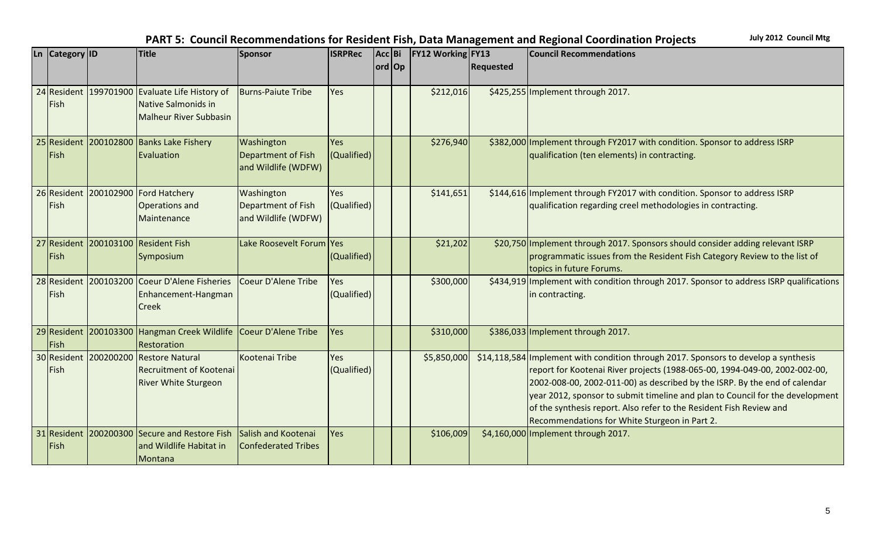| Ln   Category   ID  |           | <b>Title</b>                                                                               | Sponsor                                                 | <b>ISRPRec</b>     | Acc Bi | <b>FY12 Working FY13</b> |                  | <b>Council Recommendations</b>                                                                                                                                                                                                                                                                                                                                                                                                                           |
|---------------------|-----------|--------------------------------------------------------------------------------------------|---------------------------------------------------------|--------------------|--------|--------------------------|------------------|----------------------------------------------------------------------------------------------------------------------------------------------------------------------------------------------------------------------------------------------------------------------------------------------------------------------------------------------------------------------------------------------------------------------------------------------------------|
|                     |           |                                                                                            |                                                         |                    | ord Op |                          | <b>Requested</b> |                                                                                                                                                                                                                                                                                                                                                                                                                                                          |
| 24 Resident<br>Fish |           | 199701900 Evaluate Life History of<br>Native Salmonids in<br><b>Malheur River Subbasin</b> | <b>Burns-Paiute Tribe</b>                               | Yes                |        | \$212,016                |                  | \$425,255 Implement through 2017.                                                                                                                                                                                                                                                                                                                                                                                                                        |
| 25 Resident<br>Fish |           | 200102800 Banks Lake Fishery<br>Evaluation                                                 | Washington<br>Department of Fish<br>and Wildlife (WDFW) | Yes<br>(Qualified) |        | \$276,940                |                  | \$382,000 Implement through FY2017 with condition. Sponsor to address ISRP<br>qualification (ten elements) in contracting.                                                                                                                                                                                                                                                                                                                               |
| 26 Resident<br>Fish |           | 200102900 Ford Hatchery<br><b>Operations and</b><br>Maintenance                            | Washington<br>Department of Fish<br>and Wildlife (WDFW) | Yes<br>(Qualified) |        | \$141,651                |                  | \$144,616 Implement through FY2017 with condition. Sponsor to address ISRP<br>qualification regarding creel methodologies in contracting.                                                                                                                                                                                                                                                                                                                |
| 27 Resident<br>Fish |           | 200103100 Resident Fish<br>Symposium                                                       | Lake Roosevelt Forum Yes                                | (Qualified)        |        | \$21,202                 |                  | \$20,750 Implement through 2017. Sponsors should consider adding relevant ISRP<br>programmatic issues from the Resident Fish Category Review to the list of<br>topics in future Forums.                                                                                                                                                                                                                                                                  |
| 28 Resident<br>Fish |           | 200103200 Coeur D'Alene Fisheries<br>Enhancement-Hangman<br><b>Creek</b>                   | Coeur D'Alene Tribe                                     | Yes<br>(Qualified) |        | \$300,000                |                  | \$434,919 Implement with condition through 2017. Sponsor to address ISRP qualifications<br>in contracting.                                                                                                                                                                                                                                                                                                                                               |
| Fish                |           | 29 Resident 200103300 Hangman Creek Wildlife Coeur D'Alene Tribe<br>Restoration            |                                                         | Yes                |        | \$310,000                |                  | \$386,033 Implement through 2017.                                                                                                                                                                                                                                                                                                                                                                                                                        |
| 30 Resident<br>Fish | 200200200 | Restore Natural<br><b>Recruitment of Kootenai</b><br><b>River White Sturgeon</b>           | Kootenai Tribe                                          | Yes<br>(Qualified) |        | \$5,850,000              |                  | \$14,118,584 Implement with condition through 2017. Sponsors to develop a synthesis<br>report for Kootenai River projects (1988-065-00, 1994-049-00, 2002-002-00,<br>2002-008-00, 2002-011-00) as described by the ISRP. By the end of calendar<br>year 2012, sponsor to submit timeline and plan to Council for the development<br>of the synthesis report. Also refer to the Resident Fish Review and<br>Recommendations for White Sturgeon in Part 2. |
| 31 Resident<br>Fish |           | 200200300 Secure and Restore Fish<br>and Wildlife Habitat in<br>Montana                    | Salish and Kootenai<br>Confederated Tribes              | Yes                |        | \$106,009                |                  | \$4,160,000 Implement through 2017.                                                                                                                                                                                                                                                                                                                                                                                                                      |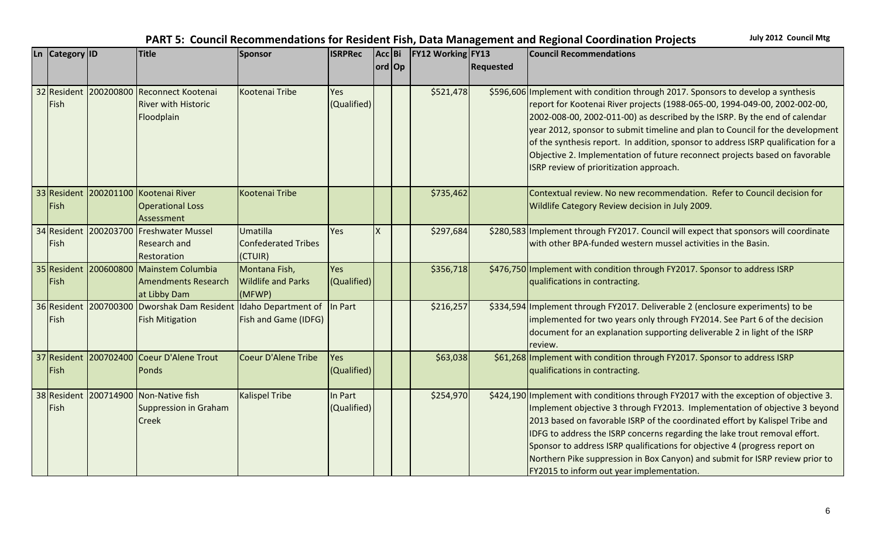$\begin{bmatrix} \text{Ln} \end{bmatrix}$  Category **ID Title Sponsor ISRPRec ord Op Acc** Bi **FY12 Working FY13 Requested Council Recommendations**  32 Resident 200200800 Reconnect Kootenai Fish River with Historic Floodplain Kootenai Tribe Yes (Qualified) \$521,478 \$596,606 Implement with condition through 2017. Sponsors to develop a synthesis report for Kootenai River projects (1988-065-00, 1994-049-00, 2002-002-00, 2002-008-00, 2002-011-00) as described by the ISRP. By the end of calendar year 2012, sponsor to submit timeline and plan to Council for the development of the synthesis report. In addition, sponsor to address ISRP qualification for a Objective 2. Implementation of future reconnect projects based on favorable ISRP review of prioritization approach. 33 Resident 200201100 Kootenai River Fish Operational Loss Assessment Kootenai Tribe <sup>1</sup> Contextual review. No new recommendation. Refer to Council decision for Wildlife Category Review decision in July 2009. 34 Resident 200203700 Freshwater Mussel Fish Research and Restoration Umatilla Confederated Tribes (CTUIR) Yes X | | \$297,684 \$280,583 | Implement through FY2017. Council will expect that sponsors will coordinate with other BPA-funded western mussel activities in the Basin. 35 Resident 200600800 Mainstem Columbia Fish Amendments Research at Libby Dam Montana Fish, Wildlife and Parks (MFWP) Yes (Qualified) \$356,718 \$476,750 Implement with condition through FY2017. Sponsor to address ISRP qualifications in contracting. 36 Resident 200700300 Dworshak Dam Resident Fish Fish Mitigation Idaho Department of Fish and Game (IDFG) In Part \$216,257 \$334,594 Implement through FY2017. Deliverable 2 (enclosure experiments) to be implemented for two years only through FY2014. See Part 6 of the decision document for an explanation supporting deliverable 2 in light of the ISRP review. 37 Resident 200702400 Coeur D'Alene Trout Fish Ponds Coeur D'Alene Tribe Yes (Qualified) \$63,038 \$61,268 Implement with condition through FY2017. Sponsor to address ISRP qualifications in contracting. 38 Resident 200714900 Non-Native fish Fish Suppression in Graham Creek Kalispel Tribe | In Part (Qualified) \$254,970 \$424,190 Implement with conditions through FY2017 with the exception of objective 3. Implement objective 3 through FY2013. Implementation of objective 3 beyond 2013 based on favorable ISRP of the coordinated effort by Kalispel Tribe and IDFG to address the ISRP concerns regarding the lake trout removal effort. Sponsor to address ISRP qualifications for objective 4 (progress report on Northern Pike suppression in Box Canyon) and submit for ISRP review prior to FY2015 to inform out year implementation.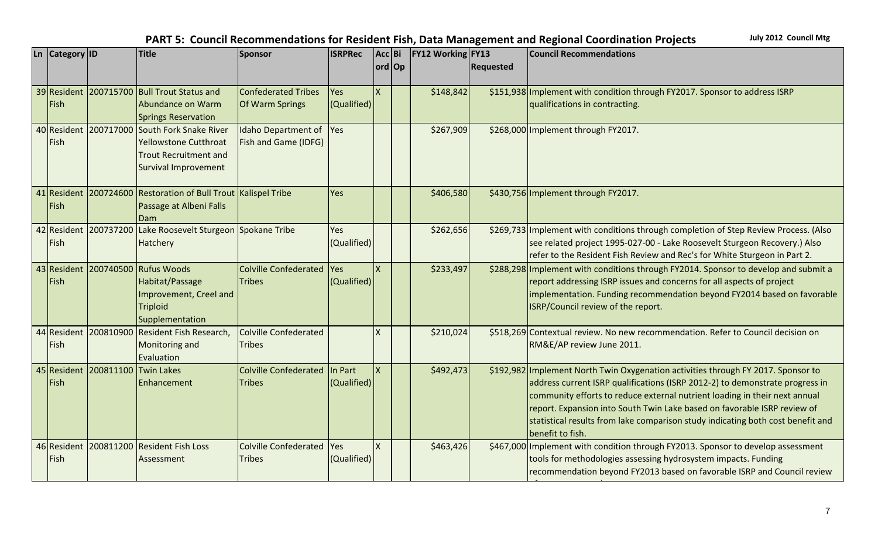$\begin{bmatrix} \text{Ln} \end{bmatrix}$  Category **ID Title Sponsor ISRPRec ord Op Acc** Bi **FY12 Working FY13 Requested Council Recommendations**  39 Resident 200715700 Bull Trout Status and Fish Abundance on Warm Springs Reservation Confederated Tribes Of Warm Springs Yes (Qualified)  $\vert x \vert$  |  $\vert$  \$148,842  $\vert$  \$151,938 Implement with condition through FY2017. Sponsor to address ISRP qualifications in contracting. 40 Resident 200717000 South Fork Snake River Fish Yellowstone Cutthroat Trout Recruitment and Survival Improvement Idaho Department of Fish and Game (IDFG) Yes \$267,909 \$268,000 Implement through FY2017. 41 Resident 200724600 Restoration of Bull Trout Fish Passage at Albeni Falls Dam Yes  $\parallel$   $\parallel$  \$406,580 \$430,756 Implement through FY2017. 42 Resident 200737200 Fish 200737200 Lake Roosevelt Sturgeon Spokane Tribe | Yes Hatchery (Qualified) \$262,656 \$269,733 Implement with conditions through completion of Step Review Process. (Also see related project 1995-027-00 - Lake Roosevelt Sturgeon Recovery.) Also refer to the Resident Fish Review and Rec's for White Sturgeon in Part 2. 43 Resident 200740500 Rufus Woods Fish Habitat/Passage Improvement, Creel and **Triploid** Supplementation Colville Confederated Tribes Yes (Qualified)  $X \parallel$  | \$233,497 \$288,298 | Implement with conditions through FY2014. Sponsor to develop and submit a report addressing ISRP issues and concerns for all aspects of project implementation. Funding recommendation beyond FY2014 based on favorable ISRP/Council review of the report. 44 Resident 200810900 Resident Fish Research, Fish Monitoring and Evaluation Colville Confederated **Tribes** X | | \$210,024 \$518,269 Contextual review. No new recommendation. Refer to Council decision on RM&E/AP review June 2011. 45 Resident 200811100 Twin Lakes Fish Enhancement Colville Confederated In Part **Tribes** (Qualified)  $\vert x \vert$   $\vert$  \$492,473  $\vert$  \$192,982 Implement North Twin Oxygenation activities through FY 2017. Sponsor to address current ISRP qualifications (ISRP 2012-2) to demonstrate progress in community efforts to reduce external nutrient loading in their next annual report. Expansion into South Twin Lake based on favorable ISRP review of statistical results from lake comparison study indicating both cost benefit and benefit to fish. 46 Resident 200811200 Resident Fish Loss Fish Assessment Colville Confederated Tribes Yes (Qualified)  $\vert x \vert$   $\vert$  \$463,426 \$467,000 Implement with condition through FY2013. Sponsor to develop assessment tools for methodologies assessing hydrosystem impacts. Funding recommendation beyond FY2013 based on favorable ISRP and Council review

of assessment tools.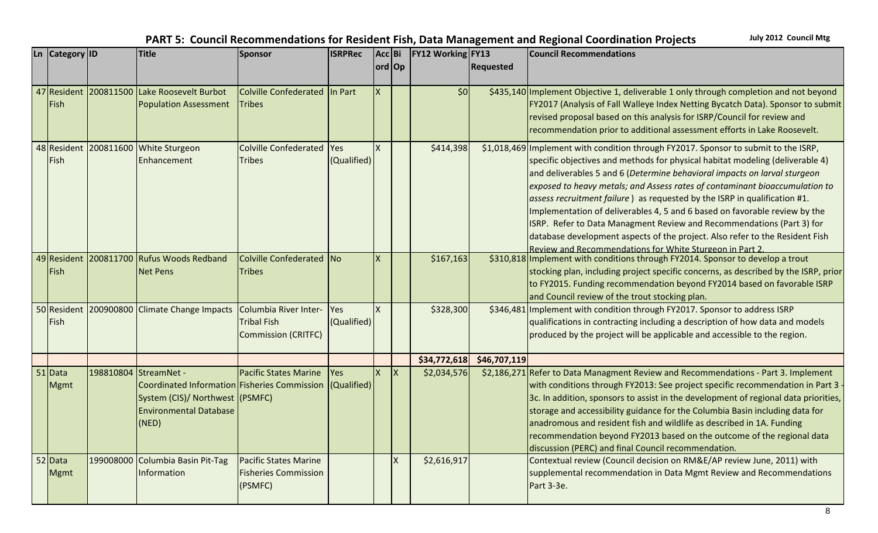| <b>Ln</b> | Category ID |                       | <b>Title</b>                                                     | Sponsor                       | <b>ISRPRec</b> | Acc Bi |              | <b>FY12 Working FY13</b> |                  | <b>Council Recommendations</b>                                                                                                                  |
|-----------|-------------|-----------------------|------------------------------------------------------------------|-------------------------------|----------------|--------|--------------|--------------------------|------------------|-------------------------------------------------------------------------------------------------------------------------------------------------|
|           |             |                       |                                                                  |                               |                | ord Op |              |                          | <b>Requested</b> |                                                                                                                                                 |
|           |             |                       |                                                                  |                               |                |        |              |                          |                  |                                                                                                                                                 |
|           |             |                       | 47 Resident 200811500 Lake Roosevelt Burbot                      | Colville Confederated In Part |                |        |              | 50                       |                  | \$435,140 Implement Objective 1, deliverable 1 only through completion and not beyond                                                           |
|           | Fish        |                       | <b>Population Assessment</b>                                     | <b>Tribes</b>                 |                |        |              |                          |                  | FY2017 (Analysis of Fall Walleye Index Netting Bycatch Data). Sponsor to submit                                                                 |
|           |             |                       |                                                                  |                               |                |        |              |                          |                  | revised proposal based on this analysis for ISRP/Council for review and                                                                         |
|           |             |                       |                                                                  |                               |                |        |              |                          |                  | recommendation prior to additional assessment efforts in Lake Roosevelt.                                                                        |
|           |             |                       | 48 Resident 200811600 White Sturgeon                             | <b>Colville Confederated</b>  | Yes            |        |              | \$414,398                |                  | \$1,018,469 Implement with condition through FY2017. Sponsor to submit to the ISRP,                                                             |
|           | Fish        |                       | Enhancement                                                      | Tribes                        | (Qualified)    |        |              |                          |                  | specific objectives and methods for physical habitat modeling (deliverable 4)                                                                   |
|           |             |                       |                                                                  |                               |                |        |              |                          |                  | and deliverables 5 and 6 (Determine behavioral impacts on larval sturgeon                                                                       |
|           |             |                       |                                                                  |                               |                |        |              |                          |                  | exposed to heavy metals; and Assess rates of contaminant bioaccumulation to                                                                     |
|           |             |                       |                                                                  |                               |                |        |              |                          |                  | assess recruitment failure) as requested by the ISRP in qualification #1.                                                                       |
|           |             |                       |                                                                  |                               |                |        |              |                          |                  | Implementation of deliverables 4, 5 and 6 based on favorable review by the                                                                      |
|           |             |                       |                                                                  |                               |                |        |              |                          |                  | ISRP. Refer to Data Managment Review and Recommendations (Part 3) for                                                                           |
|           |             |                       |                                                                  |                               |                |        |              |                          |                  | database development aspects of the project. Also refer to the Resident Fish                                                                    |
|           |             |                       | 49 Resident 200811700 Rufus Woods Redband                        | Colville Confederated No      |                |        |              | \$167,163                |                  | Review and Recommendations for White Sturgeon in Part 2.<br>\$310,818 Implement with conditions through FY2014. Sponsor to develop a trout      |
|           | Fish        |                       | <b>Net Pens</b>                                                  | <b>Tribes</b>                 |                |        |              |                          |                  | stocking plan, including project specific concerns, as described by the ISRP, prior                                                             |
|           |             |                       |                                                                  |                               |                |        |              |                          |                  | to FY2015. Funding recommendation beyond FY2014 based on favorable ISRP                                                                         |
|           |             |                       |                                                                  |                               |                |        |              |                          |                  | and Council review of the trout stocking plan.                                                                                                  |
|           |             |                       | 50 Resident 200900800 Climate Change Impacts                     | Columbia River Inter-         | Yes            |        |              | \$328,300                | \$346,481        | Implement with condition through FY2017. Sponsor to address ISRP                                                                                |
|           | Fish        |                       |                                                                  | <b>Tribal Fish</b>            | (Qualified)    |        |              |                          |                  | qualifications in contracting including a description of how data and models                                                                    |
|           |             |                       |                                                                  | Commission (CRITFC)           |                |        |              |                          |                  | produced by the project will be applicable and accessible to the region.                                                                        |
|           |             |                       |                                                                  |                               |                |        |              |                          |                  |                                                                                                                                                 |
|           |             |                       |                                                                  |                               |                |        |              | \$34,772,618             | \$46,707,119     |                                                                                                                                                 |
|           | $51$ Data   | 198810804 StreamNet - |                                                                  | <b>Pacific States Marine</b>  | <b>Yes</b>     |        | lх           | \$2,034,576              |                  | \$2,186,271 Refer to Data Managment Review and Recommendations - Part 3. Implement                                                              |
|           | Mgmt        |                       | Coordinated Information Fisheries Commission (Qualified)         |                               |                |        |              |                          |                  | with conditions through FY2013: See project specific recommendation in Part 3                                                                   |
|           |             |                       | System (CIS)/ Northwest (PSMFC)<br><b>Environmental Database</b> |                               |                |        |              |                          |                  | 3c. In addition, sponsors to assist in the development of regional data priorities,                                                             |
|           |             |                       |                                                                  |                               |                |        |              |                          |                  | storage and accessibility guidance for the Columbia Basin including data for                                                                    |
|           |             |                       | (NED)                                                            |                               |                |        |              |                          |                  | anadromous and resident fish and wildlife as described in 1A. Funding<br>recommendation beyond FY2013 based on the outcome of the regional data |
|           |             |                       |                                                                  |                               |                |        |              |                          |                  | discussion (PERC) and final Council recommendation.                                                                                             |
|           | 52 Data     |                       | 199008000 Columbia Basin Pit-Tag                                 | <b>Pacific States Marine</b>  |                |        | $\mathsf{x}$ | \$2,616,917              |                  | Contextual review (Council decision on RM&E/AP review June, 2011) with                                                                          |
|           | <b>Mgmt</b> |                       | Information                                                      | <b>Fisheries Commission</b>   |                |        |              |                          |                  | supplemental recommendation in Data Mgmt Review and Recommendations                                                                             |
|           |             |                       |                                                                  | (PSMFC)                       |                |        |              |                          |                  | Part 3-3e.                                                                                                                                      |
|           |             |                       |                                                                  |                               |                |        |              |                          |                  |                                                                                                                                                 |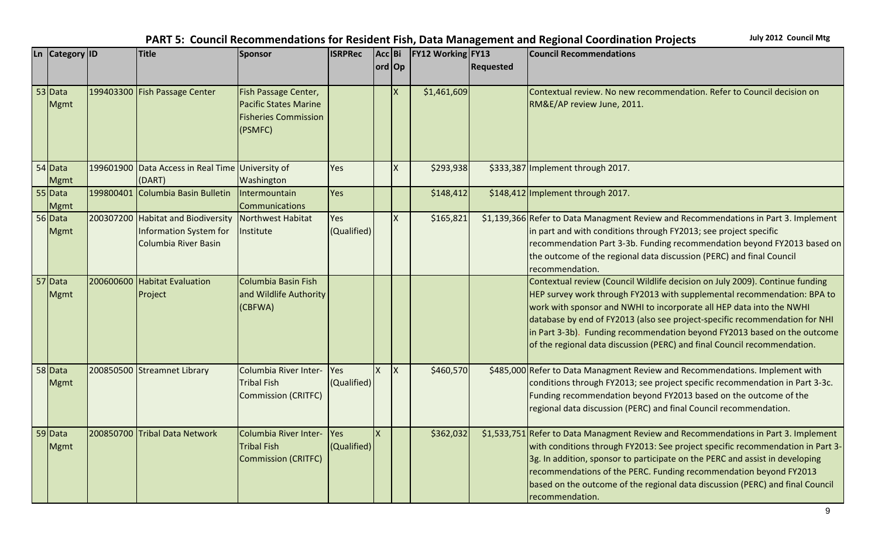| Ln | Category ID |           | <b>Title</b>                                     | Sponsor                      | <b>ISRPRec</b> | Acc Bi |    | <b>FY12 Working FY13</b> |                  | <b>Council Recommendations</b>                                                                                                                          |
|----|-------------|-----------|--------------------------------------------------|------------------------------|----------------|--------|----|--------------------------|------------------|---------------------------------------------------------------------------------------------------------------------------------------------------------|
|    |             |           |                                                  |                              |                | ord Op |    |                          | <b>Requested</b> |                                                                                                                                                         |
|    |             |           |                                                  |                              |                |        |    |                          |                  |                                                                                                                                                         |
|    | 53 Data     |           | 199403300 Fish Passage Center                    | Fish Passage Center,         |                |        |    | \$1,461,609              |                  | Contextual review. No new recommendation. Refer to Council decision on                                                                                  |
|    | Mgmt        |           |                                                  | <b>Pacific States Marine</b> |                |        |    |                          |                  | RM&E/AP review June, 2011.                                                                                                                              |
|    |             |           |                                                  | <b>Fisheries Commission</b>  |                |        |    |                          |                  |                                                                                                                                                         |
|    |             |           |                                                  | (PSMFC)                      |                |        |    |                          |                  |                                                                                                                                                         |
|    |             |           |                                                  |                              |                |        |    |                          |                  |                                                                                                                                                         |
|    | 54 Data     |           | 199601900 Data Access in Real Time University of |                              | Yes            |        | Ιx | \$293,938                |                  | \$333,387 Implement through 2017.                                                                                                                       |
|    | <b>Mgmt</b> |           | (DART)                                           | Washington                   |                |        |    |                          |                  |                                                                                                                                                         |
|    | 55 Data     | 199800401 | Columbia Basin Bulletin                          | Intermountain                | Yes            |        |    | \$148,412                |                  | \$148,412 Implement through 2017.                                                                                                                       |
|    | Mgmt        |           |                                                  | <b>Communications</b>        |                |        |    |                          |                  |                                                                                                                                                         |
|    | 56 Data     |           | 200307200 Habitat and Biodiversity               | Northwest Habitat            | Yes            |        | lχ | \$165,821                |                  | \$1,139,366 Refer to Data Managment Review and Recommendations in Part 3. Implement                                                                     |
|    | <b>Mgmt</b> |           | Information System for                           | <b>Institute</b>             | (Qualified)    |        |    |                          |                  | in part and with conditions through FY2013; see project specific                                                                                        |
|    |             |           | <b>Columbia River Basin</b>                      |                              |                |        |    |                          |                  | recommendation Part 3-3b. Funding recommendation beyond FY2013 based on                                                                                 |
|    |             |           |                                                  |                              |                |        |    |                          |                  | the outcome of the regional data discussion (PERC) and final Council                                                                                    |
|    |             |           |                                                  |                              |                |        |    |                          |                  | recommendation.                                                                                                                                         |
|    | 57 Data     |           | 200600600 Habitat Evaluation                     | Columbia Basin Fish          |                |        |    |                          |                  | Contextual review (Council Wildlife decision on July 2009). Continue funding                                                                            |
|    | <b>Mgmt</b> |           | Project                                          | and Wildlife Authority       |                |        |    |                          |                  | HEP survey work through FY2013 with supplemental recommendation: BPA to                                                                                 |
|    |             |           |                                                  | (CBFWA)                      |                |        |    |                          |                  | work with sponsor and NWHI to incorporate all HEP data into the NWHI                                                                                    |
|    |             |           |                                                  |                              |                |        |    |                          |                  | database by end of FY2013 (also see project-specific recommendation for NHI<br>in Part 3-3b). Funding recommendation beyond FY2013 based on the outcome |
|    |             |           |                                                  |                              |                |        |    |                          |                  | of the regional data discussion (PERC) and final Council recommendation.                                                                                |
|    |             |           |                                                  |                              |                |        |    |                          |                  |                                                                                                                                                         |
|    | 58 Data     |           | 200850500 Streamnet Library                      | Columbia River Inter-        | Yes            |        | Iχ | \$460,570                |                  | \$485,000 Refer to Data Managment Review and Recommendations. Implement with                                                                            |
|    | <b>Mgmt</b> |           |                                                  | Tribal Fish                  | (Qualified)    |        |    |                          |                  | conditions through FY2013; see project specific recommendation in Part 3-3c.                                                                            |
|    |             |           |                                                  | Commission (CRITFC)          |                |        |    |                          |                  | Funding recommendation beyond FY2013 based on the outcome of the                                                                                        |
|    |             |           |                                                  |                              |                |        |    |                          |                  | regional data discussion (PERC) and final Council recommendation.                                                                                       |
|    | 59 Data     |           | 200850700 Tribal Data Network                    | Columbia River Inter-        | Yes            |        |    | \$362,032                |                  | \$1,533,751 Refer to Data Managment Review and Recommendations in Part 3. Implement                                                                     |
|    | <b>Mgmt</b> |           |                                                  | Tribal Fish                  | (Qualified)    |        |    |                          |                  | with conditions through FY2013: See project specific recommendation in Part 3-                                                                          |
|    |             |           |                                                  | Commission (CRITFC)          |                |        |    |                          |                  | 3g. In addition, sponsor to participate on the PERC and assist in developing                                                                            |
|    |             |           |                                                  |                              |                |        |    |                          |                  | recommendations of the PERC. Funding recommendation beyond FY2013                                                                                       |
|    |             |           |                                                  |                              |                |        |    |                          |                  | based on the outcome of the regional data discussion (PERC) and final Council                                                                           |
|    |             |           |                                                  |                              |                |        |    |                          |                  | recommendation.                                                                                                                                         |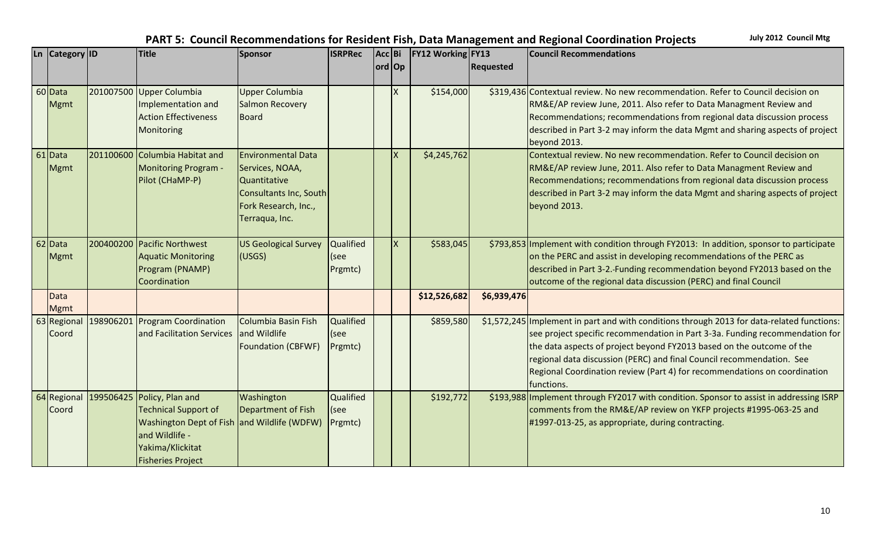| Ln Category ID             | <b>Title</b>                                                                                                                                                               | <b>Sponsor</b>                                                                                                                   | <b>ISRPRec</b>                              | Acc Bi |                 | <b>FY12 Working FY13</b> |                  | <b>Council Recommendations</b>                                                                                                                                                                                                                                                                                                                                                                                          |
|----------------------------|----------------------------------------------------------------------------------------------------------------------------------------------------------------------------|----------------------------------------------------------------------------------------------------------------------------------|---------------------------------------------|--------|-----------------|--------------------------|------------------|-------------------------------------------------------------------------------------------------------------------------------------------------------------------------------------------------------------------------------------------------------------------------------------------------------------------------------------------------------------------------------------------------------------------------|
|                            |                                                                                                                                                                            |                                                                                                                                  |                                             | ord Op |                 |                          | <b>Requested</b> |                                                                                                                                                                                                                                                                                                                                                                                                                         |
| 60 Data<br><b>Mgmt</b>     | 201007500 Upper Columbia<br>Implementation and<br><b>Action Effectiveness</b><br>Monitoring                                                                                | <b>Upper Columbia</b><br>Salmon Recovery<br>Board                                                                                |                                             |        |                 | \$154,000                |                  | \$319,436 Contextual review. No new recommendation. Refer to Council decision on<br>RM&E/AP review June, 2011. Also refer to Data Managment Review and<br>Recommendations; recommendations from regional data discussion process<br>described in Part 3-2 may inform the data Mgmt and sharing aspects of project<br>beyond 2013.                                                                                       |
| 61 Data<br><b>Mgmt</b>     | 201100600 Columbia Habitat and<br><b>Monitoring Program -</b><br>Pilot (CHaMP-P)                                                                                           | <b>Environmental Data</b><br>Services, NOAA,<br>Quantitative<br>Consultants Inc, South<br>Fork Research, Inc.,<br>Terraqua, Inc. |                                             |        | $\mathsf{\chi}$ | \$4,245,762              |                  | Contextual review. No new recommendation. Refer to Council decision on<br>RM&E/AP review June, 2011. Also refer to Data Managment Review and<br>Recommendations; recommendations from regional data discussion process<br>described in Part 3-2 may inform the data Mgmt and sharing aspects of project<br>beyond 2013.                                                                                                 |
| 62 Data<br><b>Mgmt</b>     | 200400200 Pacific Northwest<br><b>Aquatic Monitoring</b><br>Program (PNAMP)<br>Coordination                                                                                | <b>US Geological Survey</b><br>(USGS)                                                                                            | <b>Qualified</b><br>$ $ (see<br>Prgmtc)     |        |                 | \$583,045                |                  | \$793,853 Implement with condition through FY2013: In addition, sponsor to participate<br>on the PERC and assist in developing recommendations of the PERC as<br>described in Part 3-2.-Funding recommendation beyond FY2013 based on the<br>outcome of the regional data discussion (PERC) and final Council                                                                                                           |
| <b>Data</b><br><b>Mgmt</b> |                                                                                                                                                                            |                                                                                                                                  |                                             |        |                 | \$12,526,682             | \$6,939,476      |                                                                                                                                                                                                                                                                                                                                                                                                                         |
| 63 Regional<br>Coord       | 198906201 Program Coordination<br>and Facilitation Services                                                                                                                | Columbia Basin Fish<br>and Wildlife<br><b>Foundation (CBFWF)</b>                                                                 | <b>Qualified</b><br>$ $ (see<br>Prgmtc)     |        |                 | \$859,580                |                  | \$1,572,245 Implement in part and with conditions through 2013 for data-related functions:<br>see project specific recommendation in Part 3-3a. Funding recommendation for<br>the data aspects of project beyond FY2013 based on the outcome of the<br>regional data discussion (PERC) and final Council recommendation. See<br>Regional Coordination review (Part 4) for recommendations on coordination<br>functions. |
| 64 Regional<br>Coord       | 199506425 Policy, Plan and<br><b>Technical Support of</b><br>Washington Dept of Fish and Wildlife (WDFW)<br>and Wildlife -<br>Yakima/Klickitat<br><b>Fisheries Project</b> | Washington<br>Department of Fish                                                                                                 | <b>Qualified</b><br>$\sf I$ (see<br>Prgmtc) |        |                 | \$192,772                |                  | \$193,988 Implement through FY2017 with condition. Sponsor to assist in addressing ISRP<br>comments from the RM&E/AP review on YKFP projects #1995-063-25 and<br>#1997-013-25, as appropriate, during contracting.                                                                                                                                                                                                      |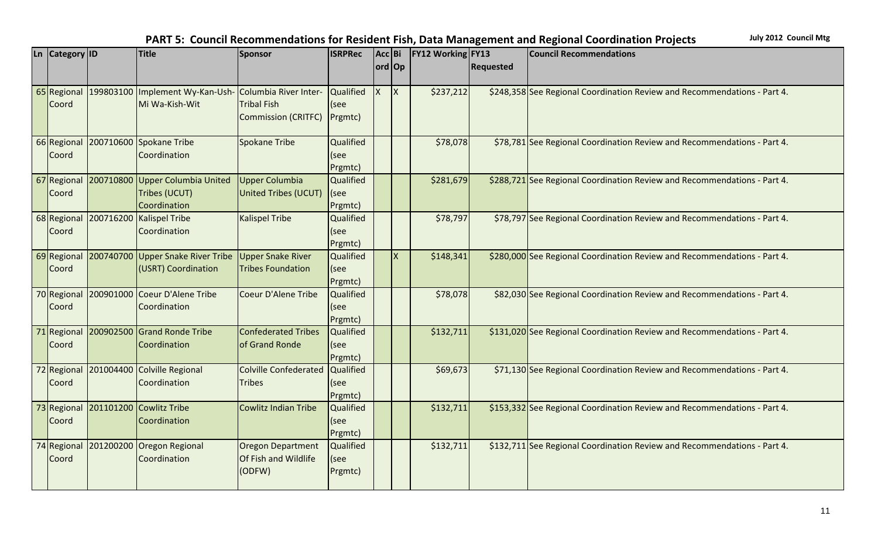| L <sub>n</sub> | <b>Category</b> ID | <b>Title</b>                                          | Sponsor                         | <b>ISRPRec</b>   | Acc Bi   |                         | <b>FY12 Working FY13</b> |                  | <b>Council Recommendations</b>                                           |
|----------------|--------------------|-------------------------------------------------------|---------------------------------|------------------|----------|-------------------------|--------------------------|------------------|--------------------------------------------------------------------------|
|                |                    |                                                       |                                 |                  | ord Op   |                         |                          | <b>Requested</b> |                                                                          |
|                |                    |                                                       |                                 |                  |          |                         |                          |                  |                                                                          |
|                | 65 Regional        | 199803100 Implement Wy-Kan-Ush- Columbia River Inter- |                                 | Qualified        | <b>X</b> | ΙX.                     | \$237,212                |                  | \$248,358 See Regional Coordination Review and Recommendations - Part 4. |
|                | Coord              | Mi Wa-Kish-Wit                                        | <b>Tribal Fish</b>              | (see             |          |                         |                          |                  |                                                                          |
|                |                    |                                                       | Commission (CRITFC)             | Prgmtc)          |          |                         |                          |                  |                                                                          |
|                | 66 Regional        | 200710600 Spokane Tribe                               | <b>Spokane Tribe</b>            | Qualified        |          |                         | \$78,078                 |                  | \$78,781 See Regional Coordination Review and Recommendations - Part 4.  |
|                |                    | Coordination                                          |                                 | (see             |          |                         |                          |                  |                                                                          |
|                | Coord              |                                                       |                                 | Prgmtc)          |          |                         |                          |                  |                                                                          |
|                |                    | 67 Regional 200710800 Upper Columbia United           | Upper Columbia                  | Qualified        |          |                         | \$281,679                |                  | \$288,721 See Regional Coordination Review and Recommendations - Part 4. |
|                | Coord              | Tribes (UCUT)                                         | United Tribes (UCUT)            | (see             |          |                         |                          |                  |                                                                          |
|                |                    | Coordination                                          |                                 | Prgmtc)          |          |                         |                          |                  |                                                                          |
|                | 68 Regional        | 200716200 Kalispel Tribe                              | <b>Kalispel Tribe</b>           | Qualified        |          |                         | \$78,797                 |                  | \$78,797 See Regional Coordination Review and Recommendations - Part 4.  |
|                | Coord              | Coordination                                          |                                 | (see             |          |                         |                          |                  |                                                                          |
|                |                    |                                                       |                                 | Prgmtc)          |          |                         |                          |                  |                                                                          |
|                | 69 Regional        | 200740700 Upper Snake River Tribe                     | Upper Snake River               | <b>Qualified</b> |          | $\overline{\mathsf{x}}$ | \$148,341                |                  | \$280,000 See Regional Coordination Review and Recommendations - Part 4. |
|                | Coord              | (USRT) Coordination                                   | Tribes Foundation               | (see             |          |                         |                          |                  |                                                                          |
|                |                    |                                                       |                                 | Prgmtc)          |          |                         |                          |                  |                                                                          |
|                | 70 Regional        | 200901000 Coeur D'Alene Tribe                         | Coeur D'Alene Tribe             | Qualified        |          |                         | \$78,078                 |                  | \$82,030 See Regional Coordination Review and Recommendations - Part 4.  |
|                | Coord              | Coordination                                          |                                 | (see             |          |                         |                          |                  |                                                                          |
|                |                    |                                                       |                                 | Prgmtc)          |          |                         |                          |                  |                                                                          |
|                | 71 Regional        | 200902500 Grand Ronde Tribe                           | Confederated Tribes             | Qualified        |          |                         | \$132,711                |                  | \$131,020 See Regional Coordination Review and Recommendations - Part 4. |
|                | Coord              | Coordination                                          | of Grand Ronde                  | (see             |          |                         |                          |                  |                                                                          |
|                |                    |                                                       |                                 | Prgmtc)          |          |                         |                          |                  |                                                                          |
|                | 72 Regional        | 201004400 Colville Regional                           | Colville Confederated Qualified |                  |          |                         | \$69,673                 |                  | \$71,130 See Regional Coordination Review and Recommendations - Part 4.  |
|                | Coord              | Coordination                                          | <b>Tribes</b>                   | (see             |          |                         |                          |                  |                                                                          |
|                |                    |                                                       |                                 | Prgmtc)          |          |                         |                          |                  |                                                                          |
|                | 73 Regional        | 201101200 Cowlitz Tribe                               | <b>Cowlitz Indian Tribe</b>     | <b>Qualified</b> |          |                         | \$132,711                |                  | \$153,332 See Regional Coordination Review and Recommendations - Part 4. |
|                | Coord              | Coordination                                          |                                 | (see             |          |                         |                          |                  |                                                                          |
|                |                    |                                                       |                                 | Prgmtc)          |          |                         |                          |                  |                                                                          |
|                | 74 Regional        | 201200200 Oregon Regional                             | <b>Oregon Department</b>        | <b>Qualified</b> |          |                         | \$132,711                |                  | \$132,711 See Regional Coordination Review and Recommendations - Part 4. |
|                | Coord              | Coordination                                          | <b>Of Fish and Wildlife</b>     | (see             |          |                         |                          |                  |                                                                          |
|                |                    |                                                       | (ODFW)                          | Prgmtc)          |          |                         |                          |                  |                                                                          |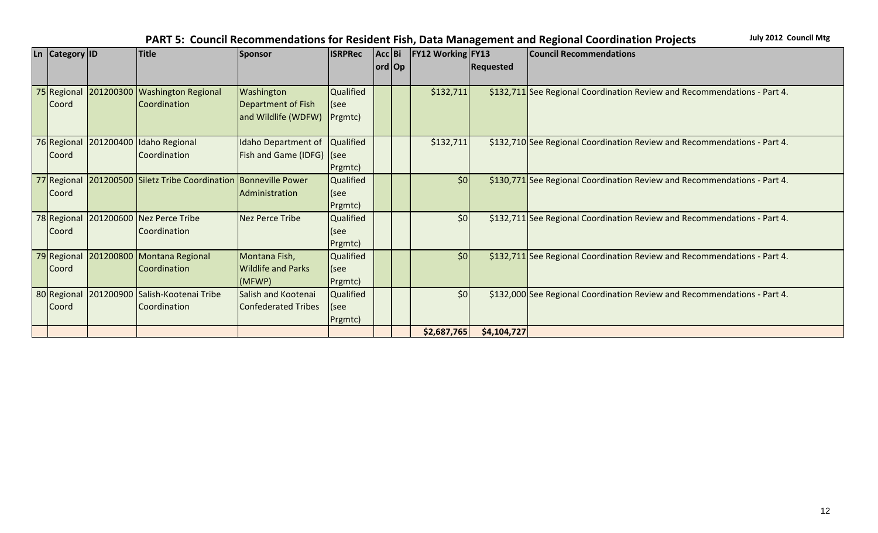| Ln Category ID |                       | <b>Title</b>                                         | Sponsor                   | <b>ISRPRec</b>   | Acc Bi  | <b>FY12 Working FY13</b> |                  | <b>Council Recommendations</b>                                           |
|----------------|-----------------------|------------------------------------------------------|---------------------------|------------------|---------|--------------------------|------------------|--------------------------------------------------------------------------|
|                |                       |                                                      |                           |                  | ord  Op |                          | <b>Requested</b> |                                                                          |
|                |                       |                                                      |                           |                  |         |                          |                  |                                                                          |
|                |                       | 75 Regional 201200300 Washington Regional            | <b>Washington</b>         | Qualified        |         | \$132,711                |                  | \$132,711 See Regional Coordination Review and Recommendations - Part 4. |
| <b>Coord</b>   |                       | Coordination                                         | Department of Fish        | (see             |         |                          |                  |                                                                          |
|                |                       |                                                      | and Wildlife (WDFW)       | Prgmtc)          |         |                          |                  |                                                                          |
|                |                       |                                                      |                           |                  |         |                          |                  |                                                                          |
|                | 76 Regional 201200400 | Idaho Regional                                       | Idaho Department of       | <b>Qualified</b> |         | \$132,711                |                  | \$132,710 See Regional Coordination Review and Recommendations - Part 4. |
| <b>Coord</b>   |                       | Coordination                                         | Fish and Game (IDFG) (see |                  |         |                          |                  |                                                                          |
|                |                       |                                                      |                           | Prgmtc)          |         |                          |                  |                                                                          |
| 77 Regional    |                       | 201200500 Siletz Tribe Coordination Bonneville Power |                           | Qualified        |         | \$0                      |                  | \$130,771 See Regional Coordination Review and Recommendations - Part 4. |
| <b>Coord</b>   |                       |                                                      | Administration            | (see             |         |                          |                  |                                                                          |
|                |                       |                                                      |                           | Prgmtc)          |         |                          |                  |                                                                          |
|                |                       | 78 Regional 201200600 Nez Perce Tribe                | Nez Perce Tribe           | <b>Qualified</b> |         | \$0                      |                  | \$132,711 See Regional Coordination Review and Recommendations - Part 4. |
| <b>Coord</b>   |                       | Coordination                                         |                           | (see             |         |                          |                  |                                                                          |
|                |                       |                                                      |                           | Prgmtc)          |         |                          |                  |                                                                          |
| 79 Regional    |                       | 201200800 Montana Regional                           | Montana Fish,             | Qualified        |         | \$0                      |                  | \$132,711 See Regional Coordination Review and Recommendations - Part 4. |
| <b>Coord</b>   |                       | Coordination                                         | <b>Wildlife and Parks</b> | (see             |         |                          |                  |                                                                          |
|                |                       |                                                      | (MFWP)                    | Prgmtc)          |         |                          |                  |                                                                          |
| 80 Regional    |                       | 201200900 Salish-Kootenai Tribe                      | Salish and Kootenai       | <b>Qualified</b> |         | \$0                      |                  | \$132,000 See Regional Coordination Review and Recommendations - Part 4. |
| Coord          |                       | Coordination                                         | Confederated Tribes       | (see             |         |                          |                  |                                                                          |
|                |                       |                                                      |                           | Prgmtc)          |         |                          |                  |                                                                          |
|                |                       |                                                      |                           |                  |         | \$2,687,765              | \$4,104,727      |                                                                          |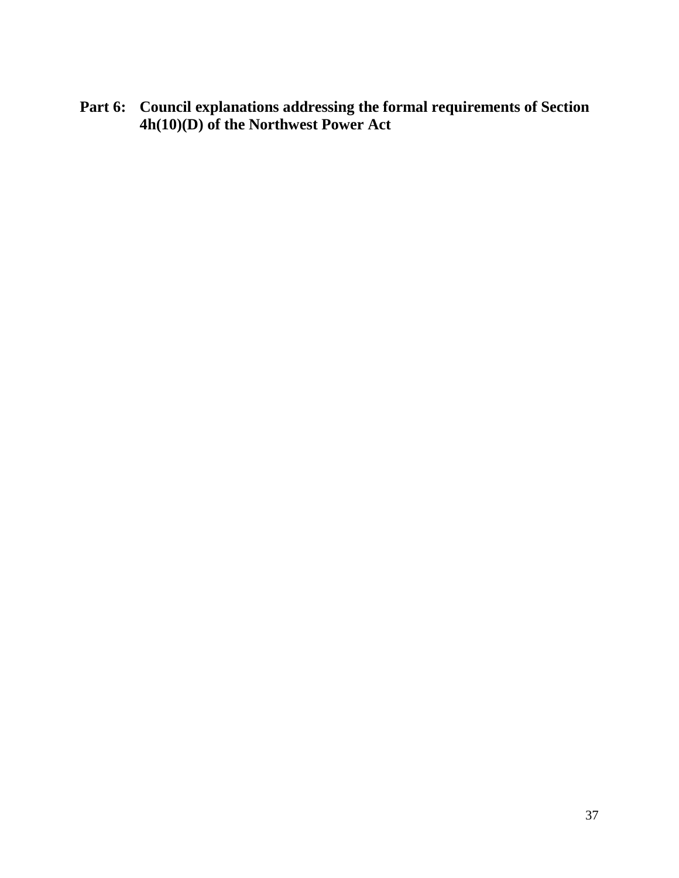**Part 6: Council explanations addressing the formal requirements of Section 4h(10)(D) of the Northwest Power Act**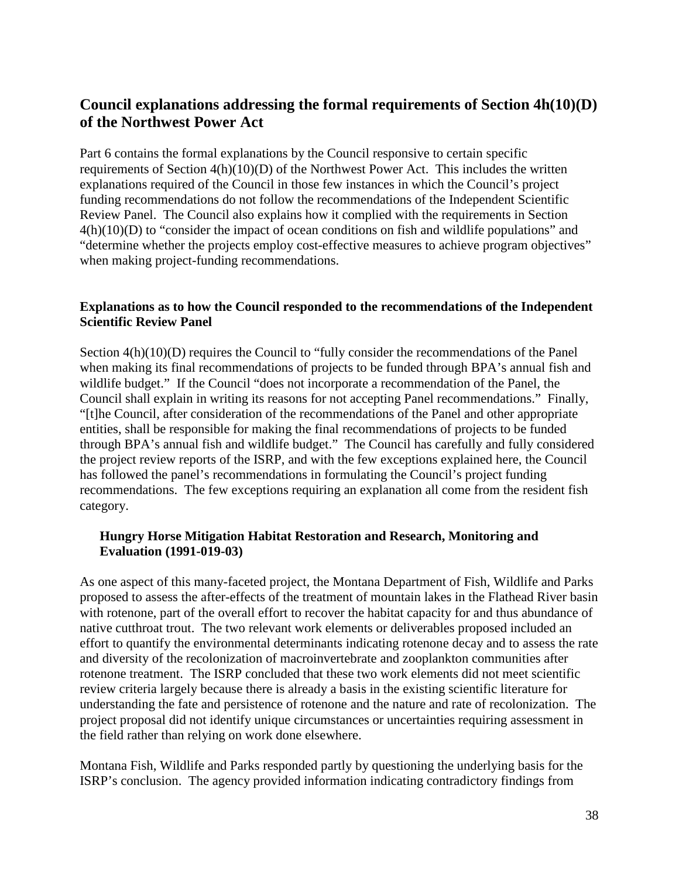# **Council explanations addressing the formal requirements of Section 4h(10)(D) of the Northwest Power Act**

Part 6 contains the formal explanations by the Council responsive to certain specific requirements of Section 4(h)(10)(D) of the Northwest Power Act. This includes the written explanations required of the Council in those few instances in which the Council's project funding recommendations do not follow the recommendations of the Independent Scientific Review Panel. The Council also explains how it complied with the requirements in Section 4(h)(10)(D) to "consider the impact of ocean conditions on fish and wildlife populations" and "determine whether the projects employ cost-effective measures to achieve program objectives" when making project-funding recommendations.

### **Explanations as to how the Council responded to the recommendations of the Independent Scientific Review Panel**

Section  $4(h)(10)(D)$  requires the Council to "fully consider the recommendations of the Panel when making its final recommendations of projects to be funded through BPA's annual fish and wildlife budget." If the Council "does not incorporate a recommendation of the Panel, the Council shall explain in writing its reasons for not accepting Panel recommendations." Finally, "[t]he Council, after consideration of the recommendations of the Panel and other appropriate entities, shall be responsible for making the final recommendations of projects to be funded through BPA's annual fish and wildlife budget." The Council has carefully and fully considered the project review reports of the ISRP, and with the few exceptions explained here, the Council has followed the panel's recommendations in formulating the Council's project funding recommendations. The few exceptions requiring an explanation all come from the resident fish category.

### **Hungry Horse Mitigation Habitat Restoration and Research, Monitoring and Evaluation (1991-019-03)**

As one aspect of this many-faceted project, the Montana Department of Fish, Wildlife and Parks proposed to assess the after-effects of the treatment of mountain lakes in the Flathead River basin with rotenone, part of the overall effort to recover the habitat capacity for and thus abundance of native cutthroat trout. The two relevant work elements or deliverables proposed included an effort to quantify the environmental determinants indicating rotenone decay and to assess the rate and diversity of the recolonization of macroinvertebrate and zooplankton communities after rotenone treatment. The ISRP concluded that these two work elements did not meet scientific review criteria largely because there is already a basis in the existing scientific literature for understanding the fate and persistence of rotenone and the nature and rate of recolonization. The project proposal did not identify unique circumstances or uncertainties requiring assessment in the field rather than relying on work done elsewhere.

Montana Fish, Wildlife and Parks responded partly by questioning the underlying basis for the ISRP's conclusion. The agency provided information indicating contradictory findings from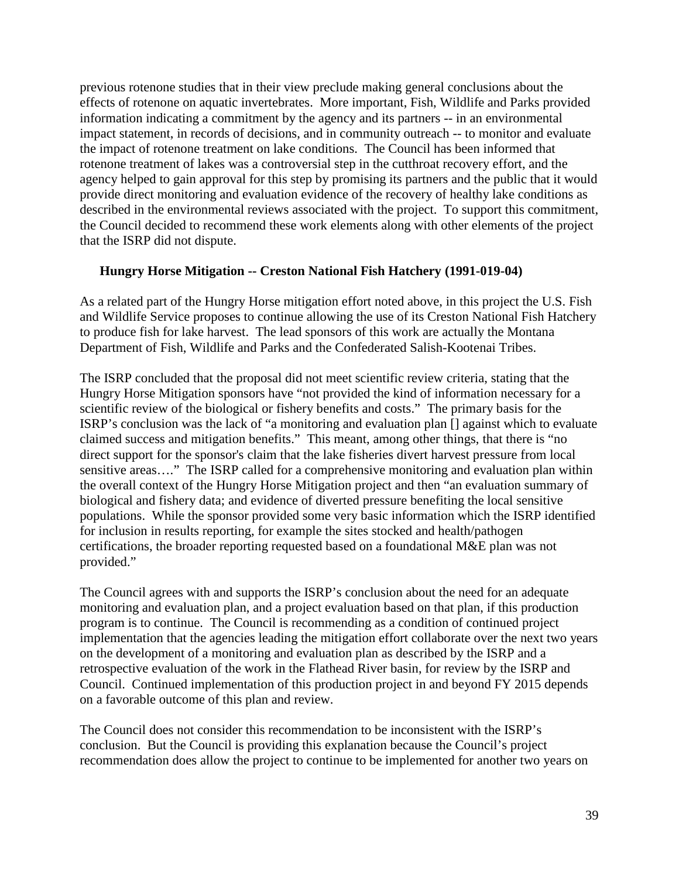previous rotenone studies that in their view preclude making general conclusions about the effects of rotenone on aquatic invertebrates. More important, Fish, Wildlife and Parks provided information indicating a commitment by the agency and its partners -- in an environmental impact statement, in records of decisions, and in community outreach -- to monitor and evaluate the impact of rotenone treatment on lake conditions. The Council has been informed that rotenone treatment of lakes was a controversial step in the cutthroat recovery effort, and the agency helped to gain approval for this step by promising its partners and the public that it would provide direct monitoring and evaluation evidence of the recovery of healthy lake conditions as described in the environmental reviews associated with the project. To support this commitment, the Council decided to recommend these work elements along with other elements of the project that the ISRP did not dispute.

### **Hungry Horse Mitigation -- Creston National Fish Hatchery (1991-019-04)**

As a related part of the Hungry Horse mitigation effort noted above, in this project the U.S. Fish and Wildlife Service proposes to continue allowing the use of its Creston National Fish Hatchery to produce fish for lake harvest. The lead sponsors of this work are actually the Montana Department of Fish, Wildlife and Parks and the Confederated Salish-Kootenai Tribes.

The ISRP concluded that the proposal did not meet scientific review criteria, stating that the Hungry Horse Mitigation sponsors have "not provided the kind of information necessary for a scientific review of the biological or fishery benefits and costs." The primary basis for the ISRP's conclusion was the lack of "a monitoring and evaluation plan [] against which to evaluate claimed success and mitigation benefits." This meant, among other things, that there is "no direct support for the sponsor's claim that the lake fisheries divert harvest pressure from local sensitive areas…." The ISRP called for a comprehensive monitoring and evaluation plan within the overall context of the Hungry Horse Mitigation project and then "an evaluation summary of biological and fishery data; and evidence of diverted pressure benefiting the local sensitive populations. While the sponsor provided some very basic information which the ISRP identified for inclusion in results reporting, for example the sites stocked and health/pathogen certifications, the broader reporting requested based on a foundational M&E plan was not provided."

The Council agrees with and supports the ISRP's conclusion about the need for an adequate monitoring and evaluation plan, and a project evaluation based on that plan, if this production program is to continue. The Council is recommending as a condition of continued project implementation that the agencies leading the mitigation effort collaborate over the next two years on the development of a monitoring and evaluation plan as described by the ISRP and a retrospective evaluation of the work in the Flathead River basin, for review by the ISRP and Council. Continued implementation of this production project in and beyond FY 2015 depends on a favorable outcome of this plan and review.

The Council does not consider this recommendation to be inconsistent with the ISRP's conclusion. But the Council is providing this explanation because the Council's project recommendation does allow the project to continue to be implemented for another two years on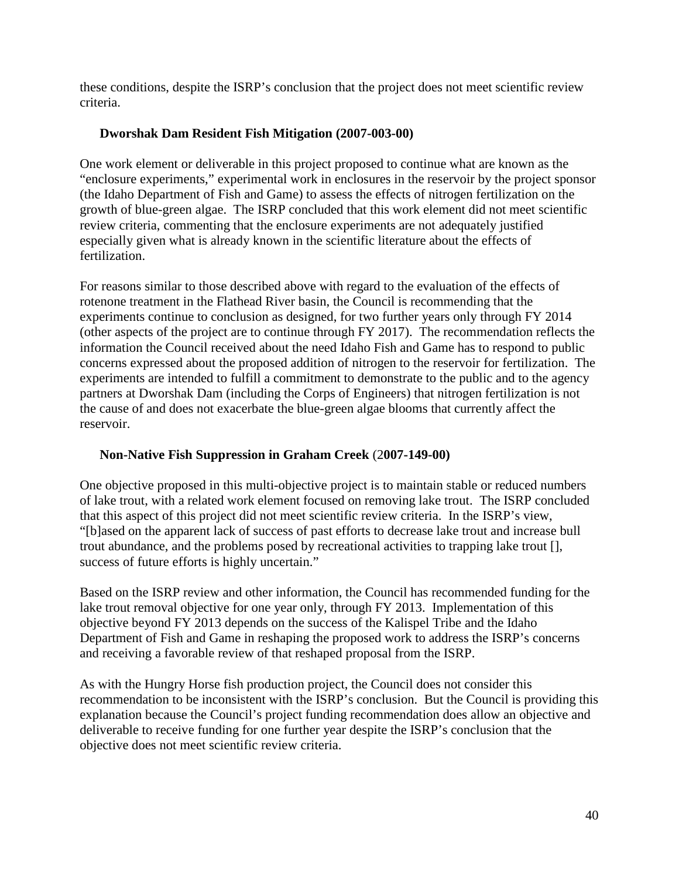these conditions, despite the ISRP's conclusion that the project does not meet scientific review criteria.

### **Dworshak Dam Resident Fish Mitigation (2007-003-00)**

One work element or deliverable in this project proposed to continue what are known as the "enclosure experiments," experimental work in enclosures in the reservoir by the project sponsor (the Idaho Department of Fish and Game) to assess the effects of nitrogen fertilization on the growth of blue-green algae. The ISRP concluded that this work element did not meet scientific review criteria, commenting that the enclosure experiments are not adequately justified especially given what is already known in the scientific literature about the effects of fertilization.

For reasons similar to those described above with regard to the evaluation of the effects of rotenone treatment in the Flathead River basin, the Council is recommending that the experiments continue to conclusion as designed, for two further years only through FY 2014 (other aspects of the project are to continue through FY 2017). The recommendation reflects the information the Council received about the need Idaho Fish and Game has to respond to public concerns expressed about the proposed addition of nitrogen to the reservoir for fertilization. The experiments are intended to fulfill a commitment to demonstrate to the public and to the agency partners at Dworshak Dam (including the Corps of Engineers) that nitrogen fertilization is not the cause of and does not exacerbate the blue-green algae blooms that currently affect the reservoir.

# **Non-Native Fish Suppression in Graham Creek** (2**007-149-00)**

One objective proposed in this multi-objective project is to maintain stable or reduced numbers of lake trout, with a related work element focused on removing lake trout. The ISRP concluded that this aspect of this project did not meet scientific review criteria. In the ISRP's view, "[b]ased on the apparent lack of success of past efforts to decrease lake trout and increase bull trout abundance, and the problems posed by recreational activities to trapping lake trout [], success of future efforts is highly uncertain."

Based on the ISRP review and other information, the Council has recommended funding for the lake trout removal objective for one year only, through FY 2013. Implementation of this objective beyond FY 2013 depends on the success of the Kalispel Tribe and the Idaho Department of Fish and Game in reshaping the proposed work to address the ISRP's concerns and receiving a favorable review of that reshaped proposal from the ISRP.

As with the Hungry Horse fish production project, the Council does not consider this recommendation to be inconsistent with the ISRP's conclusion. But the Council is providing this explanation because the Council's project funding recommendation does allow an objective and deliverable to receive funding for one further year despite the ISRP's conclusion that the objective does not meet scientific review criteria.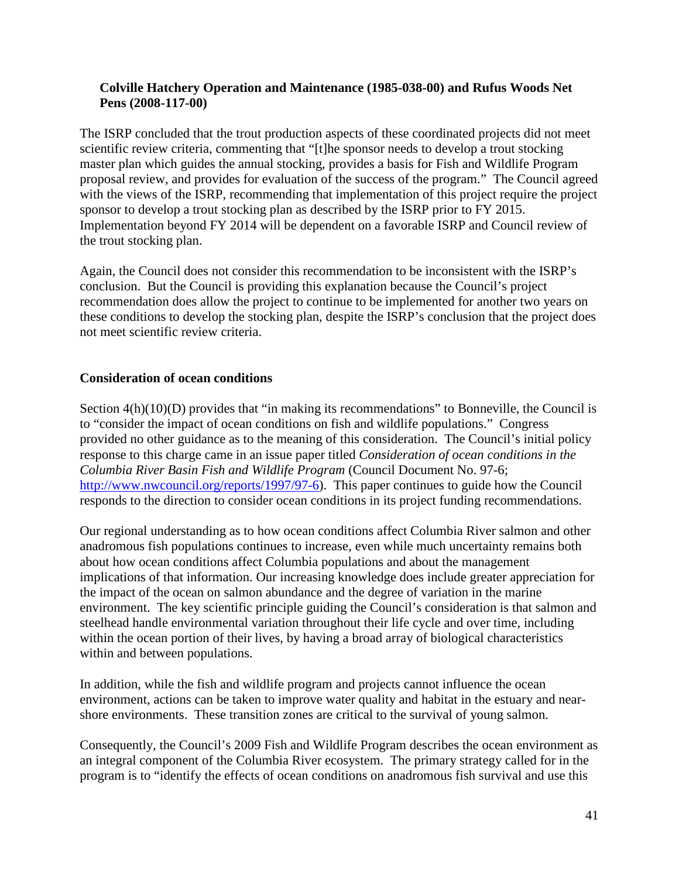### **Colville Hatchery Operation and Maintenance (1985-038-00) and Rufus Woods Net Pens (2008-117-00)**

The ISRP concluded that the trout production aspects of these coordinated projects did not meet scientific review criteria, commenting that "[t]he sponsor needs to develop a trout stocking master plan which guides the annual stocking, provides a basis for Fish and Wildlife Program proposal review, and provides for evaluation of the success of the program." The Council agreed with the views of the ISRP, recommending that implementation of this project require the project sponsor to develop a trout stocking plan as described by the ISRP prior to FY 2015. Implementation beyond FY 2014 will be dependent on a favorable ISRP and Council review of the trout stocking plan.

Again, the Council does not consider this recommendation to be inconsistent with the ISRP's conclusion. But the Council is providing this explanation because the Council's project recommendation does allow the project to continue to be implemented for another two years on these conditions to develop the stocking plan, despite the ISRP's conclusion that the project does not meet scientific review criteria.

### **Consideration of ocean conditions**

Section 4(h)(10)(D) provides that "in making its recommendations" to Bonneville, the Council is to "consider the impact of ocean conditions on fish and wildlife populations." Congress provided no other guidance as to the meaning of this consideration. The Council's initial policy response to this charge came in an issue paper titled *Consideration of ocean conditions in the Columbia River Basin Fish and Wildlife Program* (Council Document No. 97-6; [http://www.nwcouncil.org/reports/1997/97-6\)](http://www.nwcouncil.org/reports/1997/97-6/). This paper continues to guide how the Council responds to the direction to consider ocean conditions in its project funding recommendations.

Our regional understanding as to how ocean conditions affect Columbia River salmon and other anadromous fish populations continues to increase, even while much uncertainty remains both about how ocean conditions affect Columbia populations and about the management implications of that information. Our increasing knowledge does include greater appreciation for the impact of the ocean on salmon abundance and the degree of variation in the marine environment. The key scientific principle guiding the Council's consideration is that salmon and steelhead handle environmental variation throughout their life cycle and over time, including within the ocean portion of their lives, by having a broad array of biological characteristics within and between populations.

In addition, while the fish and wildlife program and projects cannot influence the ocean environment, actions can be taken to improve water quality and habitat in the estuary and nearshore environments. These transition zones are critical to the survival of young salmon.

Consequently, the Council's 2009 Fish and Wildlife Program describes the ocean environment as an integral component of the Columbia River ecosystem. The primary strategy called for in the program is to "identify the effects of ocean conditions on anadromous fish survival and use this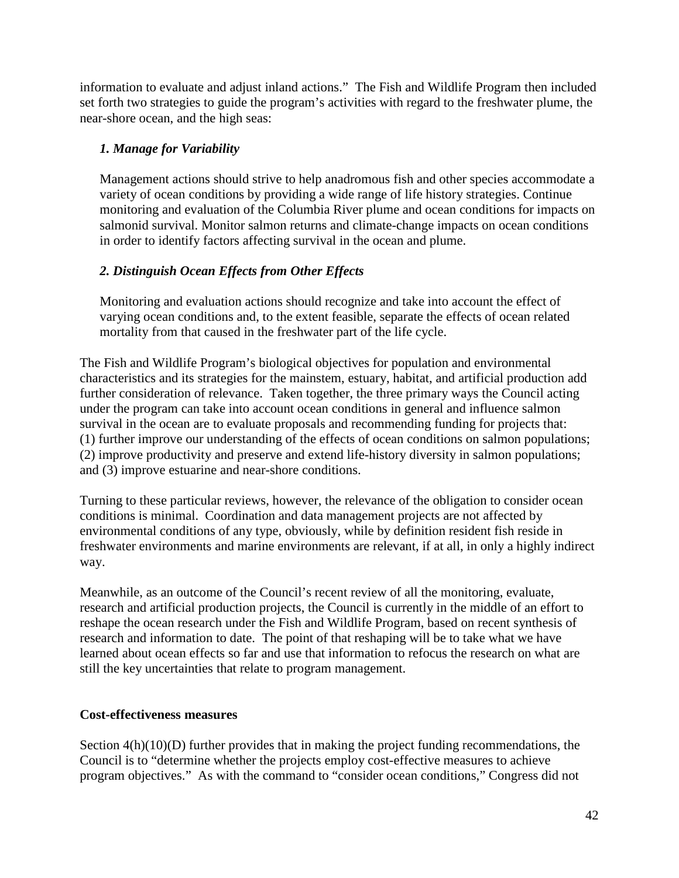information to evaluate and adjust inland actions." The Fish and Wildlife Program then included set forth two strategies to guide the program's activities with regard to the freshwater plume, the near-shore ocean, and the high seas:

### *1. Manage for Variability*

Management actions should strive to help anadromous fish and other species accommodate a variety of ocean conditions by providing a wide range of life history strategies. Continue monitoring and evaluation of the Columbia River plume and ocean conditions for impacts on salmonid survival. Monitor salmon returns and climate-change impacts on ocean conditions in order to identify factors affecting survival in the ocean and plume.

# *2. Distinguish Ocean Effects from Other Effects*

Monitoring and evaluation actions should recognize and take into account the effect of varying ocean conditions and, to the extent feasible, separate the effects of ocean related mortality from that caused in the freshwater part of the life cycle.

The Fish and Wildlife Program's biological objectives for population and environmental characteristics and its strategies for the mainstem, estuary, habitat, and artificial production add further consideration of relevance. Taken together, the three primary ways the Council acting under the program can take into account ocean conditions in general and influence salmon survival in the ocean are to evaluate proposals and recommending funding for projects that: (1) further improve our understanding of the effects of ocean conditions on salmon populations; (2) improve productivity and preserve and extend life-history diversity in salmon populations; and (3) improve estuarine and near-shore conditions.

Turning to these particular reviews, however, the relevance of the obligation to consider ocean conditions is minimal. Coordination and data management projects are not affected by environmental conditions of any type, obviously, while by definition resident fish reside in freshwater environments and marine environments are relevant, if at all, in only a highly indirect way.

Meanwhile, as an outcome of the Council's recent review of all the monitoring, evaluate, research and artificial production projects, the Council is currently in the middle of an effort to reshape the ocean research under the Fish and Wildlife Program, based on recent synthesis of research and information to date. The point of that reshaping will be to take what we have learned about ocean effects so far and use that information to refocus the research on what are still the key uncertainties that relate to program management.

### **Cost-effectiveness measures**

Section 4(h)(10)(D) further provides that in making the project funding recommendations, the Council is to "determine whether the projects employ cost-effective measures to achieve program objectives." As with the command to "consider ocean conditions," Congress did not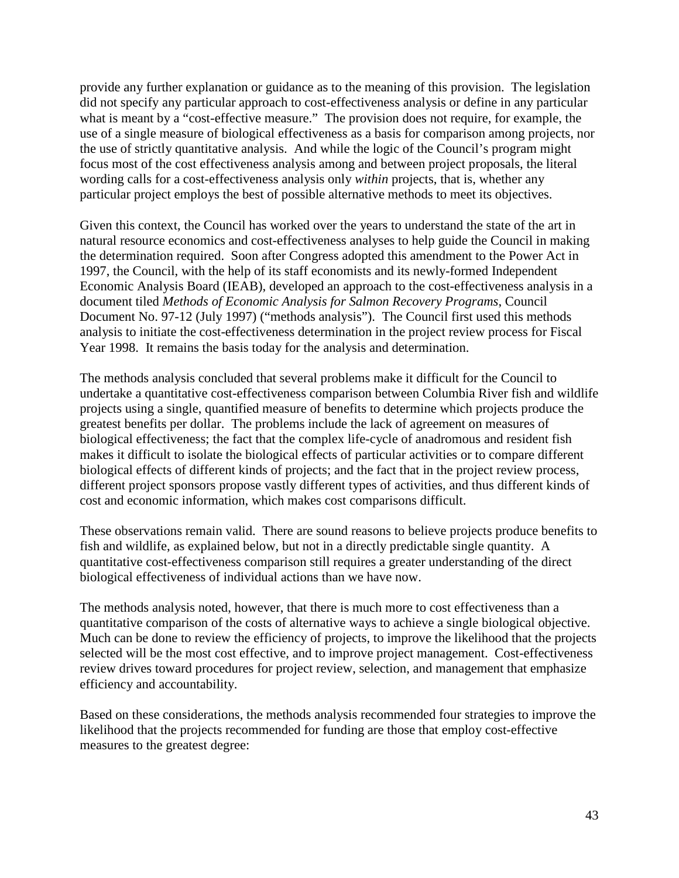provide any further explanation or guidance as to the meaning of this provision. The legislation did not specify any particular approach to cost-effectiveness analysis or define in any particular what is meant by a "cost-effective measure." The provision does not require, for example, the use of a single measure of biological effectiveness as a basis for comparison among projects, nor the use of strictly quantitative analysis. And while the logic of the Council's program might focus most of the cost effectiveness analysis among and between project proposals, the literal wording calls for a cost-effectiveness analysis only *within* projects, that is, whether any particular project employs the best of possible alternative methods to meet its objectives.

Given this context, the Council has worked over the years to understand the state of the art in natural resource economics and cost-effectiveness analyses to help guide the Council in making the determination required. Soon after Congress adopted this amendment to the Power Act in 1997, the Council, with the help of its staff economists and its newly-formed Independent Economic Analysis Board (IEAB), developed an approach to the cost-effectiveness analysis in a document tiled *Methods of Economic Analysis for Salmon Recovery Programs*, Council Document No. 97-12 (July 1997) ("methods analysis"). The Council first used this methods analysis to initiate the cost-effectiveness determination in the project review process for Fiscal Year 1998. It remains the basis today for the analysis and determination.

The methods analysis concluded that several problems make it difficult for the Council to undertake a quantitative cost-effectiveness comparison between Columbia River fish and wildlife projects using a single, quantified measure of benefits to determine which projects produce the greatest benefits per dollar. The problems include the lack of agreement on measures of biological effectiveness; the fact that the complex life-cycle of anadromous and resident fish makes it difficult to isolate the biological effects of particular activities or to compare different biological effects of different kinds of projects; and the fact that in the project review process, different project sponsors propose vastly different types of activities, and thus different kinds of cost and economic information, which makes cost comparisons difficult.

These observations remain valid. There are sound reasons to believe projects produce benefits to fish and wildlife, as explained below, but not in a directly predictable single quantity. A quantitative cost-effectiveness comparison still requires a greater understanding of the direct biological effectiveness of individual actions than we have now.

The methods analysis noted, however, that there is much more to cost effectiveness than a quantitative comparison of the costs of alternative ways to achieve a single biological objective. Much can be done to review the efficiency of projects, to improve the likelihood that the projects selected will be the most cost effective, and to improve project management. Cost-effectiveness review drives toward procedures for project review, selection, and management that emphasize efficiency and accountability.

Based on these considerations, the methods analysis recommended four strategies to improve the likelihood that the projects recommended for funding are those that employ cost-effective measures to the greatest degree: